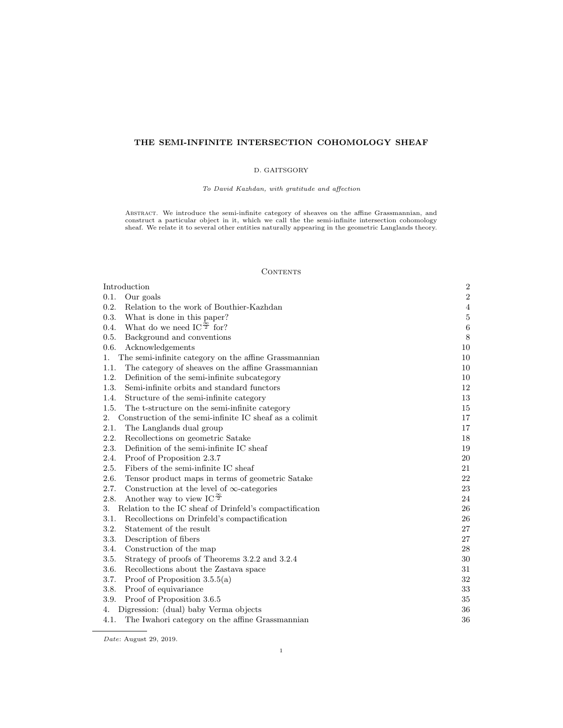# THE SEMI-INFINITE INTERSECTION COHOMOLOGY SHEAF

### D. GAITSGORY

To David Kazhdan, with gratitude and affection

ABSTRACT. We introduce the semi-infinite category of sheaves on the affine Grassmannian, and<br>construct a particular object in it, which we call the the semi-infinite intersection cohomology<br>sheaf. We relate it to several o

#### **CONTENTS**

| Introduction                                                             | $\boldsymbol{2}$ |
|--------------------------------------------------------------------------|------------------|
| 0.1.<br>Our goals                                                        | $\boldsymbol{2}$ |
| 0.2.<br>Relation to the work of Bouthier-Kazhdan                         | $\overline{4}$   |
| 0.3.<br>What is done in this paper?                                      | $\bf 5$          |
| What do we need IC <sup><math>\frac{\infty}{2}</math></sup> for?<br>0.4. | $\,6\,$          |
| 0.5.<br>Background and conventions                                       | $\,8\,$          |
| 0.6.<br>Acknowledgements                                                 | 10               |
| The semi-infinite category on the affine Grassmannian<br>1.              | 10               |
| 1.1.<br>The category of sheaves on the affine Grassmannian               | 10               |
| 1.2.<br>Definition of the semi-infinite subcategory                      | 10               |
| 1.3.<br>Semi-infinite orbits and standard functors                       | 12               |
| 1.4.<br>Structure of the semi-infinite category                          | 13               |
| 1.5.<br>The t-structure on the semi-infinite category                    | 15               |
| Construction of the semi-infinite IC sheaf as a colimit<br>2.            | 17               |
| 2.1.<br>The Langlands dual group                                         | 17               |
| 2.2.<br>Recollections on geometric Satake                                | 18               |
| 2.3.<br>Definition of the semi-infinite IC sheaf                         | 19               |
| 2.4.<br>Proof of Proposition 2.3.7                                       | 20               |
| Fibers of the semi-infinite IC sheaf<br>2.5.                             | 21               |
| 2.6.<br>Tensor product maps in terms of geometric Satake                 | 22               |
| 2.7.<br>Construction at the level of $\infty$ -categories                | 23               |
| Another way to view IC $\frac{\infty}{2}$<br>2.8.                        | 24               |
| Relation to the IC sheaf of Drinfeld's compactification<br>3.            | 26               |
| Recollections on Drinfeld's compactification<br>3.1.                     | 26               |
| 3.2.<br>Statement of the result                                          | 27               |
| 3.3.<br>Description of fibers                                            | 27               |
| 3.4.<br>Construction of the map                                          | 28               |
| Strategy of proofs of Theorems 3.2.2 and 3.2.4<br>3.5.                   | 30               |
| 3.6.<br>Recollections about the Zastava space                            | 31               |
| 3.7.<br>Proof of Proposition $3.5.5(a)$                                  | 32               |
| 3.8.<br>Proof of equivariance                                            | 33               |
| 3.9.<br>Proof of Proposition 3.6.5                                       | 35               |
| Digression: (dual) baby Verma objects<br>4.                              | 36               |
| 4.1.<br>The Iwahori category on the affine Grassmannian                  | 36               |

Date: August 29, 2019.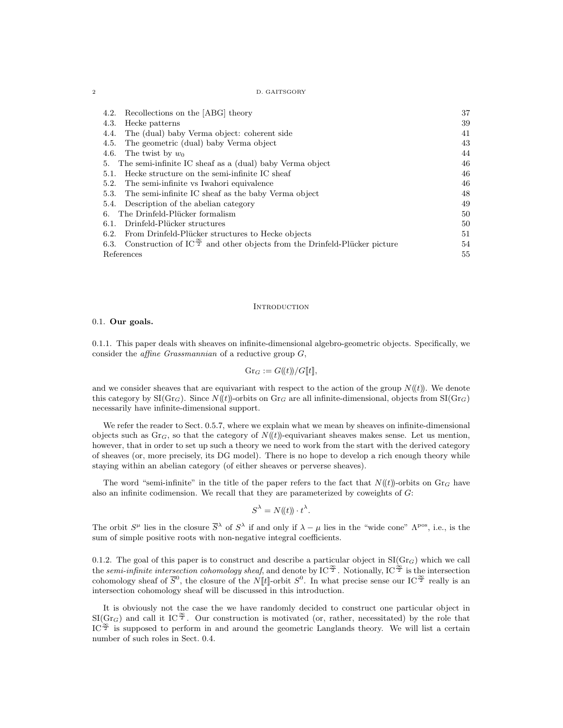2 D. GAITSGORY

| Recollections on the [ABG] theory<br>4.2.                                                         | 37 |
|---------------------------------------------------------------------------------------------------|----|
| Hecke patterns<br>4.3.                                                                            | 39 |
| The (dual) baby Verma object: coherent side<br>4.4.                                               | 41 |
| The geometric (dual) baby Verma object<br>4.5.                                                    | 43 |
| The twist by $w_0$<br>4.6.                                                                        | 44 |
| The semi-infinite IC sheaf as a (dual) baby Verma object<br>5.                                    | 46 |
| Hecke structure on the semi-infinite IC sheaf<br>5.1.                                             | 46 |
| The semi-infinite vs Iwahori equivalence<br>5.2.                                                  | 46 |
| The semi-infinite IC sheaf as the baby Verma object<br>5.3.                                       | 48 |
| Description of the abelian category<br>5.4.                                                       | 49 |
| The Drinfeld-Plücker formalism<br>6.                                                              | 50 |
| Drinfeld-Plücker structures<br>6.1.                                                               | 50 |
| From Drinfeld-Plücker structures to Hecke objects<br>6.2.                                         | 51 |
| Construction of IC $\frac{\infty}{2}$ and other objects from the Drinfeld-Plücker picture<br>6.3. | 54 |
| References                                                                                        | 55 |

#### **INTRODUCTION**

#### 0.1. Our goals.

0.1.1. This paper deals with sheaves on infinite-dimensional algebro-geometric objects. Specifically, we consider the *affine Grassmannian* of a reductive group  $G$ ,

$$
Gr_G := G(\!(t)\!)/G[\![t]\!],
$$

and we consider sheaves that are equivariant with respect to the action of the group  $N(\ell t)$ . We denote this category by  $\text{SI}(Gr_G)$ . Since  $N(t)$ -orbits on  $Gr_G$  are all infinite-dimensional, objects from  $\text{SI}(Gr_G)$ necessarily have infinite-dimensional support.

We refer the reader to Sect. 0.5.7, where we explain what we mean by sheaves on infinite-dimensional objects such as  $Gr_G$ , so that the category of  $N((t))$ -equivariant sheaves makes sense. Let us mention, however, that in order to set up such a theory we need to work from the start with the derived category of sheaves (or, more precisely, its DG model). There is no hope to develop a rich enough theory while staying within an abelian category (of either sheaves or perverse sheaves).

The word "semi-infinite" in the title of the paper refers to the fact that  $N(\ell t)$ -orbits on  $\text{Gr}_G$  have also an infinite codimension. We recall that they are parameterized by coweights of G:

$$
S^{\lambda} = N(\!(t)\!)\cdot t^{\lambda}.
$$

The orbit  $S^{\mu}$  lies in the closure  $\overline{S}^{\lambda}$  of  $S^{\lambda}$  if and only if  $\lambda - \mu$  lies in the "wide cone"  $\Lambda^{pos}$ , i.e., is the sum of simple positive roots with non-negative integral coefficients.

0.1.2. The goal of this paper is to construct and describe a particular object in  $SI(Gr_G)$  which we call the semi-infinite intersection cohomology sheaf, and denote by IC  $^{\frac{\infty}{2}}$ . Notionally, IC  $^{\frac{\infty}{2}}$  is the intersection cohomology sheaf of  $\overline{S}^0$ , the closure of the N[t]-orbit  $S^0$ . In what precise sense our IC  $\frac{\infty}{2}$  really is an intersection cohomology sheaf will be discussed in this introduction.

It is obviously not the case the we have randomly decided to construct one particular object in  $\text{SI}(Gr_G)$  and call it IC<sup> $\frac{\infty}{2}$ </sup>. Our construction is motivated (or, rather, necessitated) by the role that IC $\mathbb{Z}^{\infty}$  is supposed to perform in and around the geometric Langlands theory. We will list a certain number of such roles in Sect. 0.4.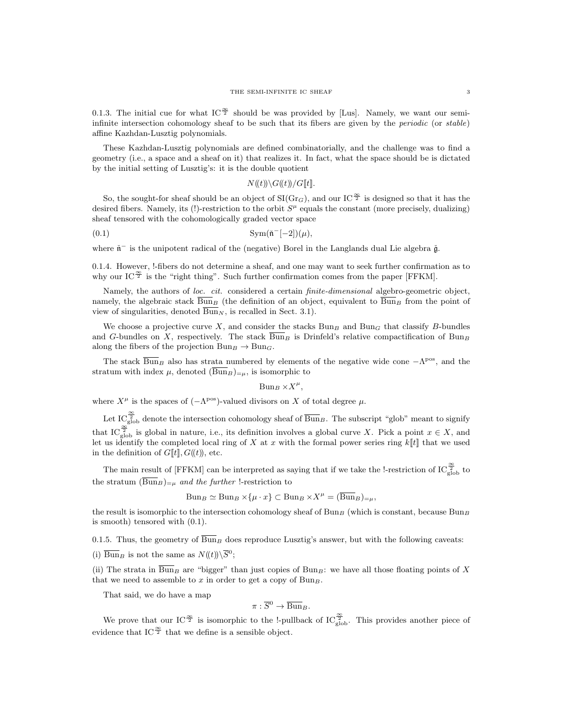0.1.3. The initial cue for what IC  $\frac{\infty}{2}$  should be was provided by [Lus]. Namely, we want our semiinfinite intersection cohomology sheaf to be such that its fibers are given by the *periodic* (or stable) affine Kazhdan-Lusztig polynomials.

These Kazhdan-Lusztig polynomials are defined combinatorially, and the challenge was to find a geometry (i.e., a space and a sheaf on it) that realizes it. In fact, what the space should be is dictated by the initial setting of Lusztig's: it is the double quotient

#### $N(\mathcal{H}(t))\backslash G(\mathcal{H})/G[\mathcal{H}].$

So, the sought-for sheaf should be an object of  $\text{SI}(Gr_G)$ , and our  $\text{IC}^{\frac{\infty}{2}}$  is designed so that it has the desired fibers. Namely, its (!)-restriction to the orbit  $S<sup>\mu</sup>$  equals the constant (more precisely, dualizing) sheaf tensored with the cohomologically graded vector space

$$
\text{Sym}(\tilde{\mathfrak{n}}^{-}[-2])(\mu),
$$

where  $\check{\mathfrak{n}}^-$  is the unipotent radical of the (negative) Borel in the Langlands dual Lie algebra  $\check{\mathfrak{g}}$ .

0.1.4. However, !-fibers do not determine a sheaf, and one may want to seek further confirmation as to why our IC $\frac{\infty}{2}$  is the "right thing". Such further confirmation comes from the paper [FFKM].

Namely, the authors of loc. cit. considered a certain *finite-dimensional* algebro-geometric object, namely, the algebraic stack  $\overline{Bun}_B$  (the definition of an object, equivalent to  $\overline{Bun}_B$  from the point of view of singularities, denoted  $\overline{Bun}_N$ , is recalled in Sect. 3.1).

We choose a projective curve X, and consider the stacks  $Bun_B$  and  $Bun_G$  that classify B-bundles and G-bundles on X, respectively. The stack  $\overline{Bun}_B$  is Drinfeld's relative compactification of  $Bun_B$ along the fibers of the projection  $Bun_B \to Bun_G$ .

The stack  $\overline{\text{Bun}}_B$  also has strata numbered by elements of the negative wide cone  $-\Lambda^{\text{pos}}$ , and the stratum with index  $\mu$ , denoted  $(\overline{\text{Bun}}_B)_{=\mu}$ , is isomorphic to

 $Bun_B \times X^{\mu}$ ,

where  $X^{\mu}$  is the spaces of  $(-\Lambda^{\text{pos}})$ -valued divisors on X of total degree  $\mu$ .

Let IC  $\frac{\infty}{2}$  denote the intersection cohomology sheaf of  $\overline{Bun}_B$ . The subscript "glob" meant to signify that IC<sup> $\frac{\infty}{2}$ </sup> is global in nature, i.e., its definition involves a global curve X. Pick a point  $x \in X$ , and let us identify the completed local ring of X at x with the formal power series ring  $k[[t]]$  that we used in the definition of  $G[[t]], G(\!(t)\!)$ , etc.

The main result of [FFKM] can be interpreted as saying that if we take the !-restriction of  $\mathrm{IC}_{\text{glob}}^{\frac{\infty}{2}}$  to the stratum  $(\overline{\text{Bun}}_B)_{=\mu}$  and the further !-restriction to

$$
Bun_B \simeq Bun_B\times\{\mu\cdot x\}\subset Bun_B\times X^{\mu}=(\overline{Bun}_B)_{=\mu},
$$

the result is isomorphic to the intersection cohomology sheaf of Bun<sub>B</sub> (which is constant, because Bun<sub>B</sub> is smooth) tensored with (0.1).

0.1.5. Thus, the geometry of  $\overline{Bun}_B$  does reproduce Lusztig's answer, but with the following caveats:

(i)  $\overline{\text{Bun}}_B$  is not the same as  $N(\!(t)\!) \setminus \overline{S}^0;$ 

(ii) The strata in  $\overline{Bun}_B$  are "bigger" than just copies of Bun<sub>B</sub>: we have all those floating points of X that we need to assemble to x in order to get a copy of  $Bun_B$ .

That said, we do have a map

$$
\pi:\overline{S}^0\to \overline{{\operatorname{Bun}}}_B.
$$

We prove that our IC<sup> $\frac{\infty}{2}$ </sup> is isomorphic to the !-pullback of IC $_{\text{glob}}^{\frac{\infty}{2}}$ . This provides another piece of evidence that IC $\frac{\infty}{2}$  that we define is a sensible object.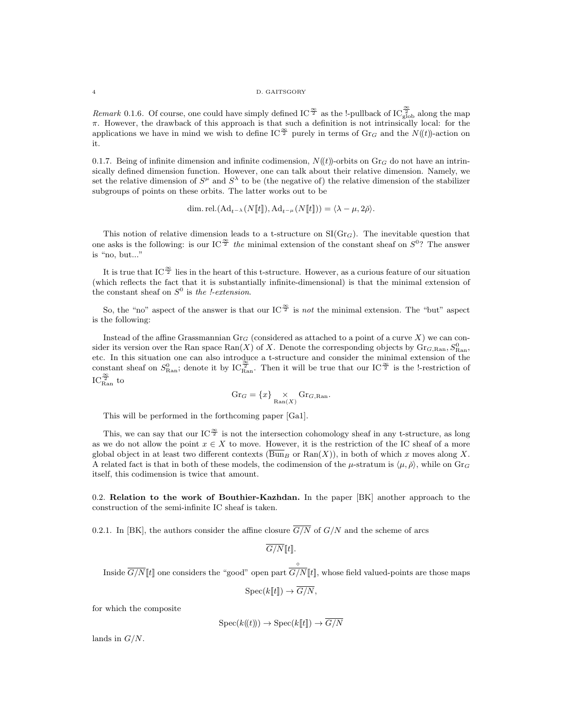4 D. GAITSGORY

Remark 0.1.6. Of course, one could have simply defined IC<sup> $\frac{\infty}{2}$ </sup> as the !-pullback of IC<sup> $\frac{\infty}{2}$ </sup> along the map  $\pi$ . However, the drawback of this approach is that such a definition is not intrinsically local: for the applications we have in mind we wish to define IC<sup> $\frac{\infty}{2}$ </sup> purely in terms of Gr<sub>G</sub> and the N((t))-action on it.

0.1.7. Being of infinite dimension and infinite codimension,  $N((t))$ -orbits on  $Gr_G$  do not have an intrinsically defined dimension function. However, one can talk about their relative dimension. Namely, we set the relative dimension of  $S^{\mu}$  and  $S^{\lambda}$  to be (the negative of) the relative dimension of the stabilizer subgroups of points on these orbits. The latter works out to be

dim. rel. 
$$
(\text{Ad}_{t^{-\lambda}}(N[[t]]), \text{Ad}_{t^{-\mu}}(N[[t]]) = \langle \lambda - \mu, 2\check{\rho} \rangle).
$$

This notion of relative dimension leads to a t-structure on  $\text{SI}(\text{Gr}_G)$ . The inevitable question that one asks is the following: is our IC<sup> $\frac{\infty}{2}$ </sup> the minimal extension of the constant sheaf on  $S^0$ ? The answer is "no, but..."

It is true that IC  $^{\infty}$  lies in the heart of this t-structure. However, as a curious feature of our situation (which reflects the fact that it is substantially infinite-dimensional) is that the minimal extension of the constant sheaf on  $S^0$  is the *!*-extension.

So, the "no" aspect of the answer is that our IC  $\frac{\infty}{2}$  is not the minimal extension. The "but" aspect is the following:

Instead of the affine Grassmannian  $Gr_G$  (considered as attached to a point of a curve X) we can consider its version over the Ran space  $\text{Ran}(X)$  of X. Denote the corresponding objects by  $\text{Gr}_{G,\text{Ran}}, S_{\text{Ran}}^0$ etc. In this situation one can also introduce a t-structure and consider the minimal extension of the constant sheaf on  $S_{\text{Ran}}^0$ ; denote it by  $IC_{\text{Ran}}^2$ . Then it will be true that our  $IC^{\frac{\infty}{2}}$  is the !-restriction of  $IC_{\text{Ran}}^{\frac{\infty}{2}}$  to

$$
\operatorname{Gr}_G = \{x\} \underset{\operatorname{Ran}(X)}{\times} \operatorname{Gr}_{G,\operatorname{Ran}}.
$$

This will be performed in the forthcoming paper [Ga1].

This, we can say that our IC  $\frac{\infty}{2}$  is not the intersection cohomology sheaf in any t-structure, as long as we do not allow the point  $x \in X$  to move. However, it is the restriction of the IC sheaf of a more global object in at least two different contexts  $(\overline{Bun}_B \text{ or } Ran(X))$ , in both of which x moves along X. A related fact is that in both of these models, the codimension of the  $\mu$ -stratum is  $\langle \mu, \check{\rho} \rangle$ , while on  $\text{Gr}_G$ itself, this codimension is twice that amount.

0.2. Relation to the work of Bouthier-Kazhdan. In the paper [BK] another approach to the construction of the semi-infinite IC sheaf is taken.

0.2.1. In [BK], the authors consider the affine closure  $\overline{G/N}$  of  $G/N$  and the scheme of arcs

 $\overline{G/N}[[t]].$ 

Inside  $G/N[[t]]$  one considers the "good" open part  $G/N[[t]]$ , whose field valued-points are those maps

◦

$$
\mathrm{Spec}(k[\![t]\!]) \to \overline{G/N},
$$

for which the composite

$$
Spec(k(\!(t)\!)) \to Spec(k[\![t]\!]) \to \overline{G/N}
$$

lands in  $G/N$ .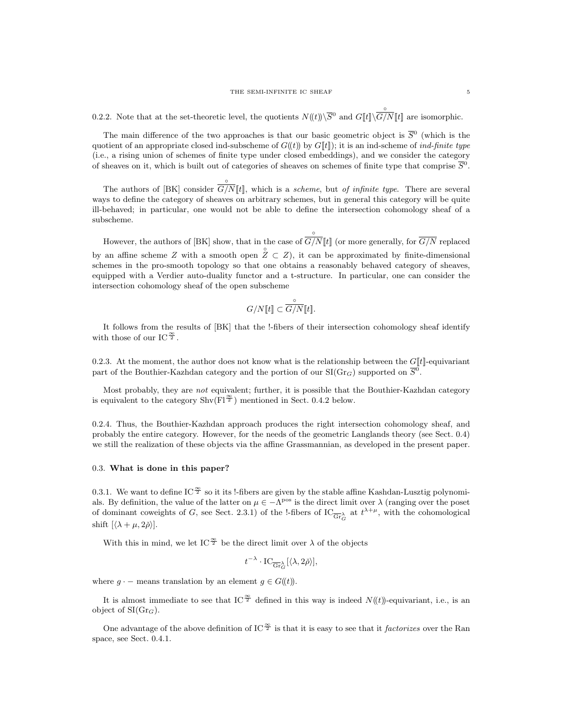0.2.2. Note that at the set-theoretic level, the quotients  $N(\!(t)\!) \setminus \overline{S}^0$  and  $G[\![t]\!] \setminus$ ◦  $G/N[[t]]$  are isomorphic.

The main difference of the two approaches is that our basic geometric object is  $\overline{S}^0$  (which is the quotient of an appropriate closed ind-subscheme of  $G(\ell t)$  by  $G[\ell t]$ ; it is an ind-scheme of *ind-finite type* (i.e., a rising union of schemes of finite type under closed embeddings), and we consider the category of sheaves on it, which is built out of categories of sheaves on schemes of finite type that comprise  $\bar{S}^0$ .

The authors of [BK] consider  $G/N[[t]]$ , which is a scheme, but of infinite type. There are several ways to define the category of sheaves on arbitrary schemes, but in general this category will be quite ill-behaved; in particular, one would not be able to define the intersection cohomology sheaf of a subscheme.

◦

However, the authors of [BK] show, that in the case of ◦  $G/N[[t]]$  (or more generally, for  $G/N$  replaced by an affine scheme Z with a smooth open  $\hat{Z} \subset Z$ ), it can be approximated by finite-dimensional schemes in the pro-smooth topology so that one obtains a reasonably behaved category of sheaves, equipped with a Verdier auto-duality functor and a t-structure. In particular, one can consider the intersection cohomology sheaf of the open subscheme

$$
G/N[\![t]\!] \subset \overbrace{G/N}^{\circ}[\![t]\!].
$$

It follows from the results of [BK] that the !-fibers of their intersection cohomology sheaf identify with those of our IC $\frac{\infty}{2}$ .

0.2.3. At the moment, the author does not know what is the relationship between the  $G[[t]]$ -equivariant part of the Bouthier-Kazhdan category and the portion of our  $SI(Gr_G)$  supported on  $\overline{S}^0$ .

Most probably, they are not equivalent; further, it is possible that the Bouthier-Kazhdan category is equivalent to the category  $\text{Shv}(\text{Fl}^{\frac{\infty}{2}})$  mentioned in Sect. 0.4.2 below.

0.2.4. Thus, the Bouthier-Kazhdan approach produces the right intersection cohomology sheaf, and probably the entire category. However, for the needs of the geometric Langlands theory (see Sect. 0.4) we still the realization of these objects via the affine Grassmannian, as developed in the present paper.

#### 0.3. What is done in this paper?

0.3.1. We want to define IC  $\frac{\infty}{2}$  so it its !-fibers are given by the stable affine Kashdan-Lusztig polynomials. By definition, the value of the latter on  $\mu \in -\Lambda^{pos}$  is the direct limit over  $\lambda$  (ranging over the poset of dominant coweights of G, see Sect. 2.3.1) of the l-fibers of  $IC_{\overline{\text{Gr}}^{\lambda}_{G}}$  at  $t^{\lambda+\mu}$ , with the cohomological shift  $\left[\langle \lambda + \mu, 2\check{\rho} \rangle\right]$ .

With this in mind, we let IC<sup> $\frac{\infty}{2}$ </sup> be the direct limit over  $\lambda$  of the objects

$$
t^{-\lambda} \cdot \mathrm{IC}_{\overline{\mathrm{Gr}}_G^{\lambda}}[\langle \lambda, 2\check{\rho} \rangle],
$$

where  $g \cdot$  – means translation by an element  $g \in G(\!(t)\!)$ .

It is almost immediate to see that IC  $\frac{\infty}{2}$  defined in this way is indeed  $N((t))$ -equivariant, i.e., is an object of  $SI(Gr_G)$ .

One advantage of the above definition of IC  $\frac{\infty}{2}$  is that it is easy to see that it factorizes over the Ran space, see Sect. 0.4.1.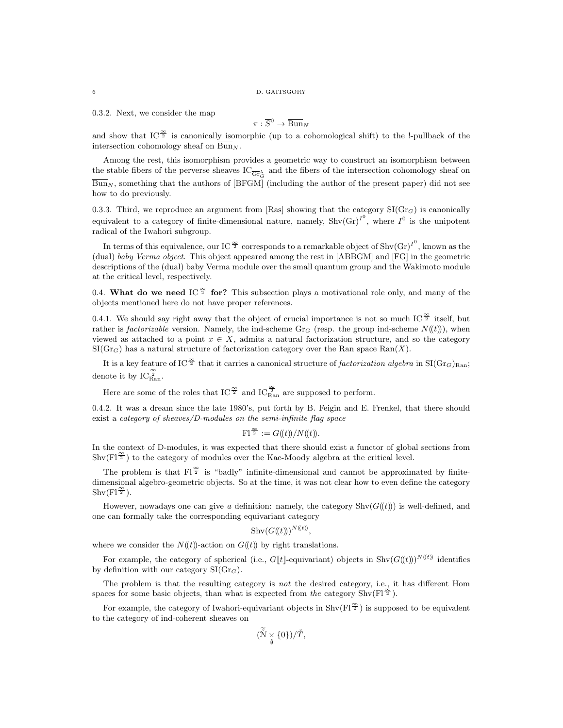0.3.2. Next, we consider the map

$$
\pi : \overline{S}^0 \to \overline{\operatorname{Bun}}_N
$$

and show that IC<sup> $\frac{\infty}{2}$ </sup> is canonically isomorphic (up to a cohomological shift) to the !-pullback of the intersection cohomology sheaf on  $\overline{\text{Bun}}_N$ .

Among the rest, this isomorphism provides a geometric way to construct an isomorphism between the stable fibers of the perverse sheaves  $\text{IC}_{\overline{\text{Gr}}_G^{\lambda}}$  and the fibers of the intersection cohomology sheaf on  $\overline{\text{Bun}}_N$ , something that the authors of [BFGM] (including the author of the present paper) did not see how to do previously.

0.3.3. Third, we reproduce an argument from [Ras] showing that the category  $SI(Gr_G)$  is canonically equivalent to a category of finite-dimensional nature, namely,  $\text{Shv}(Gr)^{I^0}$ , where  $I^0$  is the unipotent radical of the Iwahori subgroup.

In terms of this equivalence, our IC  $^{\infty}_{2}$  corresponds to a remarkable object of Shv $(\text{Gr})^{I^0}$ , known as the (dual) baby Verma object. This object appeared among the rest in [ABBGM] and [FG] in the geometric descriptions of the (dual) baby Verma module over the small quantum group and the Wakimoto module at the critical level, respectively.

0.4. What do we need IC<sup> $\frac{\infty}{2}$ </sup> for? This subsection plays a motivational role only, and many of the objects mentioned here do not have proper references.

0.4.1. We should say right away that the object of crucial importance is not so much IC  $\frac{\infty}{2}$  itself, but rather is *factorizable* version. Namely, the ind-scheme Gr<sub>G</sub> (resp. the group ind-scheme  $N((t))$ ), when viewed as attached to a point  $x \in X$ , admits a natural factorization structure, and so the category  $\text{SI}(Gr_G)$  has a natural structure of factorization category over the Ran space Ran $(X)$ .

It is a key feature of IC<sup> $\frac{\infty}{2}$ </sup> that it carries a canonical structure of *factorization algebra* in SI(Gr<sub>G</sub>)<sub>Ran</sub>; denote it by  $IC_{\text{Ran}}^{\frac{\infty}{2}}$ .

Here are some of the roles that IC  $^{\infty}_{2}$  and IC  $^{\infty}_{\text{Ran}}$  are supposed to perform.

0.4.2. It was a dream since the late 1980's, put forth by B. Feigin and E. Frenkel, that there should exist a category of sheaves/D-modules on the semi-infinite flag space

$$
\mathrm{Fl}^{\frac{\infty}{2}} := G(\!(t)\!)/N(\!(t)\!).
$$

In the context of D-modules, it was expected that there should exist a functor of global sections from  $\text{Shv}(\text{Fl}^{\cong})$  to the category of modules over the Kac-Moody algebra at the critical level.

The problem is that  $F\vert^{\frac{\infty}{2}}$  is "badly" infinite-dimensional and cannot be approximated by finitedimensional algebro-geometric objects. So at the time, it was not clear how to even define the category  $Shv(Fl^{\frac{\infty}{2}}).$ 

However, nowadays one can give a definition: namely, the category  $\text{Shv}(G(\mathcal{t}))$  is well-defined, and one can formally take the corresponding equivariant category

$$
Shv(G(\mathbf{t}))^{N(\mathbf{t})},
$$

where we consider the  $N(\ell t)$ -action on  $G(\ell t)$  by right translations.

For example, the category of spherical (i.e.,  $G[\![t]\!]$ -equivariant) objects in  $\text{Shv}(G(\!(t)\!))^{\text{N}(\!(t)\!)}$  identifies by definition with our category  $\text{SI}(Gr_G)$ .

The problem is that the resulting category is *not* the desired category, i.e., it has different Hom spaces for some basic objects, than what is expected from the category Shv( $F1^{\frac{\infty}{2}}$ ).

For example, the category of Iwahori-equivariant objects in  $\text{Shv}(F_1^{\mathfrak{T}})$  is supposed to be equivalent to the category of ind-coherent sheaves on

$$
(\widetilde{\check{\mathcal{N}}}\underset{\check{\mathfrak{g}}}{\times}\{0\})/\check{T},
$$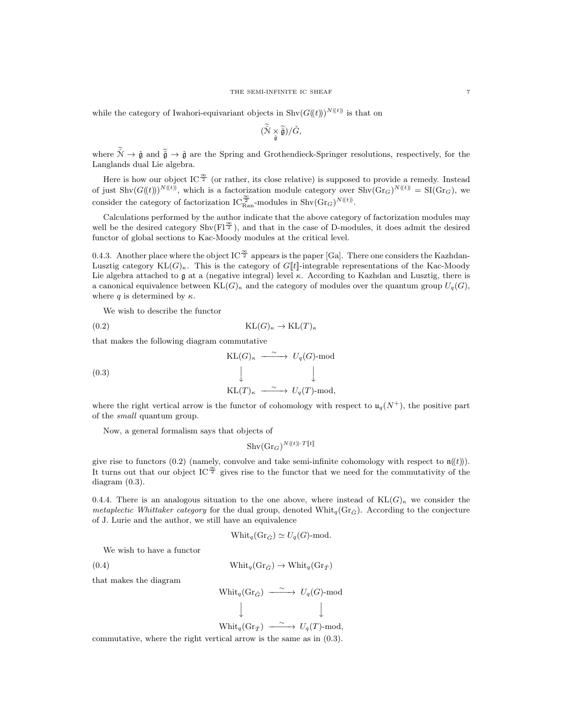while the category of Iwahori-equivariant objects in  $\text{Shv}(G(\ell))^{N(\ell)}$  is that on

$$
(\widetilde{\check{\mathcal{N}}}\underset{\check{\mathfrak{g}}}{\times}\widetilde{\check{\mathfrak{g}}})/\check{G},
$$

where  $\tilde{\mathcal{N}} \to \tilde{\mathfrak{g}}$  and  $\tilde{\tilde{\mathfrak{g}}} \to \tilde{\mathfrak{g}}$  are the Spring and Grothendieck-Springer resolutions, respectively, for the Langlands dual Lie algebra.

Here is how our object IC<sup> $\frac{\infty}{2}$ </sup> (or rather, its close relative) is supposed to provide a remedy. Instead of just  $\text{Shv}(G(\mathcal{U}))^{N(\mathcal{t}))}$ , which is a factorization module category over  $\text{Shv}(Gr_G)^{N(\mathcal{t}))} = \text{SI}(Gr_G)$ , we consider the category of factorization  $IC_{\text{Ran}}^{\frac{\infty}{2}}$ -modules in Shv $(\text{Gr}_G)^{N(\ell)}$ .

Calculations performed by the author indicate that the above category of factorization modules may well be the desired category  $\text{Shv}(\text{F1}^{\frac{\infty}{2}})$ , and that in the case of D-modules, it does admit the desired functor of global sections to Kac-Moody modules at the critical level.

0.4.3. Another place where the object IC  $\frac{\infty}{2}$  appears is the paper [Ga]. There one considers the Kazhdan-Lusztig category  $KL(G)_{\kappa}$ . This is the category of  $G[t]$ -integrable representations of the Kac-Moody Lie algebra attached to  $\mathfrak g$  at a (negative integral) level  $\kappa$ . According to Kazhdan and Lusztig, there is a canonical equivalence between  $KL(G)_{\kappa}$  and the category of modules over the quantum group  $U_q(G)$ , where q is determined by  $\kappa$ .

We wish to describe the functor

$$
(0.2)\qquad \qquad \mathrm{KL}(G)_{\kappa} \to \mathrm{KL}(T)_{\kappa}
$$

that makes the following diagram commutative

(0.3)  
\n
$$
KL(G)_{\kappa} \xrightarrow{\sim} U_q(G) \text{-mod}
$$
\n
$$
\downarrow \qquad \qquad \downarrow
$$
\n
$$
KL(T)_{\kappa} \xrightarrow{\sim} U_q(T) \text{-mod},
$$

where the right vertical arrow is the functor of cohomology with respect to  $u_q(N^+)$ , the positive part of the small quantum group.

Now, a general formalism says that objects of

$$
\mathrm{Shv}(\mathrm{Gr}_G)^{N(\!(t)\!)\cdot T[\![t]\!]}
$$

give rise to functors (0.2) (namely, convolve and take semi-infinite cohomology with respect to  $\mathfrak{n}(\ell\mathfrak{h})$ ). It turns out that our object IC<sup> $\frac{\infty}{2}$ </sup> gives rise to the functor that we need for the commutativity of the diagram (0.3).

0.4.4. There is an analogous situation to the one above, where instead of  $KL(G)_{\kappa}$  we consider the *metaplectic Whittaker category* for the dual group, denoted Whit<sub>q</sub>(Gr<sub> $\tilde{G}$ </sub>). According to the conjecture of J. Lurie and the author, we still have an equivalence

$$
Whit_q(\text{Gr}_{\check{G}}) \simeq U_q(G)\text{-mod}.
$$

We wish to have a functor

(0.4) 
$$
\text{Whit}_q(\text{Gr}_{\check{G}}) \to \text{Whit}_q(\text{Gr}_{\check{T}})
$$

that makes the diagram

$$
\begin{array}{ccc}\n\text{Whit}_q(\text{Gr}_{\check{G}}) & \xrightarrow{\;\sim\;} & U_q(G)\text{-mod} \\
\downarrow & & & \downarrow\n\end{array}
$$

 $\text{Whit}_q(\text{Gr}_{\check{T}}) \longrightarrow U_q(T) \text{-mod},$ 

 $\downarrow$ 

commutative, where the right vertical arrow is the same as in (0.3).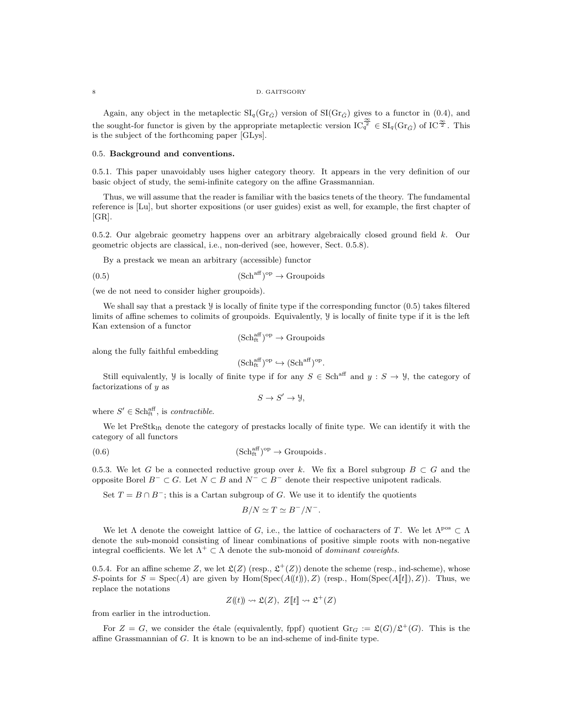#### 8 D. GAITSGORY

Again, any object in the metaplectic  $\text{SI}_q(\text{Gr}_{\tilde{G}})$  version of  $\text{SI}(\text{Gr}_{\tilde{G}})$  gives to a functor in (0.4), and the sought-for functor is given by the appropriate metaplectic version  $IC_q^{\frac{\infty}{2}} \in SI_q(Gr_{\tilde{G}})$  of  $IC^{\frac{\infty}{2}}$ . This is the subject of the forthcoming paper [GLys].

#### 0.5. Background and conventions.

0.5.1. This paper unavoidably uses higher category theory. It appears in the very definition of our basic object of study, the semi-infinite category on the affine Grassmannian.

Thus, we will assume that the reader is familiar with the basics tenets of the theory. The fundamental reference is [Lu], but shorter expositions (or user guides) exist as well, for example, the first chapter of [GR].

0.5.2. Our algebraic geometry happens over an arbitrary algebraically closed ground field k. Our geometric objects are classical, i.e., non-derived (see, however, Sect. 0.5.8).

By a prestack we mean an arbitrary (accessible) functor

$$
(0.5) \t\t\t (Schaff)op \to Groupoids
$$

(we de not need to consider higher groupoids).

We shall say that a prestack  $\frac{y}{x}$  is locally of finite type if the corresponding functor  $(0.5)$  takes filtered limits of affine schemes to colimits of groupoids. Equivalently, Y is locally of finite type if it is the left Kan extension of a functor

$$
(\mathrm{Sch}^{\mathrm{aff}}_{\mathrm{ft}})^\mathrm{op}\to \mathrm{Groupoids}
$$

along the fully faithful embedding

$$
(\mathrm{Sch}^{\mathrm{aff}}_{\mathrm{ft}})^{\mathrm{op}} \hookrightarrow (\mathrm{Sch}^{\mathrm{aff}})^{\mathrm{op}}.
$$

Still equivalently,  $\mathcal{Y}$  is locally of finite type if for any  $S \in \text{Sch}^{\text{aff}}$  and  $y : S \to \mathcal{Y}$ , the category of factorizations of y as

 $S \to S' \to \mathcal{Y},$ 

where  $S' \in \text{Sch}_{ft}^{\text{aff}}$ , is contractible.

We let PreStk<sub>lft</sub> denote the category of prestacks locally of finite type. We can identify it with the category of all functors

$$
(0.6) \t\t\t (Schftaff)op \to Groupoids.
$$

0.5.3. We let G be a connected reductive group over k. We fix a Borel subgroup  $B \subset G$  and the opposite Borel  $B^- \subset G$ . Let  $N \subset B$  and  $N^- \subset B^-$  denote their respective unipotent radicals.

Set  $T = B \cap B^-$ ; this is a Cartan subgroup of G. We use it to identify the quotients

$$
B/N \simeq T \simeq B^{-}/N^{-}.
$$

We let  $\Lambda$  denote the coweight lattice of G, i.e., the lattice of cocharacters of T. We let  $\Lambda^{pos} \subset \Lambda$ denote the sub-monoid consisting of linear combinations of positive simple roots with non-negative integral coefficients. We let  $\Lambda^+ \subset \Lambda$  denote the sub-monoid of *dominant coweights*.

0.5.4. For an affine scheme Z, we let  $\mathfrak{L}(Z)$  (resp.,  $\mathfrak{L}^+(Z)$ ) denote the scheme (resp., ind-scheme), whose S-points for  $S = \text{Spec}(A)$  are given by Hom(Spec( $A(\mathcal{H}))$ , Z) (resp., Hom(Spec( $A[\mathcal{H}]$ ), Z)). Thus, we replace the notations

$$
Z(\!(t)\!) \rightsquigarrow \mathfrak{L}(Z), Z[\![t]\!] \rightsquigarrow \mathfrak{L}^+(Z)
$$

from earlier in the introduction.

For  $Z = G$ , we consider the étale (equivalently, fppf) quotient  $\text{Gr}_G := \mathfrak{L}(G)/\mathfrak{L}^+(G)$ . This is the affine Grassmannian of G. It is known to be an ind-scheme of ind-finite type.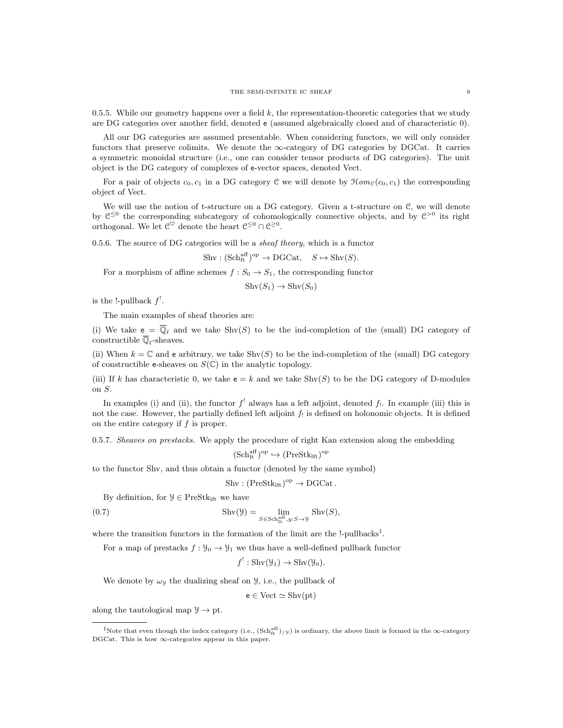0.5.5. While our geometry happens over a field  $k$ , the representation-theoretic categories that we study are DG categories over another field, denoted e (assumed algebraically closed and of characteristic 0).

All our DG categories are assumed presentable. When considering functors, we will only consider functors that preserve colimits. We denote the  $\infty$ -category of DG categories by DGCat. It carries a symmetric monoidal structure (i.e., one can consider tensor products of DG categories). The unit object is the DG category of complexes of e-vector spaces, denoted Vect.

For a pair of objects  $c_0, c_1$  in a DG category C we will denote by  $\mathcal{H}om_{\mathcal{C}}(c_0, c_1)$  the corresponding object of Vect.

We will use the notion of t-structure on a DG category. Given a t-structure on  $\mathcal{C}$ , we will denote by  $\mathfrak{C}^{\leq 0}$  the corresponding subcategory of cohomologically connective objects, and by  $\mathfrak{C}^{>0}$  its right orthogonal. We let  $\mathcal{C}^{\heartsuit}$  denote the heart  $\mathcal{C}^{\leq 0} \cap \mathcal{C}^{\geq 0}$ .

0.5.6. The source of DG categories will be a *sheaf theory*, which is a functor

 $\text{Shv} : (\text{Sch}^{\text{aff}}_{\text{ft}})^{\text{op}} \to \text{DGCat}, \quad S \mapsto \text{Shv}(S).$ 

For a morphism of affine schemes  $f : S_0 \to S_1$ , the corresponding functor

 $\text{Shv}(S_1) \to \text{Shv}(S_0)$ 

is the !-pullback  $f'$ .

The main examples of sheaf theories are:

(i) We take  $e = \overline{\mathbb{Q}}_{\ell}$  and we take  $\text{Shv}(S)$  to be the ind-completion of the (small) DG category of constructible  $\overline{\mathbb{Q}}_\ell\text{-sheaves}.$ 

(ii) When  $k = \mathbb{C}$  and e arbitrary, we take  $\text{Shv}(S)$  to be the ind-completion of the (small) DG category of constructible e-sheaves on  $S(\mathbb{C})$  in the analytic topology.

(iii) If k has characteristic 0, we take  $e = k$  and we take Shv(S) to be the DG category of D-modules on S.

In examples (i) and (ii), the functor  $f'$  always has a left adjoint, denoted  $f_!$ . In example (iii) this is not the case. However, the partially defined left adjoint  $f_!$  is defined on holonomic objects. It is defined on the entire category if  $f$  is proper.

0.5.7. Sheaves on prestacks. We apply the procedure of right Kan extension along the embedding

$$
(\mathrm{Sch}^{\mathrm{aff}}_{\mathrm{ft}})^\mathrm{op} \hookrightarrow (\mathrm{PreStk}_{\mathrm{lft}})^\mathrm{op}
$$

to the functor Shv, and thus obtain a functor (denoted by the same symbol)

 $\text{Shv} : (\text{PreStk}_{\text{lft}})^{\text{op}} \to \text{DGCat}.$ 

By definition, for  $\mathcal{Y} \in \text{PreStk}_{\text{lft}}$  we have

(0.7) 
$$
\operatorname{Shv}(\mathcal{Y}) = \lim_{S \in \operatorname{Sch}^{\operatorname{aff}}_{\operatorname{ft}}, y: S \to \mathcal{Y}} \operatorname{Shv}(S),
$$

where the transition functors in the formation of the limit are the  $!$ -pullbacks<sup>1</sup>.

For a map of prestacks  $f: \mathcal{Y}_0 \to \mathcal{Y}_1$  we thus have a well-defined pullback functor

$$
f^!: \text{Shv}(\mathcal{Y}_1) \to \text{Shv}(\mathcal{Y}_0).
$$

We denote by  $\omega$ y the dualizing sheaf on  $\mathcal{Y}$ , i.e., the pullback of

 $e \in Vect \simeq \mathrm{Shv(pt)}$ 

along the tautological map  $\mathcal{Y} \to \mathrm{pt}.$ 

<sup>&</sup>lt;sup>1</sup>Note that even though the index category (i.e.,  $(Sch<sub>ft</sub><sup>eff</sup>)/y$ ) is ordinary, the above limit is formed in the ∞-category DGCat. This is how ∞-categories appear in this paper.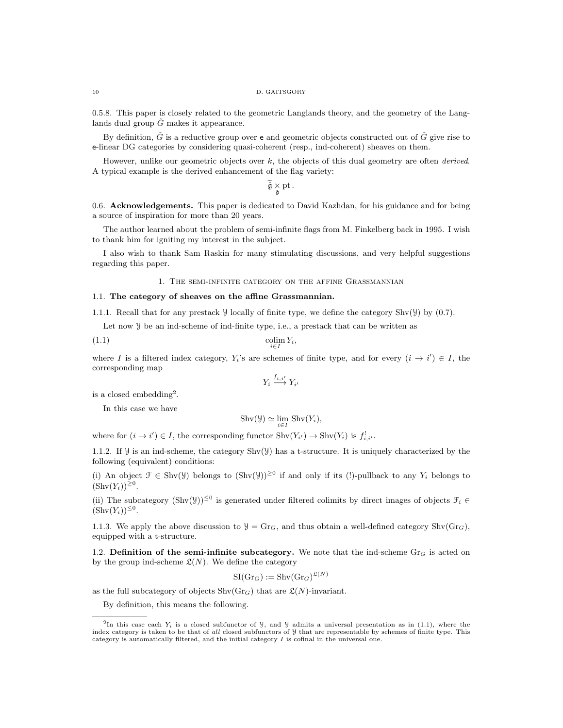#### 10 D. GAITSGORY

0.5.8. This paper is closely related to the geometric Langlands theory, and the geometry of the Langlands dual group  $\tilde{G}$  makes it appearance.

By definition,  $\check{G}$  is a reductive group over e and geometric objects constructed out of  $\check{G}$  give rise to e-linear DG categories by considering quasi-coherent (resp., ind-coherent) sheaves on them.

However, unlike our geometric objects over  $k$ , the objects of this dual geometry are often *derived*. A typical example is the derived enhancement of the flag variety:

 $\check{\mathfrak{g}} \underset{\check{\mathfrak{g}}}{\times} \text{pt}.$ 

0.6. Acknowledgements. This paper is dedicated to David Kazhdan, for his guidance and for being a source of inspiration for more than 20 years.

The author learned about the problem of semi-infinite flags from M. Finkelberg back in 1995. I wish to thank him for igniting my interest in the subject.

I also wish to thank Sam Raskin for many stimulating discussions, and very helpful suggestions regarding this paper.

1. The semi-infinite category on the affine Grassmannian

#### 1.1. The category of sheaves on the affine Grassmannian.

1.1.1. Recall that for any prestack Y locally of finite type, we define the category Shv(Y) by (0.7).

Let now Y be an ind-scheme of ind-finite type, i.e., a prestack that can be written as

$$
\underset{i \in I}{\text{colim}} Y_i,
$$

where I is a filtered index category,  $Y_i$ 's are schemes of finite type, and for every  $(i \rightarrow i') \in I$ , the corresponding map

$$
Y_i \xrightarrow{f_{i,i'}} Y_{i'}
$$

is a closed embedding<sup>2</sup>.

In this case we have

$$
\mathrm{Shv}(\mathcal{Y}) \simeq \lim_{i \in I} \mathrm{Shv}(Y_i),
$$

where for  $(i \to i') \in I$ , the corresponding functor  $\text{Shv}(Y_{i'}) \to \text{Shv}(Y_i)$  is  $f^!_{i,i'}$ .

1.1.2. If  $\mathcal Y$  is an ind-scheme, the category  $\text{Shv}(\mathcal Y)$  has a t-structure. It is uniquely characterized by the following (equivalent) conditions:

(i) An object  $\mathcal{F} \in \text{Shv}(\mathcal{Y})$  belongs to  $(\text{Shv}(\mathcal{Y}))^{\geq 0}$  if and only if its (!)-pullback to any  $Y_i$  belongs to  $(\text{Shv}(Y_i))^{\geq 0}$ .

(ii) The subcategory  $(\text{Shv}(\mathcal{Y}))^{\leq 0}$  is generated under filtered colimits by direct images of objects  $\mathcal{F}_i \in$  $(\text{Shv}(Y_i))^{\leq 0}$ .

1.1.3. We apply the above discussion to  $\mathcal{Y} = \text{Gr}_G$ , and thus obtain a well-defined category  $\text{Shv}(\text{Gr}_G)$ , equipped with a t-structure.

1.2. Definition of the semi-infinite subcategory. We note that the ind-scheme Gr<sub>G</sub> is acted on by the group ind-scheme  $\mathfrak{L}(N)$ . We define the category

$$
\operatorname{SI}(\operatorname{Gr}_G) := \operatorname{Shv}(\operatorname{Gr}_G)^{\mathfrak{L}(N)}
$$

as the full subcategory of objects  $\text{Shv}(Gr_G)$  that are  $\mathfrak{L}(N)$ -invariant.

By definition, this means the following.

<sup>&</sup>lt;sup>2</sup>In this case each  $Y_i$  is a closed subfunctor of  $\mathcal{Y}$ , and  $\mathcal{Y}$  admits a universal presentation as in (1.1), where the index category is taken to be that of all closed subfunctors of  $\mathcal Y$  that are representable by schemes of finite type. This category is automatically filtered, and the initial category  $I$  is cofinal in the universal one.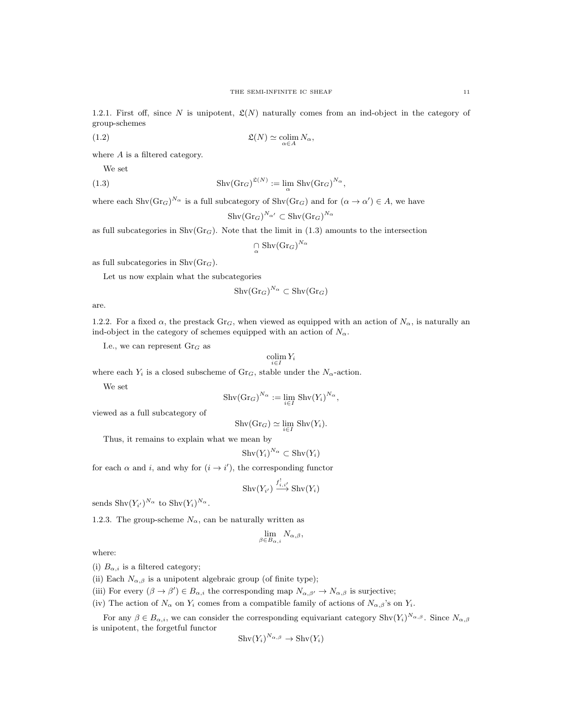1.2.1. First off, since N is unipotent,  $\mathfrak{L}(N)$  naturally comes from an ind-object in the category of group-schemes

(1.2) 
$$
\mathfrak{L}(N) \simeq \operatorname*{colim}_{\alpha \in A} N_{\alpha},
$$

where  $A$  is a filtered category.

We set

(1.3) 
$$
\operatorname{Shv}(\operatorname{Gr}_G)^{\mathfrak{L}(N)} := \lim_{\alpha} \operatorname{Shv}(\operatorname{Gr}_G)^{N_{\alpha}},
$$

where each  $\text{Shv}(Gr_G)^{N_{\alpha}}$  is a full subcategory of  $\text{Shv}(Gr_G)$  and for  $(\alpha \to \alpha') \in A$ , we have

$$
\mathrm{Shv}(\mathrm{Gr}_G)^{N_{\alpha'}} \subset \mathrm{Shv}(\mathrm{Gr}_G)^{N_{\alpha}}
$$

as full subcategories in  $\text{Shv}(Gr_G)$ . Note that the limit in (1.3) amounts to the intersection

$$
\bigcap_{\alpha} \text{Shv}(\text{Gr}_G)^{N_\alpha}
$$

as full subcategories in  $\text{Shv}(Gr_G)$ .

Let us now explain what the subcategories

$$
\mathrm{Shv}(\mathrm{Gr}_G)^{N_\alpha} \subset \mathrm{Shv}(\mathrm{Gr}_G)
$$

are.

1.2.2. For a fixed  $\alpha$ , the prestack Gr<sub>G</sub>, when viewed as equipped with an action of  $N_{\alpha}$ , is naturally an ind-object in the category of schemes equipped with an action of  $N_{\alpha}$ .

I.e., we can represent  $\mathrm{Gr}_G$  as

$$
\operatornamewithlimits{colim}_{i\in I} Y_i
$$

where each  $Y_i$  is a closed subscheme of  $\text{Gr}_G$ , stable under the  $N_\alpha$ -action.

We set

$$
Shv(\mathrm{Gr}_G)^{N_{\alpha}} := \lim_{i \in I} Shv(Y_i)^{N_{\alpha}},
$$

viewed as a full subcategory of

$$
\mathrm{Shv}(\mathrm{Gr}_G)\simeq \lim_{i\in I}\mathrm{Shv}(Y_i).
$$

Thus, it remains to explain what we mean by

$$
Shv(Y_i)^{N_{\alpha}} \subset Shv(Y_i)
$$

for each  $\alpha$  and i, and why for  $(i \rightarrow i')$ , the corresponding functor

$$
\mathrm{Shv}(Y_{i'}) \stackrel{f^!_{i,i'}}{\longrightarrow} \mathrm{Shv}(Y_i)
$$

sends  $\text{Shv}(Y_{i'})^{N_{\alpha}}$  to  $\text{Shv}(Y_i)^{N_{\alpha}}$ .

1.2.3. The group-scheme  $N_{\alpha}$ , can be naturally written as

$$
\lim_{\beta \in B_{\alpha,i}} N_{\alpha,\beta},
$$

where:

(i)  $B_{\alpha,i}$  is a filtered category;

(ii) Each  $N_{\alpha,\beta}$  is a unipotent algebraic group (of finite type);

(iii) For every  $(\beta \to \beta') \in B_{\alpha,i}$  the corresponding map  $N_{\alpha,\beta'} \to N_{\alpha,\beta}$  is surjective;

(iv) The action of  $N_{\alpha}$  on  $Y_i$  comes from a compatible family of actions of  $N_{\alpha,\beta}$ 's on  $Y_i$ .

For any  $\beta \in B_{\alpha,i}$ , we can consider the corresponding equivariant category  $\text{Shv}(Y_i)^{N_{\alpha,\beta}}$ . Since  $N_{\alpha,\beta}$ is unipotent, the forgetful functor

$$
Shv(Y_i)^{N_{\alpha,\beta}} \to Shv(Y_i)
$$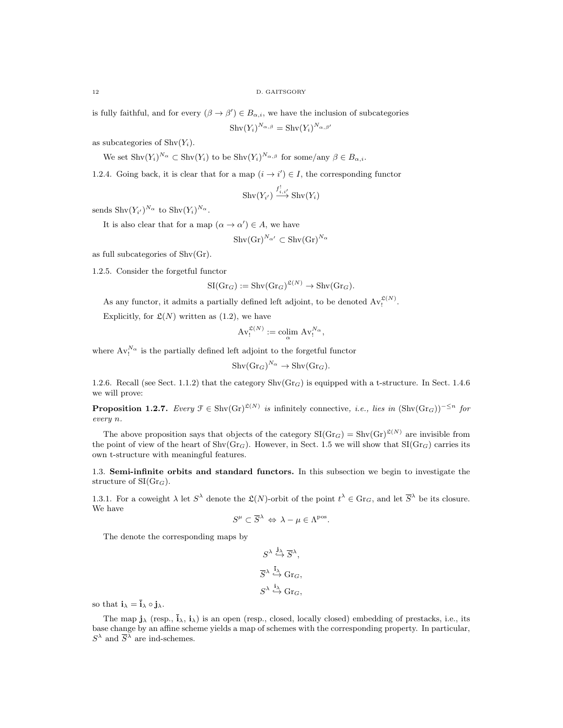is fully faithful, and for every  $(\beta \to \beta') \in B_{\alpha,i}$ , we have the inclusion of subcategories

 $\mathrm{Shv}(Y_i)^{N_{\alpha,\beta}}=\mathrm{Shv}(Y_i)^{N_{\alpha,\beta'}}$ 

as subcategories of  $\text{Shv}(Y_i)$ .

We set  $\text{Shv}(Y_i)^{N_\alpha} \subset \text{Shv}(Y_i)$  to be  $\text{Shv}(Y_i)^{N_{\alpha,\beta}}$  for some/any  $\beta \in B_{\alpha,i}$ .

1.2.4. Going back, it is clear that for a map  $(i \rightarrow i') \in I$ , the corresponding functor

$$
\mathrm{Shv}(Y_{i'}) \stackrel{f^!_{i,i'}}{\longrightarrow} \mathrm{Shv}(Y_i)
$$

sends  $\text{Shv}(Y_{i'})^{N_{\alpha}}$  to  $\text{Shv}(Y_i)^{N_{\alpha}}$ .

It is also clear that for a map  $(\alpha \to \alpha') \in A$ , we have

$$
\mathrm{Shv}(\mathrm{Gr})^{N_{\alpha'}} \subset \mathrm{Shv}(\mathrm{Gr})^{N_{\alpha}}
$$

as full subcategories of Shv(Gr).

1.2.5. Consider the forgetful functor

$$
SI(\mathrm{Gr}_G) := \mathrm{Shv}(\mathrm{Gr}_G)^{\mathfrak{L}(N)} \to \mathrm{Shv}(\mathrm{Gr}_G).
$$

As any functor, it admits a partially defined left adjoint, to be denoted  $Av_!^{\mathfrak{L}(N)}$ .

Explicitly, for  $\mathfrak{L}(N)$  written as  $(1.2)$ , we have

$$
\mathrm{Av}^{\mathfrak{L}(N)}_{!} := \operatornamewithlimits{colim}_{\alpha} \mathrm{Av}^{N_{\alpha}}_{!},
$$

where  $Av_1^{N_\alpha}$  is the partially defined left adjoint to the forgetful functor

$$
Shv(\mathrm{Gr}_G)^{N_{\alpha}} \to Shv(\mathrm{Gr}_G).
$$

1.2.6. Recall (see Sect. 1.1.2) that the category  $\text{Shv}(Gr_G)$  is equipped with a t-structure. In Sect. 1.4.6 we will prove:

**Proposition 1.2.7.** Every  $\mathcal{F} \in \text{Shv}(Gr)^{\mathcal{L}(N)}$  is infinitely connective, i.e., lies in  $(\text{Shv}(Gr_G))^{-\leq n}$  for every n.

The above proposition says that objects of the category  $SI(Gr_G) = Shv(Gr)^{\mathfrak{L}(N)}$  are invisible from the point of view of the heart of  $\text{Shv}(Gr_G)$ . However, in Sect. 1.5 we will show that  $\text{SI}(Gr_G)$  carries its own t-structure with meaningful features.

1.3. Semi-infinite orbits and standard functors. In this subsection we begin to investigate the structure of  $SI(Gr_G)$ .

1.3.1. For a coweight  $\lambda$  let  $S^{\lambda}$  denote the  $\mathfrak{L}(N)$ -orbit of the point  $t^{\lambda} \in \text{Gr}_G$ , and let  $\overline{S}^{\lambda}$  be its closure. We have

$$
S^{\mu} \subset \overline{S}^{\lambda} \Leftrightarrow \lambda - \mu \in \Lambda^{\text{pos}}.
$$

The denote the corresponding maps by

$$
\begin{aligned} S^{\lambda} & \stackrel{\mathbf{j}_{\lambda}}{\hookrightarrow} \overline{S}^{\lambda}, \\ \overline{S}^{\lambda} & \stackrel{\mathbf{i}_{\lambda}}{\hookrightarrow} \text{Gr}_G, \\ S^{\lambda} & \stackrel{\mathbf{i}_{\lambda}}{\hookrightarrow} \text{Gr}_G, \end{aligned}
$$

so that  $\mathbf{i}_{\lambda} = \mathbf{i}_{\lambda} \circ \mathbf{i}_{\lambda}$ .

The map  $\mathbf{i}_{\lambda}$  (resp.,  $\mathbf{i}_{\lambda}$ ,  $\mathbf{i}_{\lambda}$ ) is an open (resp., closed, locally closed) embedding of prestacks, i.e., its base change by an affine scheme yields a map of schemes with the corresponding property. In particular,  $S^{\lambda}$  and  $\overline{S}^{\lambda}$  are ind-schemes.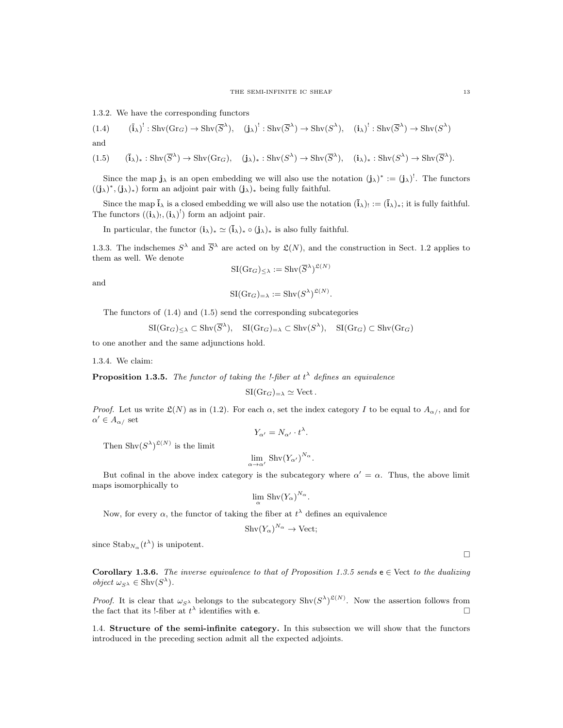1.3.2. We have the corresponding functors

$$
(1.4) \qquad (\mathbf{i}_{\lambda})^!: \operatorname{Shv}(\operatorname{Gr}_G) \to \operatorname{Shv}(\overline{S}^{\lambda}), \quad (\mathbf{j}_{\lambda})^!: \operatorname{Shv}(\overline{S}^{\lambda}) \to \operatorname{Shv}(S^{\lambda}), \quad (\mathbf{i}_{\lambda})^!: \operatorname{Shv}(\overline{S}^{\lambda}) \to \operatorname{Shv}(S^{\lambda})
$$

and

$$
(1.5) \qquad (\bar{\mathbf{i}}_{\lambda})_{*}: \operatorname{Shv}(\overline{S}^{\lambda}) \to \operatorname{Shv}(\operatorname{Gr}_{G}), \quad (\mathbf{j}_{\lambda})_{*}: \operatorname{Shv}(S^{\lambda}) \to \operatorname{Shv}(\overline{S}^{\lambda}), \quad (\mathbf{i}_{\lambda})_{*}: \operatorname{Shv}(S^{\lambda}) \to \operatorname{Shv}(\overline{S}^{\lambda}).
$$

Since the map  $\mathbf{j}_{\lambda}$  is an open embedding we will also use the notation  $(\mathbf{j}_{\lambda})^* := (\mathbf{j}_{\lambda})^!$ . The functors  $((j_{\lambda})^*, (j_{\lambda})_*)$  form an adjoint pair with  $(j_{\lambda})_*$  being fully faithful.

Since the map  $\mathbf{i}_{\lambda}$  is a closed embedding we will also use the notation  $(\mathbf{i}_{\lambda})_! := (\mathbf{i}_{\lambda})_*$ ; it is fully faithful. The functors  $((i_{\lambda})_!,(i_{\lambda})_!$  form an adjoint pair.

In particular, the functor  $(i_\lambda)_* \simeq (i_\lambda)_* \circ (j_\lambda)_*$  is also fully faithful.

1.3.3. The indschemes  $S^{\lambda}$  and  $\overline{S}^{\lambda}$  are acted on by  $\mathfrak{L}(N)$ , and the construction in Sect. 1.2 applies to them as well. We denote

$$
\mathrm{SI}(\mathrm{Gr}_G)_{\leq \lambda} := \mathrm{Shv}(\overline{S}^{\lambda})^{\mathfrak{L}(N)}
$$

and

$$
\mathrm{SI}(\mathrm{Gr}_G)_{=\lambda} := \mathrm{Shv}(S^{\lambda})^{\mathfrak{L}(N)}.
$$

The functors of (1.4) and (1.5) send the corresponding subcategories

$$
SI(\mathrm{Gr}_G)_{\leq \lambda} \subset \mathrm{Shv}(\overline{S}^{\lambda}), \quad SI(\mathrm{Gr}_G)_{=\lambda} \subset \mathrm{Shv}(S^{\lambda}), \quad SI(\mathrm{Gr}_G) \subset \mathrm{Shv}(\mathrm{Gr}_G)
$$

to one another and the same adjunctions hold.

1.3.4. We claim:

**Proposition 1.3.5.** The functor of taking the *!-fiber at*  $t^{\lambda}$  defines an equivalence

$$
SI(\mathrm{Gr}_G)_{=\lambda} \simeq \mathrm{Vect}.
$$

*Proof.* Let us write  $\mathfrak{L}(N)$  as in (1.2). For each  $\alpha$ , set the index category I to be equal to  $A_{\alpha}$ , and for  $\alpha' \in A_{\alpha}$  set

$$
Y_{\alpha'} = N_{\alpha'} \cdot t^{\lambda}.
$$

Then  $\text{Shv}(S^{\lambda})^{\mathfrak{L}(N)}$  is the limit

$$
\lim_{\alpha \to \alpha'} \text{Shv}(Y_{\alpha'})^{N_{\alpha}}.
$$

But cofinal in the above index category is the subcategory where  $\alpha' = \alpha$ . Thus, the above limit maps isomorphically to

$$
\lim_{\alpha} \operatorname{Shv}(Y_{\alpha})^{N_{\alpha}}.
$$

Now, for every  $\alpha$ , the functor of taking the fiber at  $t^{\lambda}$  defines an equivalence

$$
Shv(Y_{\alpha})^{N_{\alpha}} \to Vect;
$$

since  $\text{Stab}_{N_\alpha}(t^\lambda)$  is unipotent.

Corollary 1.3.6. The inverse equivalence to that of Proposition 1.3.5 sends  $e \in$  Vect to the dualizing *object*  $\omega_{S^{\lambda}} \in \text{Shv}(S^{\lambda})$ .

*Proof.* It is clear that  $\omega_{S^{\lambda}}$  belongs to the subcategory  $\text{Shv}(S^{\lambda})^{\mathfrak{L}(N)}$ . Now the assertion follows from the fact that its !-fiber at  $t^{\lambda}$  identifies with **e**.

1.4. Structure of the semi-infinite category. In this subsection we will show that the functors introduced in the preceding section admit all the expected adjoints.

 $\Box$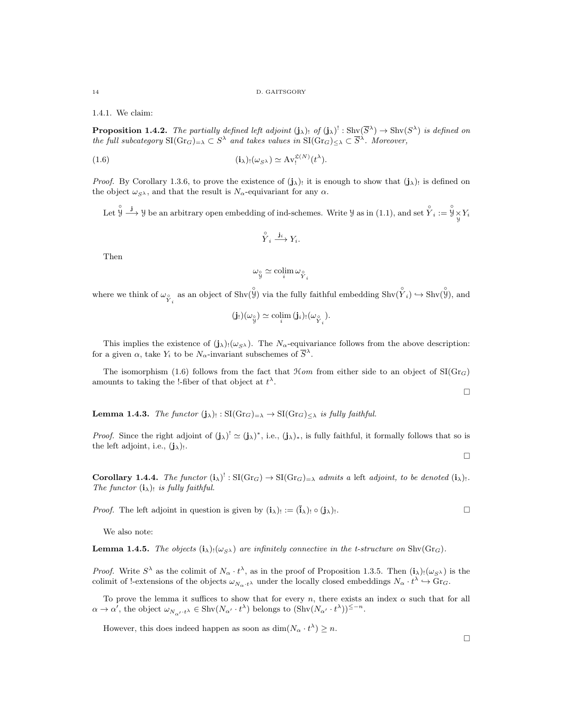1.4.1. We claim:

**Proposition 1.4.2.** The partially defined left adjoint  $(j_\lambda)$  of  $(j_\lambda)$ <sup>!</sup> : Shv $(\overline{S}^{\lambda}) \to \text{Shv}(S^{\lambda})$  is defined on the full subcategory  $\text{SI}(Gr_G)_{=\lambda} \subset S^{\lambda}$  and takes values in  $\text{SI}(Gr_G)_{\leq \lambda} \subset \overline{S}^{\lambda}$ . Moreover,

(1.6) 
$$
(\mathbf{i}_{\lambda})_!(\omega_{S^{\lambda}}) \simeq \mathrm{Av}_!^{\mathfrak{L}(N)}(t^{\lambda}).
$$

*Proof.* By Corollary 1.3.6, to prove the existence of  $(j_{\lambda})_!$  it is enough to show that  $(j_{\lambda})_!$  is defined on the object  $\omega_{S^{\lambda}}$ , and that the result is  $N_{\alpha}$ -equivariant for any  $\alpha$ .

Let  $\overset{\circ}{y} \overset{\mathbf{j}}{\longrightarrow} \mathcal{Y}$  be an arbitrary open embedding of ind-schemes. Write  $\mathcal{Y}$  as in (1.1), and set  $\overset{\circ}{Y}_i := \overset{\circ}{\mathcal{Y}}\underset{\mathcal{Y}}{\times} Y_i$ 

$$
\overset{\circ}{Y}_i \stackrel{\mathbf{j}_i}{\longrightarrow} Y_i.
$$

Then

$$
\omega_{\stackrel{\circ}{y}} \simeq \operatorname{colim}_{i} \omega_{\stackrel{\circ}{Y}_{i}}
$$

where we think of  $\omega_{\hat{Y}_i}$  as an object of  $\text{Shv}(\hat{\check{Y}})$  via the fully faithful embedding  $\text{Shv}(\hat{\check{Y}}_i) \hookrightarrow \text{Shv}(\hat{\check{Y}}_i)$ , and

$$
(\mathbf{j}_!)(\omega_{\overset{\circ}{y}}) \simeq \operatorname*{colim}_{i} (\mathbf{j}_i)_! (\omega_{\overset{\circ}{Y}_i}).
$$

This implies the existence of  $(j_{\lambda})_!(\omega_{S_{\lambda}})$ . The  $N_{\alpha}$ -equivariance follows from the above description: for a given  $\alpha$ , take  $Y_i$  to be  $N_{\alpha}$ -invariant subschemes of  $\overline{S}^{\lambda}$ .

The isomorphism (1.6) follows from the fact that  $\mathcal{H}$ *om* from either side to an object of SI(Gr<sub>G</sub>) amounts to taking the !-fiber of that object at  $t^{\lambda}$ .

**Lemma 1.4.3.** The functor  $(j_{\lambda})_! : SI(Gr_G)_{=\lambda} \to SI(Gr_G)_{\leq \lambda}$  is fully faithful.

*Proof.* Since the right adjoint of  $(j_\lambda)^! \simeq (j_\lambda)^*$ , i.e.,  $(j_\lambda)_*$ , is fully faithful, it formally follows that so is the left adjoint, i.e.,  $(j_{\lambda})_!$ .

**Corollary 1.4.4.** The functor  $(i_\lambda)^!: \mathrm{SI}(\mathrm{Gr}_G) \to \mathrm{SI}(\mathrm{Gr}_G)_{=\lambda}$  admits a left adjoint, to be denoted  $(i_\lambda)_!:$ The functor  $(i_{\lambda})_!$  is fully faithful.

*Proof.* The left adjoint in question is given by  $(i_\lambda)_{!} := (i_\lambda)_{!} \circ (j_\lambda)_{!}$ .

We also note:

**Lemma 1.4.5.** The objects  $(i_{\lambda})_! (\omega_{S\lambda})$  are infinitely connective in the t-structure on Shv(Gr<sub>G</sub>).

*Proof.* Write  $S^{\lambda}$  as the colimit of  $N_{\alpha} \cdot t^{\lambda}$ , as in the proof of Proposition 1.3.5. Then  $(i_{\lambda})_!(\omega_{S^{\lambda}})$  is the colimit of !-extensions of the objects  $\omega_{N_{\alpha} \cdot t^{\lambda}}$  under the locally closed embeddings  $N_{\alpha} \cdot t^{\lambda} \hookrightarrow \text{Gr}_G$ .

To prove the lemma it suffices to show that for every n, there exists an index  $\alpha$  such that for all  $\alpha \to \alpha'$ , the object  $\omega_{N_{\alpha'}\cdot t^{\lambda}} \in \text{Shv}(N_{\alpha'}\cdot t^{\lambda})$  belongs to  $(\text{Shv}(N_{\alpha'}\cdot t^{\lambda}))^{\leq -n}$ .

However, this does indeed happen as soon as  $\dim(N_\alpha \cdot t^\lambda) \geq n$ .

 $\Box$ 

 $\Box$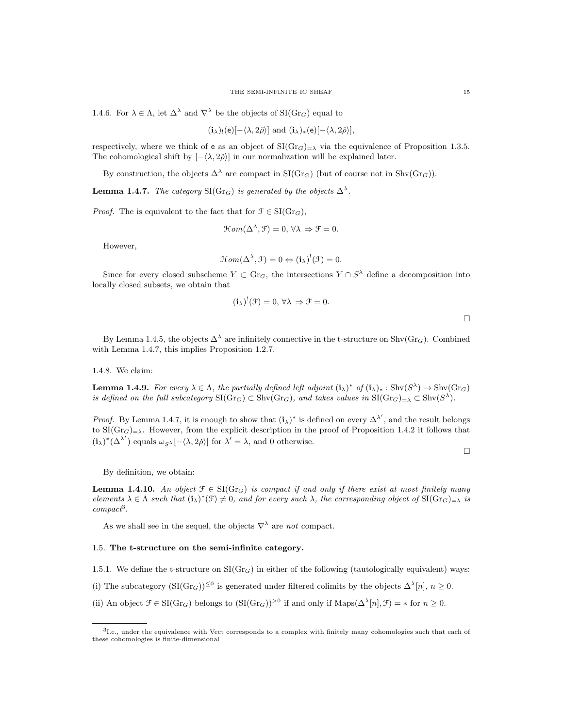1.4.6. For  $\lambda \in \Lambda$ , let  $\Delta^{\lambda}$  and  $\nabla^{\lambda}$  be the objects of  $\text{SI}(Gr_G)$  equal to

$$
(\mathbf{i}_{\lambda})_{!}(\mathbf{e})[-\langle\lambda,2\check{\rho}\rangle]\text{ and }(\mathbf{i}_{\lambda})_{*}(\mathbf{e})[-\langle\lambda,2\check{\rho}\rangle],
$$

respectively, where we think of e as an object of  $\text{SI}(Gr_G)_{=\lambda}$  via the equivalence of Proposition 1.3.5. The cohomological shift by  $[-\langle \lambda, 2\rangle]$  in our normalization will be explained later.

By construction, the objects  $\Delta^{\lambda}$  are compact in SI(Gr<sub>G</sub>) (but of course not in Shv(Gr<sub>G</sub>)).

**Lemma 1.4.7.** The category SI(Gr<sub>G</sub>) is generated by the objects  $\Delta^{\lambda}$ .

*Proof.* The is equivalent to the fact that for  $\mathcal{F} \in \mathrm{SI}(\mathrm{Gr}_G)$ ,

$$
\mathcal{H}om(\Delta^{\lambda}, \mathcal{F}) = 0, \,\forall \lambda \Rightarrow \mathcal{F} = 0.
$$

However,

$$
\mathcal{H}om(\Delta^{\lambda}, \mathcal{F}) = 0 \Leftrightarrow (\mathbf{i}_{\lambda})^!(\mathcal{F}) = 0.
$$

Since for every closed subscheme  $Y \subset \text{Gr}_G$ , the intersections  $Y \cap S^{\lambda}$  define a decomposition into locally closed subsets, we obtain that

$$
(\mathbf{i}_{\lambda})^{!}(\mathcal{F})=0, \forall \lambda \Rightarrow \mathcal{F}=0.
$$

 $\Box$ 

By Lemma 1.4.5, the objects  $\Delta^{\lambda}$  are infinitely connective in the t-structure on Shv $(\text{Gr}_G)$ . Combined with Lemma 1.4.7, this implies Proposition 1.2.7.

1.4.8. We claim:

**Lemma 1.4.9.** For every  $\lambda \in \Lambda$ , the partially defined left adjoint  $(i_{\lambda})^*$  of  $(i_{\lambda})_* : \text{Shv}(S^{\lambda}) \to \text{Shv}(Gr_G)$ is defined on the full subcategory  $\text{SI}(Gr_G) \subset \text{Shv}(Gr_G)$ , and takes values in  $\text{SI}(Gr_G)_{=\lambda} \subset \text{Shv}(S^{\lambda})$ .

*Proof.* By Lemma 1.4.7, it is enough to show that  $(i_\lambda)^*$  is defined on every  $\Delta^{\lambda'}$ , and the result belongs to  $SI(Gr_G)_{=\lambda}$ . However, from the explicit description in the proof of Proposition 1.4.2 it follows that  $(i_{\lambda})^*(\Delta^{\lambda'})$  equals  $\omega_{S^{\lambda}}[-\langle \lambda, 2\check{\rho} \rangle]$  for  $\lambda' = \lambda$ , and 0 otherwise.

 $\Box$ 

By definition, we obtain:

**Lemma 1.4.10.** An object  $\mathcal{F} \in \text{SI}(Gr_G)$  is compact if and only if there exist at most finitely many elements  $\lambda \in \Lambda$  such that  $(i_{\lambda})^*(\mathcal{F}) \neq 0$ , and for every such  $\lambda$ , the corresponding object of  $\mathrm{SI}(Gr_G)_{=\lambda}$  is compact<sup>3</sup>.

As we shall see in the sequel, the objects  $\nabla^{\lambda}$  are not compact.

#### 1.5. The t-structure on the semi-infinite category.

1.5.1. We define the t-structure on  $\text{SI}(Gr_G)$  in either of the following (tautologically equivalent) ways:

(i) The subcategory  $(SI(Gr_G))^{\leq 0}$  is generated under filtered colimits by the objects  $\Delta^{\lambda}[n], n \geq 0$ .

(ii) An object  $\mathcal{F} \in \mathrm{SI}(\mathrm{Gr}_G)$  belongs to  $(\mathrm{SI}(\mathrm{Gr}_G))^{>0}$  if and only if  $\mathrm{Maps}(\Delta^{\lambda}[n], \mathcal{F}) = *$  for  $n \geq 0$ .

<sup>3</sup>I.e., under the equivalence with Vect corresponds to a complex with finitely many cohomologies such that each of these cohomologies is finite-dimensional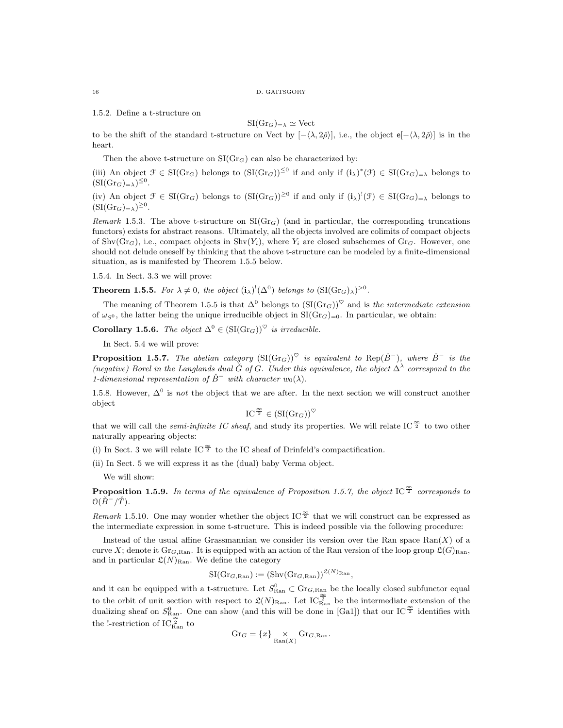1.5.2. Define a t-structure on

$$
SI(\mathrm{Gr}_G)_{=\lambda} \simeq \mathrm{Vect}
$$

to be the shift of the standard t-structure on Vect by  $[-\langle \lambda, 2\check{\rho} \rangle]$ , i.e., the object  $e[-\langle \lambda, 2\check{\rho} \rangle]$  is in the heart.

Then the above t-structure on  $\text{SI}(Gr_G)$  can also be characterized by:

(iii) An object  $\mathcal{F} \in \mathrm{SI}(\mathrm{Gr}_G)$  belongs to  $(\mathrm{SI}(\mathrm{Gr}_G))^{\leq 0}$  if and only if  $(i_\lambda)^*(\mathcal{F}) \in \mathrm{SI}(\mathrm{Gr}_G)_{=\lambda}$  belongs to  $(SI(\mathrm{Gr}_G)_{=\lambda})^{\leq 0}$ .

(iv) An object  $\mathcal{F} \in \mathrm{SI}(\mathrm{Gr}_G)$  belongs to  $(\mathrm{SI}(\mathrm{Gr}_G))^{\geq 0}$  if and only if  $(i_\lambda)^!(\mathcal{F}) \in \mathrm{SI}(\mathrm{Gr}_G)_{=\lambda}$  belongs to  $(SI(\mathrm{Gr}_G)_{=\lambda})^{\geq 0}$ .

Remark 1.5.3. The above t-structure on  $SI(Gr_G)$  (and in particular, the corresponding truncations functors) exists for abstract reasons. Ultimately, all the objects involved are colimits of compact objects of Shv $(Gr_G)$ , i.e., compact objects in Shv $(Y_i)$ , where  $Y_i$  are closed subschemes of Gr<sub>G</sub>. However, one should not delude oneself by thinking that the above t-structure can be modeled by a finite-dimensional situation, as is manifested by Theorem 1.5.5 below.

1.5.4. In Sect. 3.3 we will prove:

**Theorem 1.5.5.** For  $\lambda \neq 0$ , the object  $(i_{\lambda})^!(\Delta^0)$  belongs to  $(SI(\text{Gr}_G)_{\lambda})^{>0}$ .

The meaning of Theorem 1.5.5 is that  $\Delta^0$  belongs to  $(SI(\text{Gr}_G))^{\heartsuit}$  and is the intermediate extension of  $\omega_{S^0}$ , the latter being the unique irreducible object in SI(Gr<sub>G</sub>)=0. In particular, we obtain:

Corollary 1.5.6. The object  $\Delta^0 \in (\text{SI}(\text{Gr}_G))^{\heartsuit}$  is irreducible.

In Sect. 5.4 we will prove:

**Proposition 1.5.7.** The abelian category  $(SI(Gr_G))^\heartsuit$  is equivalent to Rep( $\check{B}^-$ ), where  $\check{B}^-$  is the (negative) Borel in the Langlands dual  $\check{G}$  of G. Under this equivalence, the object  $\Delta^{\lambda}$  correspond to the 1-dimensional representation of  $\check{B}^-$  with character w<sub>0</sub>( $\lambda$ ).

1.5.8. However,  $\Delta^0$  is not the object that we are after. In the next section we will construct another object

$$
IC^{\frac{\infty}{2}} \in (\mathrm{SI}(\mathrm{Gr}_G))^\heartsuit
$$

that we will call the *semi-infinite IC sheaf*, and study its properties. We will relate IC<sup> $\frac{\infty}{2}$ </sup> to two other naturally appearing objects:

(i) In Sect. 3 we will relate IC  $\frac{\infty}{2}$  to the IC sheaf of Drinfeld's compactification.

(ii) In Sect. 5 we will express it as the (dual) baby Verma object.

We will show:

**Proposition 1.5.9.** In terms of the equivalence of Proposition 1.5.7, the object IC  $\frac{\infty}{2}$  corresponds to  $O(\check{B}^-/\check{T})$ .

Remark 1.5.10. One may wonder whether the object IC  $\frac{\infty}{2}$  that we will construct can be expressed as the intermediate expression in some t-structure. This is indeed possible via the following procedure:

Instead of the usual affine Grassmannian we consider its version over the Ran space  $\text{Ran}(X)$  of a curve X; denote it  $Gr_{G, Ran}$ . It is equipped with an action of the Ran version of the loop group  $\mathfrak{L}(G)_{Ran}$ , and in particular  $\mathfrak{L}(N)_{\text{Ran}}$ . We define the category

$$
\mathrm{SI}(\mathrm{Gr}_{G,\mathrm{Ran}}):=(\mathrm{Shv}(\mathrm{Gr}_{G,\mathrm{Ran}}))^{\mathfrak{L}(N)_{\mathrm{Ran}}},
$$

and it can be equipped with a t-structure. Let  $S_{\text{Ran}}^0 \subset \text{Gr}_{G,\text{Ran}}$  be the locally closed subfunctor equal to the orbit of unit section with respect to  $\mathfrak{L}(N)_{\text{Ran}}$ . Let  $IC_{\text{Ran}}^{\frac{\infty}{2}}$  be the intermediate extension of the dualizing sheaf on  $S^0_{\text{Ran}}$ . One can show (and this will be done in [Ga1]) that our IC  $\frac{\infty}{2}$  identifies with the !-restriction of  $IC_{\text{Ran}}^{\frac{\infty}{2}}$  to

$$
Gr_G = \{x\} \underset{\text{Ran}(X)}{\times} Gr_{G,\text{Ran}}.
$$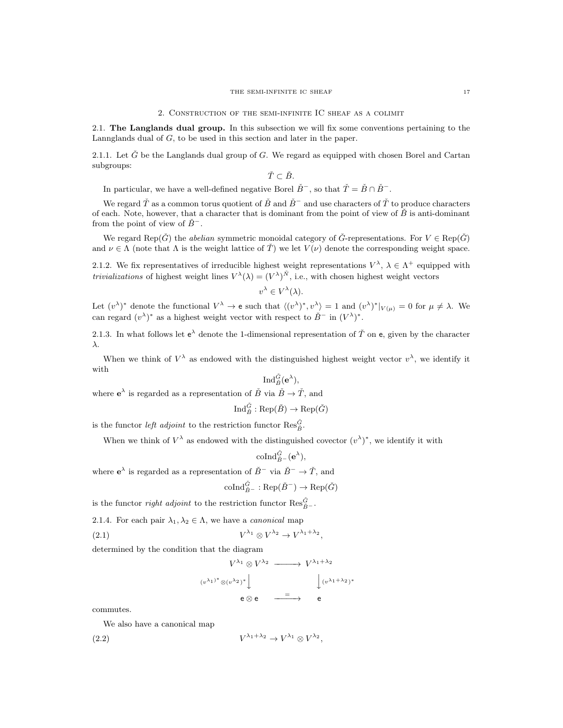2.1. The Langlands dual group. In this subsection we will fix some conventions pertaining to the Lannglands dual of G, to be used in this section and later in the paper.

2.1.1. Let  $\tilde{G}$  be the Langlands dual group of G. We regard as equipped with chosen Borel and Cartan subgroups:

$$
\check T\subset \check B.
$$

In particular, we have a well-defined negative Borel  $\check{B}^-$ , so that  $\check{T} = \check{B} \cap \check{B}^-$ .

We regard  $\check{T}$  as a common torus quotient of  $\check{B}$  and  $\check{B}^-$  and use characters of  $\check{T}$  to produce characters of each. Note, however, that a character that is dominant from the point of view of  $\check{B}$  is anti-dominant from the point of view of  $\check{B}^-$ .

We regard Rep( $\check{G}$ ) the *abelian* symmetric monoidal category of  $\check{G}$ -representations. For  $V \in \text{Rep}(\check{G})$ and  $\nu \in \Lambda$  (note that  $\Lambda$  is the weight lattice of  $\check{T}$ ) we let  $V(\nu)$  denote the corresponding weight space.

2.1.2. We fix representatives of irreducible highest weight representations  $V^{\lambda}$ ,  $\lambda \in \Lambda^+$  equipped with *trivializations* of highest weight lines  $V^{\lambda}(\lambda) = (V^{\lambda})^{\tilde{N}}$ , i.e., with chosen highest weight vectors

$$
v^{\lambda} \in V^{\lambda}(\lambda).
$$

Let  $(v^{\lambda})^*$  denote the functional  $V^{\lambda} \to e$  such that  $\langle (v^{\lambda})^*, v^{\lambda} \rangle = 1$  and  $(v^{\lambda})^*|_{V(\mu)} = 0$  for  $\mu \neq \lambda$ . We can regard  $(v^{\lambda})^*$  as a highest weight vector with respect to  $\check{B}^-$  in  $(V^{\lambda})^*$ .

2.1.3. In what follows let  $e^{\lambda}$  denote the 1-dimensional representation of  $\check{T}$  on e, given by the character λ.

When we think of  $V^{\lambda}$  as endowed with the distinguished highest weight vector  $v^{\lambda}$ , we identify it with

$$
\operatorname{Ind}_{\tilde{B}}^{\tilde{G}}(e^{\lambda}),
$$
 where  $e^{\lambda}$  is regarded as a representation of  $\tilde{B}$  via  $\tilde{B} \to \tilde{T}$ , and

$$
\operatorname{Ind}_{\check B}^{\check G}:\operatorname{Rep}(\check B)\to\operatorname{Rep}(\check G)
$$

is the functor  $\operatorname{\it left}$  adjoint to the restriction functor  $\operatorname{Res}_{B}^{\check{G}}.$ 

When we think of  $V^{\lambda}$  as endowed with the distinguished covector  $(v^{\lambda})^*$ , we identify it with

$$
\mathrm{coInd}_{\check{B}^-}^{\check{G}}(\mathbf{e}^{\lambda}),
$$

where  $e^{\lambda}$  is regarded as a representation of  $\check{B}^-$  via  $\check{B}^- \to \check{T}$ , and

$$
\mathrm{coInd}_{\check{B}^-}^{\check{G}}:\mathrm{Rep}(\check{B}^-)\to \mathrm{Rep}(\check{G})
$$

is the functor *right adjoint* to the restriction functor  $\text{Res}_{\check{B}^{-}}^{\check{G}}$ .

2.1.4. For each pair 
$$
\lambda_1, \lambda_2 \in \Lambda
$$
, we have a *canonical* map

$$
(2.1) \tV^{\lambda_1} \otimes V^{\lambda_2} \to V^{\lambda_1 + \lambda_2},
$$

determined by the condition that the diagram

$$
V^{\lambda_1} \otimes V^{\lambda_2} \longrightarrow V^{\lambda_1 + \lambda_2}
$$

$$
\downarrow \qquad \qquad \downarrow \downarrow \downarrow
$$

$$
e \otimes e \longrightarrow e
$$

$$
\xrightarrow{=} e
$$

∗

commutes.

We also have a canonical map

$$
(2.2) \tV^{\lambda_1+\lambda_2} \to V^{\lambda_1} \otimes V^{\lambda_2},
$$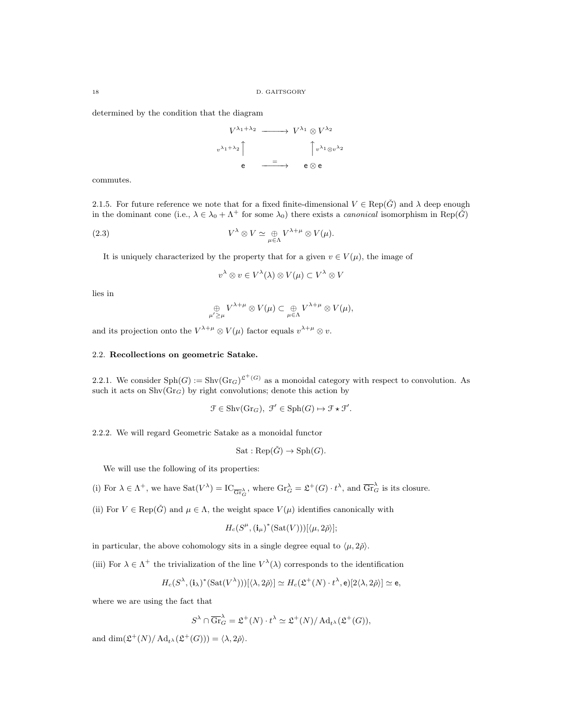determined by the condition that the diagram

$$
V^{\lambda_1+\lambda_2} \longrightarrow V^{\lambda_1} \otimes V^{\lambda_2}
$$
  
\n
$$
v^{\lambda_1+\lambda_2} \qquad \qquad \int v^{\lambda_1} \otimes v^{\lambda_2}
$$
  
\n
$$
e \longrightarrow e \otimes e
$$

commutes.

2.1.5. For future reference we note that for a fixed finite-dimensional  $V \in \text{Rep}(\check{G})$  and  $\lambda$  deep enough in the dominant cone (i.e.,  $\lambda \in \lambda_0 + \Lambda^+$  for some  $\lambda_0$ ) there exists a *canonical* isomorphism in Rep( $\check{G}$ )

(2.3) 
$$
V^{\lambda} \otimes V \simeq \bigoplus_{\mu \in \Lambda} V^{\lambda + \mu} \otimes V(\mu).
$$

It is uniquely characterized by the property that for a given  $v \in V(\mu)$ , the image of

 $v^\lambda \otimes v \in V^\lambda(\lambda) \otimes V(\mu) \subset V^\lambda \otimes V$ 

lies in

$$
\bigoplus_{\mu'\geq\mu}V^{\lambda+\mu}\otimes V(\mu)\subset \bigoplus_{\mu\in\Lambda}V^{\lambda+\mu}\otimes V(\mu),
$$

and its projection onto the  $V^{\lambda+\mu} \otimes V(\mu)$  factor equals  $v^{\lambda+\mu} \otimes v$ .

## 2.2. Recollections on geometric Satake.

2.2.1. We consider  $\text{Sph}(G) := \text{Shv}(\text{Gr}_G)^{2^+(G)}$  as a monoidal category with respect to convolution. As such it acts on  $\text{Shv}(Gr_G)$  by right convolutions; denote this action by

$$
\mathcal{F} \in \operatorname{Shv}(\operatorname{Gr}_G), \ \mathcal{F}' \in \operatorname{Sph}(G) \mapsto \mathcal{F} \star \mathcal{F}'.
$$

2.2.2. We will regard Geometric Satake as a monoidal functor

$$
Sat:Rep(\check{G}) \to Sph(G).
$$

We will use the following of its properties:

(i) For  $\lambda \in \Lambda^+$ , we have  $\text{Sat}(V^{\lambda}) = \text{IC}_{\overline{\text{Gr}}_{G}^{\lambda}}$ , where  $\text{Gr}_{G}^{\lambda} = \mathfrak{L}^+(G) \cdot t^{\lambda}$ , and  $\overline{\text{Gr}}_{G}^{\lambda}$  is its closure.

(ii) For  $V \in \text{Rep}(\check{G})$  and  $\mu \in \Lambda$ , the weight space  $V(\mu)$  identifies canonically with

$$
H_c(S^{\mu}, (\mathbf{i}_{\mu})^*(\mathrm{Sat}(V)))[\langle \mu, 2\check{\rho} \rangle];
$$

in particular, the above cohomology sits in a single degree equal to  $\langle \mu, 2\rho \rangle$ .

(iii) For  $\lambda \in \Lambda^+$  the trivialization of the line  $V^{\lambda}(\lambda)$  corresponds to the identification

$$
H_c(S^{\lambda}, (\mathbf{i}_{\lambda})^*(\mathrm{Sat}(V^{\lambda})))[\langle \lambda, 2\check{\rho} \rangle] \simeq H_c(\mathfrak{L}^+(N) \cdot t^{\lambda}, \mathsf{e})[2\langle \lambda, 2\check{\rho} \rangle] \simeq \mathsf{e},
$$

where we are using the fact that

$$
S^{\lambda} \cap \overline{\mathrm{Gr}}_{G}^{\lambda} = \mathfrak{L}^{+}(N) \cdot t^{\lambda} \simeq \mathfrak{L}^{+}(N) / \mathrm{Ad}_{t^{\lambda}}(\mathfrak{L}^{+}(G)),
$$

and dim $\left(\mathfrak{L}^+(N)/\operatorname{Ad}_{t^{\lambda}}(\mathfrak{L}^+(G))\right) = \langle \lambda, 2\check{\rho} \rangle.$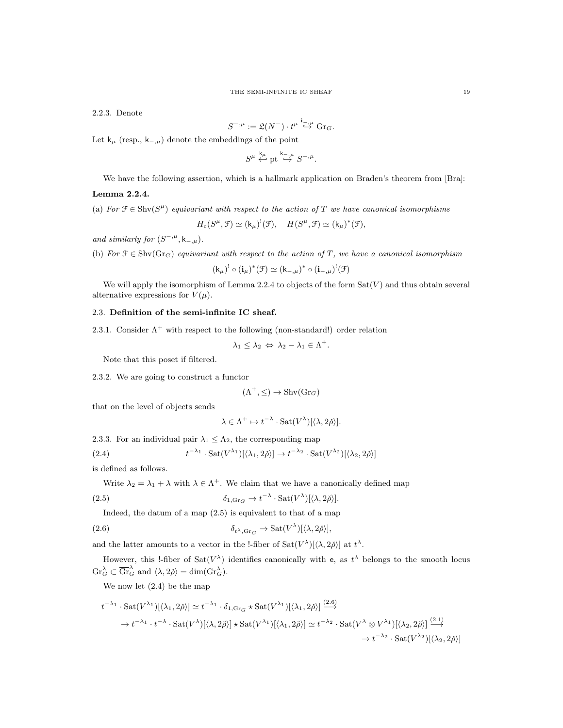2.2.3. Denote

$$
S^{-,\mu}:=\mathfrak{L}(N^-)\cdot t^{\mu}\stackrel{\mathbf{i}_{-,\mu}}{\hookrightarrow}\mathrm{Gr}_G.
$$

Let  $k_{\mu}$  (resp.,  $k_{-,\mu}$ ) denote the embeddings of the point

 $S^{\mu} \stackrel{k_{\mu}}{\leftrightarrow}$  pt  $\stackrel{k_{-,\mu}}{\hookrightarrow} S^{-,\mu}$ .

We have the following assertion, which is a hallmark application on Braden's theorem from [Bra]:

#### Lemma 2.2.4.

(a) For  $\mathcal{F} \in \text{Shv}(S^{\mu})$  equivariant with respect to the action of T we have canonical isomorphisms

$$
H_c(S^{\mu}, \mathcal{F}) \simeq (\mathsf{k}_{\mu})^!(\mathcal{F}), \quad H(S^{\mu}, \mathcal{F}) \simeq (\mathsf{k}_{\mu})^*(\mathcal{F}),
$$

and similarly for  $(S^{-,\mu}, \mathsf{k}_{-,\mu}).$ 

(b) For  $\mathcal{F} \in \text{Shv}(Gr_G)$  equivariant with respect to the action of T, we have a canonical isomorphism

$$
(\mathsf{k}_{\mu})^! \circ (\mathbf{i}_{\mu})^* (\mathfrak{F}) \simeq (\mathsf{k}_{-,\mu})^* \circ (\mathbf{i}_{-,\mu})^! (\mathfrak{F})
$$

We will apply the isomorphism of Lemma 2.2.4 to objects of the form  $Sat(V)$  and thus obtain several alternative expressions for  $V(\mu)$ .

# 2.3. Definition of the semi-infinite IC sheaf.

2.3.1. Consider  $\Lambda^+$  with respect to the following (non-standard!) order relation

$$
\lambda_1 \leq \lambda_2 \Leftrightarrow \lambda_2 - \lambda_1 \in \Lambda^+.
$$

Note that this poset if filtered.

2.3.2. We are going to construct a functor

$$
(\Lambda^+, \leq) \to \text{Shv}(\text{Gr}_G)
$$

that on the level of objects sends

$$
\lambda \in \Lambda^+ \mapsto t^{-\lambda} \cdot \text{Sat}(V^{\lambda})[\langle \lambda, 2\check{\rho} \rangle].
$$

2.3.3. For an individual pair  $\lambda_1 \leq \Lambda_2$ , the corresponding map

$$
t^{-\lambda_1} \cdot \mathrm{Sat}(V^{\lambda_1})[\langle \lambda_1, 2\check{\rho} \rangle] \to t^{-\lambda_2} \cdot \mathrm{Sat}(V^{\lambda_2})[\langle \lambda_2, 2\check{\rho} \rangle]
$$

is defined as follows.

 $(2.4)$ 

Write  $\lambda_2 = \lambda_1 + \lambda$  with  $\lambda \in \Lambda^+$ . We claim that we have a canonically defined map

(2.5) 
$$
\delta_{1,\text{Gr}_G} \to t^{-\lambda} \cdot \text{Sat}(V^{\lambda})[\langle \lambda, 2\check{\rho} \rangle].
$$

Indeed, the datum of a map (2.5) is equivalent to that of a map

(2.6) 
$$
\delta_{t^{\lambda}, \text{Gr}_G} \to \text{Sat}(V^{\lambda})[\langle \lambda, 2\check{\rho} \rangle],
$$

and the latter amounts to a vector in the !-fiber of  $Sat(V^{\lambda})[\langle \lambda, 2\check{\rho} \rangle]$  at  $t^{\lambda}$ .

However, this !-fiber of  $\text{Sat}(V^{\lambda})$  identifies canonically with e, as  $t^{\lambda}$  belongs to the smooth locus  $\mathrm{Gr}_{G}^{\lambda} \subset \overline{\mathrm{Gr}}_{G}^{\lambda}$  and  $\langle \lambda, 2\check{\rho} \rangle = \dim(\mathrm{Gr}_{G}^{\lambda}).$ 

We now let (2.4) be the map

$$
t^{-\lambda_1} \cdot \operatorname{Sat}(V^{\lambda_1})[\langle \lambda_1, 2\check{\rho} \rangle] \simeq t^{-\lambda_1} \cdot \delta_{1, \text{Gr}_G} \star \operatorname{Sat}(V^{\lambda_1})[\langle \lambda_1, 2\check{\rho} \rangle] \stackrel{(2.6)}{\longrightarrow}
$$
  

$$
\rightarrow t^{-\lambda_1} \cdot t^{-\lambda} \cdot \operatorname{Sat}(V^{\lambda})[\langle \lambda, 2\check{\rho} \rangle] \star \operatorname{Sat}(V^{\lambda_1})[\langle \lambda_1, 2\check{\rho} \rangle] \simeq t^{-\lambda_2} \cdot \operatorname{Sat}(V^{\lambda} \otimes V^{\lambda_1})[\langle \lambda_2, 2\check{\rho} \rangle] \stackrel{(2.1)}{\longrightarrow}
$$
  

$$
\rightarrow t^{-\lambda_2} \cdot \operatorname{Sat}(V^{\lambda_2})[\langle \lambda_2, 2\check{\rho} \rangle]
$$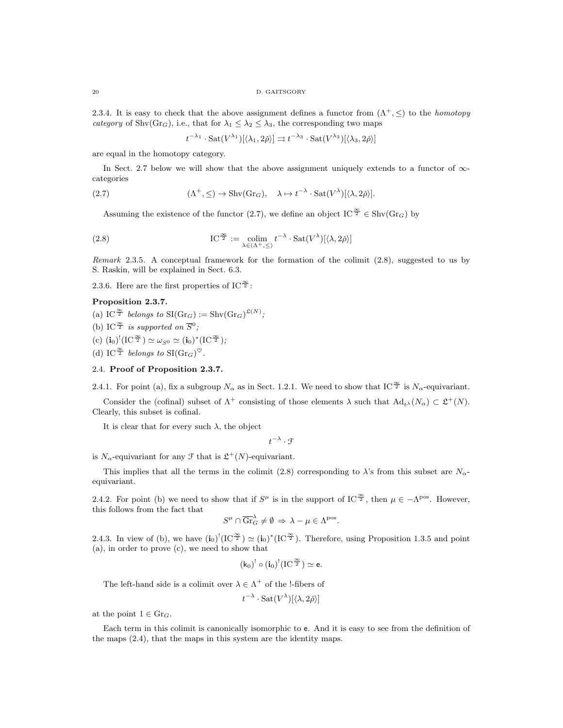2.3.4. It is easy to check that the above assignment defines a functor from  $(\Lambda^+, \leq)$  to the *homotopy* category of Shv(Gr<sub>G</sub>), i.e., that for  $\lambda_1 \leq \lambda_2 \leq \lambda_3$ , the corresponding two maps

 $t^{-\lambda_1} \cdot \mathrm{Sat}(V^{\lambda_1})[\langle \lambda_1, 2\check{\rho} \rangle] \rightrightarrows t^{-\lambda_3} \cdot \mathrm{Sat}(V^{\lambda_3})[\langle \lambda_3, 2\check{\rho} \rangle]$ 

are equal in the homotopy category.

In Sect. 2.7 below we will show that the above assignment uniquely extends to a functor of  $\infty$ categories

(2.7) 
$$
(\Lambda^+, \leq) \to \text{Shv}(\text{Gr}_G), \quad \lambda \mapsto t^{-\lambda} \cdot \text{Sat}(V^{\lambda})[\langle \lambda, 2\check{\rho} \rangle].
$$

Assuming the existence of the functor (2.7), we define an object IC  $\frac{\infty}{2} \in \text{Shv}(Gr_G)$  by

(2.8) 
$$
\text{IC}^{\frac{\infty}{2}} := \underset{\lambda \in (\Lambda^+, \leq)}{\text{colim}} t^{-\lambda} \cdot \text{Sat}(V^{\lambda})[\langle \lambda, 2\check{\rho} \rangle]
$$

Remark 2.3.5. A conceptual framework for the formation of the colimit  $(2.8)$ , suggested to us by S. Raskin, will be explained in Sect. 6.3.

2.3.6. Here are the first properties of IC $\frac{\infty}{2}$ :

# Proposition 2.3.7.

- (a) IC<sup> $\frac{\infty}{2}$ </sup> belongs to SI(Gr<sub>G</sub>) := Shv(Gr<sub>G</sub>)<sup> $\mathfrak{L}^{(N)}$ ;</sup>
- (b) IC<sup> $\frac{\infty}{2}$ </sup> is supported on  $\overline{S}^0$ ;
- (c)  $({\bf i}_0)^!(\mathrm{IC}^{\frac{\infty}{2}}) \simeq \omega_{S^0} \simeq ({\bf i}_0)^*(\mathrm{IC}^{\frac{\infty}{2}})$ ;
- (d) IC<sup> $\frac{\infty}{2}$ </sup> belongs to SI(Gr<sub>G</sub>)<sup> $\heartsuit$ </sup>.

## 2.4. Proof of Proposition 2.3.7.

2.4.1. For point (a), fix a subgroup  $N_{\alpha}$  as in Sect. 1.2.1. We need to show that IC  $\frac{\infty}{2}$  is  $N_{\alpha}$ -equivariant.

Consider the (cofinal) subset of  $\Lambda^+$  consisting of those elements  $\lambda$  such that  $\text{Ad}_{t^{\lambda}}(N_{\alpha}) \subset \mathfrak{L}^+(N)$ . Clearly, this subset is cofinal.

It is clear that for every such  $\lambda$ , the object

 $t^{-\lambda} \cdot \mathcal{F}$ 

is  $N_{\alpha}$ -equivariant for any  $\mathcal{F}$  that is  $\mathfrak{L}^+(N)$ -equivariant.

This implies that all the terms in the colimit (2.8) corresponding to  $\lambda$ 's from this subset are  $N_{\alpha}$ equivariant.

2.4.2. For point (b) we need to show that if  $S^{\mu}$  is in the support of IC<sup> $\frac{\infty}{2}$ </sup>, then  $\mu \in -\Lambda^{pos}$ . However, this follows from the fact that

$$
S^{\mu} \cap \overline{\mathrm{Gr}}_{G}^{\lambda} \neq \emptyset \Rightarrow \lambda - \mu \in \Lambda^{\mathrm{pos}}.
$$

2.4.3. In view of (b), we have  $(i_0)^!(IC^{\frac{\infty}{2}}) \simeq (i_0)^*(IC^{\frac{\infty}{2}})$ . Therefore, using Proposition 1.3.5 and point (a), in order to prove (c), we need to show that

$$
(k_0)^!\circ(\mathbf{i}_0)^!(\mathrm{IC}^{\frac{\infty}{2}})\simeq \mathsf{e}.
$$

The left-hand side is a colimit over  $\lambda \in \Lambda^+$  of the l-fibers of

$$
t^{-\lambda} \cdot \text{Sat}(V^{\lambda})[\langle \lambda, 2\check{\rho} \rangle]
$$

at the point  $1 \in \mathrm{Gr}_G$ .

Each term in this colimit is canonically isomorphic to e. And it is easy to see from the definition of the maps (2.4), that the maps in this system are the identity maps.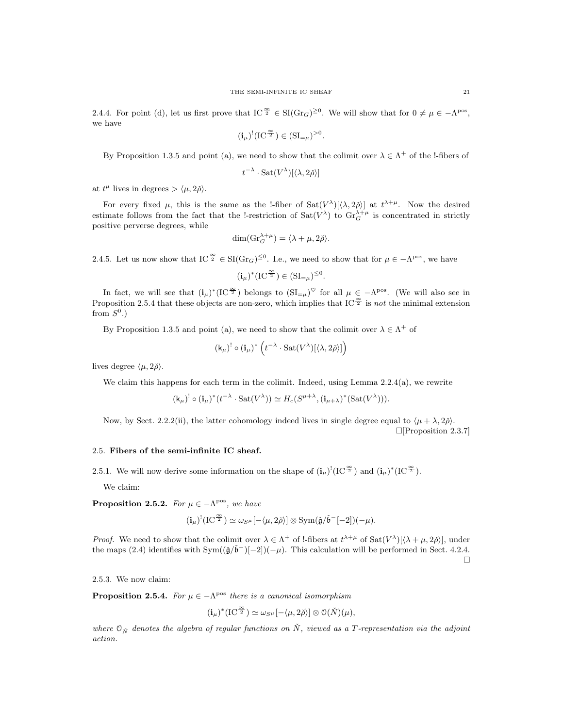2.4.4. For point (d), let us first prove that  $IC^{\frac{\infty}{2}} \in SI(\text{Gr}_G)^{\geq 0}$ . We will show that for  $0 \neq \mu \in -\Lambda^{pos}$ , we have

$$
(\mathbf{i}_\mu)^!(\mathrm{IC}^{\frac{\infty}{2}})\in(\mathrm{SI}_{=\mu})^{>0}.
$$

By Proposition 1.3.5 and point (a), we need to show that the colimit over  $\lambda \in \Lambda^+$  of the !-fibers of

$$
t^{-\lambda} \cdot \text{Sat}(V^{\lambda})[\langle \lambda, 2\check{\rho} \rangle]
$$

at  $t^{\mu}$  lives in degrees  $> \langle \mu, 2\check{\rho} \rangle$ .

For every fixed  $\mu$ , this is the same as the !-fiber of  $Sat(V^{\lambda})[\langle \lambda, 2\check{\rho}\rangle]$  at  $t^{\lambda+\mu}$ . Now the desired estimate follows from the fact that the !-restriction of  $\text{Sat}(V^{\lambda})$  to  $\text{Gr}_{G}^{\lambda+\mu}$  is concentrated in strictly positive perverse degrees, while

$$
\dim(\mathrm{Gr}_G^{\lambda+\mu}) = \langle \lambda + \mu, 2\check{\rho} \rangle.
$$

2.4.5. Let us now show that  $IC^{\frac{\infty}{2}} \in \mathrm{SI}(\mathrm{Gr}_G)^{\leq 0}$ . I.e., we need to show that for  $\mu \in \Lambda^{\text{pos}}$ , we have

 $(i_{\mu})^*(IC^{\frac{\infty}{2}}) \in (SI_{=\mu})^{\leq 0}.$ 

In fact, we will see that  $(i_\mu)^*(IC^{\frac{\infty}{2}})$  belongs to  $(SI_{=\mu})^{\heartsuit}$  for all  $\mu \in -\Lambda^{pos}$ . (We will also see in Proposition 2.5.4 that these objects are non-zero, which implies that IC  $\frac{\infty}{2}$  is not the minimal extension from  $S^0$ .)

By Proposition 1.3.5 and point (a), we need to show that the colimit over  $\lambda \in \Lambda^+$  of

$$
\left(\mathsf{k}_\mu\right)^{\mathsf{!`}}\circ\left(\mathbf{i}_\mu\right)^*\left(t^{-\lambda}\cdot \mathrm{Sat}(V^\lambda)[\langle\lambda,2\check\rho\rangle]\right)
$$

lives degree  $\langle \mu, 2\rangle$ .

We claim this happens for each term in the colimit. Indeed, using Lemma 2.2.4(a), we rewrite

$$
(\mathsf{k}_{\mu})^! \circ (\mathbf{i}_{\mu})^* (t^{-\lambda} \cdot \operatorname{Sat}(V^{\lambda})) \simeq H_c(S^{\mu+\lambda}, (\mathbf{i}_{\mu+\lambda})^* (\operatorname{Sat}(V^{\lambda}))).
$$

Now, by Sect. 2.2.2(ii), the latter cohomology indeed lives in single degree equal to  $\langle \mu + \lambda, 2\delta \rangle$ .  $\Box$ [Proposition 2.3.7]

## 2.5. Fibers of the semi-infinite IC sheaf.

2.5.1. We will now derive some information on the shape of  $(i_\mu)^!(IC^{\frac{\infty}{2}})$  and  $(i_\mu)^*(IC^{\frac{\infty}{2}})$ .

We claim:

**Proposition 2.5.2.** For  $\mu \in -\Lambda^{pos}$ , we have

$$
(\mathbf{i}_{\mu})^!(\mathrm{IC}^{\frac{\infty}{2}}) \simeq \omega_{S^{\mu}}[-\langle \mu, 2\check{\rho} \rangle] \otimes \mathrm{Sym}(\check{\mathfrak{g}}/\check{\mathfrak{b}}^-[-2])(-\mu).
$$

*Proof.* We need to show that the colimit over  $\lambda \in \Lambda^+$  of !-fibers at  $t^{\lambda+\mu}$  of  $\text{Sat}(V^{\lambda})[\lambda+\mu,2\tilde{\rho}]$ , under the maps (2.4) identifies with  $Sym((\check{\mathfrak{g}}/\check{\mathfrak{b}}^-)[-2])(-\mu)$ . This calculation will be performed in Sect. 4.2.4.  $\Box$ 

2.5.3. We now claim:

**Proposition 2.5.4.** For  $\mu \in -\Lambda^{pos}$  there is a canonical isomorphism

$$
(\mathbf{i}_{\mu})^* (\mathrm{IC}^{\frac{\infty}{2}}) \simeq \omega_{S^{\mu}} [-\langle \mu, 2\check{\rho} \rangle] \otimes \mathcal{O}(\check{N})(\mu),
$$

where  $\mathfrak{O}_{\check{N}}$  denotes the algebra of regular functions on  $\check{N}$ , viewed as a T-representation via the adjoint action.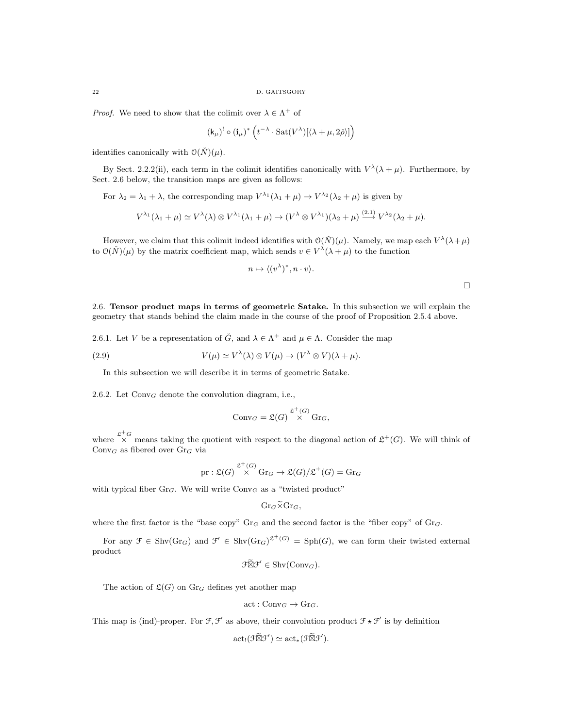*Proof.* We need to show that the colimit over  $\lambda \in \Lambda^+$  of

$$
(\mathsf{k}_{\mu})^! \circ (\mathbf{i}_{\mu})^* \left( t^{-\lambda} \cdot \mathrm{Sat}(V^{\lambda})[\langle \lambda + \mu, 2\check{\rho} \rangle] \right)
$$

identifies canonically with  $\mathcal{O}(\check{N})(\mu)$ .

By Sect. 2.2.2(ii), each term in the colimit identifies canonically with  $V^{\lambda}(\lambda + \mu)$ . Furthermore, by Sect. 2.6 below, the transition maps are given as follows:

For  $\lambda_2 = \lambda_1 + \lambda$ , the corresponding map  $V^{\lambda_1}(\lambda_1 + \mu) \to V^{\lambda_2}(\lambda_2 + \mu)$  is given by

$$
V^{\lambda_1}(\lambda_1 + \mu) \simeq V^{\lambda}(\lambda) \otimes V^{\lambda_1}(\lambda_1 + \mu) \to (V^{\lambda} \otimes V^{\lambda_1})(\lambda_2 + \mu) \stackrel{(2.1)}{\longrightarrow} V^{\lambda_2}(\lambda_2 + \mu).
$$

However, we claim that this colimit indeed identifies with  $\mathcal{O}(\check{N})(\mu)$ . Namely, we map each  $V^{\lambda}(\lambda+\mu)$ to  $\mathcal{O}(\check{N})(\mu)$  by the matrix coefficient map, which sends  $v \in V^{\lambda}(\lambda + \mu)$  to the function

$$
n \mapsto \langle (v^{\lambda})^*, n \cdot v \rangle.
$$

 $\Box$ 

2.6. Tensor product maps in terms of geometric Satake. In this subsection we will explain the geometry that stands behind the claim made in the course of the proof of Proposition 2.5.4 above.

2.6.1. Let V be a representation of  $\check{G}$ , and  $\lambda \in \Lambda^+$  and  $\mu \in \Lambda$ . Consider the map

(2.9) 
$$
V(\mu) \simeq V^{\lambda}(\lambda) \otimes V(\mu) \to (V^{\lambda} \otimes V)(\lambda + \mu).
$$

In this subsection we will describe it in terms of geometric Satake.

2.6.2. Let  $Conv_G$  denote the convolution diagram, i.e.,

$$
Conv_G = \mathfrak{L}(G) \overset{\mathfrak{L}^+(G)}{\times} \text{Gr}_G,
$$

where  $\chi^+G$  means taking the quotient with respect to the diagonal action of  $\mathfrak{L}^+(G)$ . We will think of  $Conv_G$  as fibered over  $Gr_G$  via

pr: 
$$
\mathfrak{L}(G) \stackrel{\mathfrak{L}^+(G)}{\times} \operatorname{Gr}_G \to \mathfrak{L}(G)/\mathfrak{L}^+(G) = \operatorname{Gr}_G
$$

with typical fiber  $Gr_G$ . We will write  $Conv_G$  as a "twisted product"

$$
\mathrm{Gr}_G\widetilde{\times}\mathrm{Gr}_G,
$$

where the first factor is the "base copy"  $Gr_G$  and the second factor is the "fiber copy" of  $Gr_G$ .

For any  $\mathfrak{F} \in \text{Shv}(Gr_G)$  and  $\mathfrak{F}' \in \text{Shv}(Gr_G)^{\mathfrak{L}^+(G)} = \text{Sph}(G)$ , we can form their twisted external product

$$
\mathfrak{F} \widetilde{\boxtimes} \mathfrak{F}' \in \mathrm{Shv}(\mathrm{Conv}_G).
$$

The action of  $\mathfrak{L}(G)$  on  $\mathrm{Gr}_G$  defines yet another map

$$
\text{act}: \text{Conv}_G \to \text{Gr}_G.
$$

This map is (ind)-proper. For  $\mathcal{F}, \mathcal{F}'$  as above, their convolution product  $\mathcal{F} \star \mathcal{F}'$  is by definition

$$
\mathrm{act}_! (\mathcal{F} \widetilde{\boxtimes} \mathcal{F}') \simeq \mathrm{act}_* (\mathcal{F} \widetilde{\boxtimes} \mathcal{F}').
$$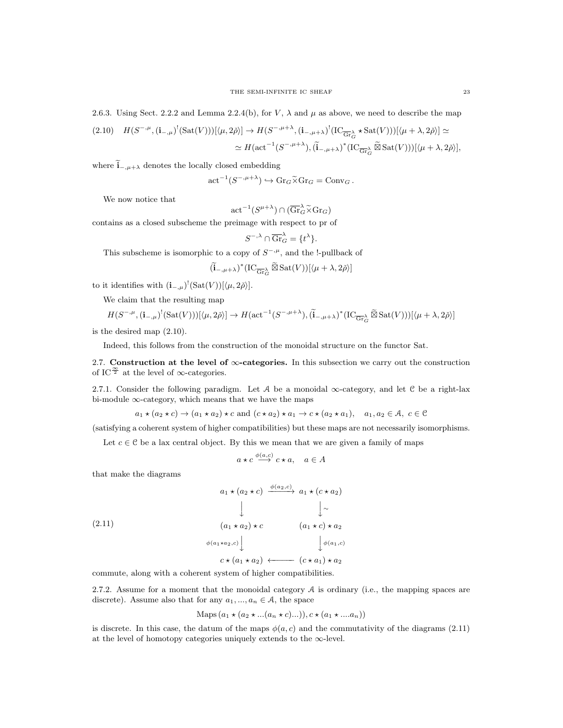2.6.3. Using Sect. 2.2.2 and Lemma 2.2.4(b), for V,  $\lambda$  and  $\mu$  as above, we need to describe the map

$$
(2.10) \quad H(S^{-,\mu}, (\mathbf{i}_{-,\mu})^!(\text{Sat}(V)))[\langle \mu, 2\check{\rho} \rangle] \to H(S^{-,\mu+\lambda}, (\mathbf{i}_{-,\mu+\lambda})^!(\text{IC}_{\overline{\text{Gr}}^{\lambda}_{G}} \star \text{Sat}(V)))[\langle \mu + \lambda, 2\check{\rho} \rangle] \simeq
$$

$$
\simeq H(\text{act}^{-1}(S^{-,\mu+\lambda}), (\widetilde{\mathbf{i}}_{-,\mu+\lambda})^*(\text{IC}_{\overline{\text{Gr}}^{\lambda}_{G}} \widetilde{\boxtimes} \text{Sat}(V)))[\langle \mu + \lambda, 2\check{\rho} \rangle],
$$

where  $\widetilde{\mathbf{i}}_{-,\mu+\lambda}$  denotes the locally closed embedding

$$
\operatorname{act}^{-1}(S^{-,\mu+\lambda}) \hookrightarrow \operatorname{Gr}_G \widetilde{\times} \operatorname{Gr}_G = \operatorname{Conv}_G.
$$

We now notice that

$$
\mathrm{act}^{-1}(S^{\mu+\lambda}) \cap (\overline{\mathrm{Gr}}_G^{\lambda} \widetilde{\times} \mathrm{Gr}_G)
$$

contains as a closed subscheme the preimage with respect to pr of

$$
S^{-,\lambda} \cap \overline{\mathrm{Gr}}_G^{\lambda} = \{t^{\lambda}\}.
$$

This subscheme is isomorphic to a copy of  $S^{-,\mu}$ , and the !-pullback of

$$
(\widetilde{\mathbf{i}}_{-,\mu+\lambda})^* (\mathrm{IC}_{\overline{\mathrm{Gr}}_{G}^{\lambda}} \widetilde{\boxtimes} \, \mathrm{Sat}(V))[\langle \mu+\lambda, 2\check{\rho} \rangle]
$$

to it identifies with  $(i_{-, \mu})^!(\text{Sat}(V))[\langle \mu, 2\check{\rho} \rangle].$ 

We claim that the resulting map

$$
H(S^{-,\mu}, (\mathbf{i}_{-,\mu})^!(\text{Sat}(V)))[\langle \mu, 2\check{\rho} \rangle] \to H(\text{act}^{-1}(S^{-,\mu+\lambda}), (\widetilde{\mathbf{i}}_{-,\mu+\lambda})^*(\text{IC}_{\overline{\text{Gr}}^{\lambda}_{G}} \widetilde{\boxtimes} \text{Sat}(V)))[\langle \mu + \lambda, 2\check{\rho} \rangle]
$$

is the desired map (2.10).

Indeed, this follows from the construction of the monoidal structure on the functor Sat.

2.7. Construction at the level of  $\infty$ -categories. In this subsection we carry out the construction of IC $\frac{\infty}{2}$  at the level of  $\infty$ -categories.

2.7.1. Consider the following paradigm. Let A be a monoidal  $\infty$ -category, and let C be a right-lax bi-module ∞-category, which means that we have the maps

 $a_1 \star (a_2 \star c) \to (a_1 \star a_2) \star c$  and  $(c \star a_2) \star a_1 \to c \star (a_2 \star a_1), a_1, a_2 \in \mathcal{A}, c \in \mathcal{C}$ 

(satisfying a coherent system of higher compatibilities) but these maps are not necessarily isomorphisms.

Let  $c \in \mathcal{C}$  be a lax central object. By this we mean that we are given a family of maps

$$
a \star c \xrightarrow{\phi(a,c)} c \star a, \quad a \in A
$$

that make the diagrams

$$
(2.11)
$$
\n
$$
a_1 \star (a_2 \star c) \xrightarrow{\phi(a_2,c)} a_1 \star (c \star a_2)
$$
\n
$$
\downarrow \qquad \qquad \downarrow \sim
$$
\n
$$
(a_1 \star a_2) \star c \qquad (a_1 \star c) \star a_2
$$
\n
$$
\phi(a_1 \star a_2, c) \qquad \qquad \downarrow \phi(a_1, c)
$$
\n
$$
c \star (a_1 \star a_2) \leftarrow (c \star a_1) \star a_2
$$

commute, along with a coherent system of higher compatibilities.

2.7.2. Assume for a moment that the monoidal category  $A$  is ordinary (i.e., the mapping spaces are discrete). Assume also that for any  $a_1, ..., a_n \in A$ , the space

Maps 
$$
(a_1 \star (a_2 \star ... (a_n \star c)...)), c \star (a_1 \star ... a_n))
$$

is discrete. In this case, the datum of the maps  $\phi(a, c)$  and the commutativity of the diagrams (2.11) at the level of homotopy categories uniquely extends to the  $\infty$ -level.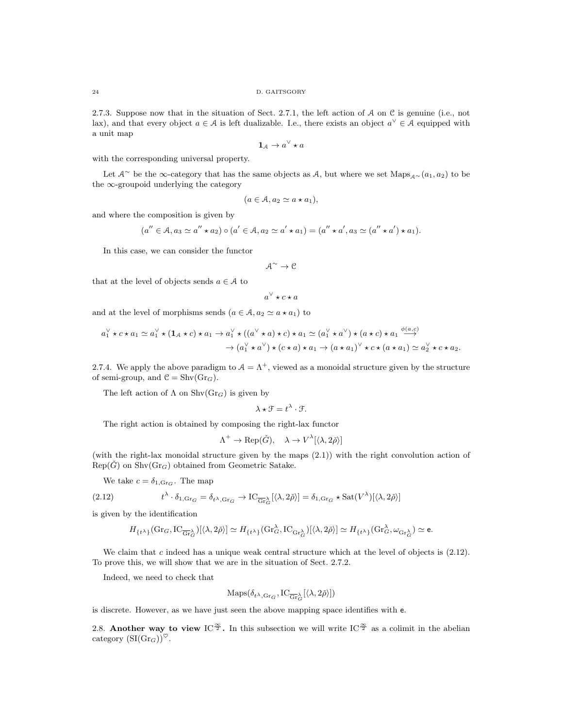2.7.3. Suppose now that in the situation of Sect. 2.7.1, the left action of  $A$  on  $C$  is genuine (i.e., not lax), and that every object  $a \in \mathcal{A}$  is left dualizable. I.e., there exists an object  $a^{\vee} \in \mathcal{A}$  equipped with a unit map

$$
\mathbf{1}_{\mathcal{A}} \to a^{\vee} \star a
$$

with the corresponding universal property.

Let  $\mathcal{A}^{\sim}$  be the ∞-category that has the same objects as  $\mathcal{A}$ , but where we set  $\text{Maps}_{\mathcal{A}^{\sim}}(a_1, a_2)$  to be the  $\infty$ -groupoid underlying the category

$$
(a \in \mathcal{A}, a_2 \simeq a \star a_1),
$$

and where the composition is given by

$$
(a'' \in A, a_3 \simeq a'' \star a_2) \circ (a' \in A, a_2 \simeq a' \star a_1) = (a'' \star a', a_3 \simeq (a'' \star a') \star a_1).
$$

In this case, we can consider the functor

$$
\mathcal{A}^{\sim}\rightarrow\mathcal{C}
$$

that at the level of objects sends  $a \in \mathcal{A}$  to

$$
a^\vee \star c \star a
$$

and at the level of morphisms sends  $(a \in \mathcal{A}, a_2 \simeq a \star a_1)$  to

$$
a_1^{\vee} \star c \star a_1 \simeq a_1^{\vee} \star (\mathbf{1}_A \star c) \star a_1 \to a_1^{\vee} \star ((a^{\vee} \star a) \star c) \star a_1 \simeq (a_1^{\vee} \star a^{\vee}) \star (a \star c) \star a_1 \xrightarrow{\phi(a,c)} \rightarrow (a_1^{\vee} \star a^{\vee}) \star (c \star a) \star a_1 \to (a \star a_1)^{\vee} \star c \star (a \star a_1) \simeq a_2^{\vee} \star c \star a_2.
$$

2.7.4. We apply the above paradigm to  $A = \Lambda^+$ , viewed as a monoidal structure given by the structure of semi-group, and  $\mathcal{C} = \text{Shv}(Gr_G)$ .

The left action of  $\Lambda$  on  $\text{Shv}(Gr_G)$  is given by

$$
\lambda \star \mathcal{F} = t^{\lambda} \cdot \mathcal{F}.
$$

The right action is obtained by composing the right-lax functor

$$
\Lambda^+ \to \text{Rep}(\check{G}), \quad \lambda \to V^{\lambda}[\langle \lambda, 2\check{\rho} \rangle]
$$

(with the right-lax monoidal structure given by the maps (2.1)) with the right convolution action of  $Rep(\check{G})$  on  $Shv(\text{Gr}_G)$  obtained from Geometric Satake.

We take  $c = \delta_{1,\text{Gr}_G}$ . The map

(2.12) 
$$
t^{\lambda} \cdot \delta_{1, \text{Gr}_G} = \delta_{t^{\lambda}, \text{Gr}_G} \to \text{IC}_{\overline{\text{Gr}}^{\lambda}_G}[\langle \lambda, 2\check{\rho} \rangle] = \delta_{1, \text{Gr}_G} \star \text{Sat}(V^{\lambda})[\langle \lambda, 2\check{\rho} \rangle]
$$

is given by the identification

$$
H_{\{t^\lambda\}}(\mathrm{Gr}_G,\mathrm{IC}_{\overline{\mathrm{Gr}}_G^\lambda})[\langle \lambda,2\check{\rho}\rangle]\simeq H_{\{t^\lambda\}}(\mathrm{Gr}_G^\lambda,\mathrm{IC}_{\mathrm{Gr}_G^\lambda})[\langle \lambda,2\check{\rho}\rangle]\simeq H_{\{t^\lambda\}}(\mathrm{Gr}_G^\lambda,\omega_{\mathrm{Gr}_G^\lambda})\simeq \mathrm{e}.
$$

We claim that c indeed has a unique weak central structure which at the level of objects is  $(2.12)$ . To prove this, we will show that we are in the situation of Sect. 2.7.2.

Indeed, we need to check that

$$
\mathrm{Maps}(\delta_{t^{\lambda}, \mathrm{Gr}_G}, \mathrm{IC}_{\overline{\mathrm{Gr}}_G^{\lambda}}[\langle \lambda, 2\check{\rho} \rangle])
$$

is discrete. However, as we have just seen the above mapping space identifies with e.

2.8. Another way to view IC<sup> $\frac{\infty}{2}$ </sup>. In this subsection we will write IC<sup> $\frac{\infty}{2}$ </sup> as a colimit in the abelian category  $(SI(Gr_G))^\heartsuit$ .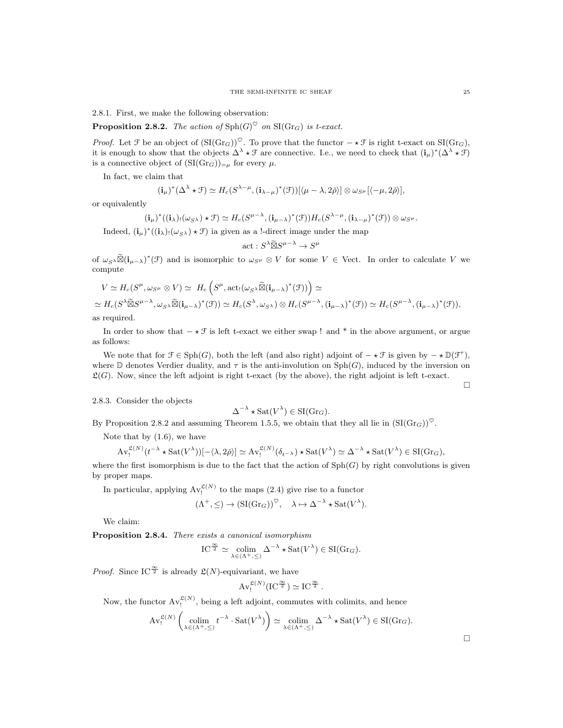2.8.1. First, we make the following observation:

**Proposition 2.8.2.** The action of  $\text{Sph}(G)^\heartsuit$  on  $\text{SI}(Gr_G)$  is t-exact.

*Proof.* Let  $\mathcal F$  be an object of  $(SI(\text{Gr}_G))^{\heartsuit}$ . To prove that the functor  $-\star\mathcal F$  is right t-exact on  $SI(\text{Gr}_G)$ , it is enough to show that the objects  $\Delta^{\lambda} \star \mathcal{F}$  are connective. I.e., we need to check that  $(i_{\mu})^*(\Delta^{\lambda} \star \mathcal{F})$ is a connective object of  $(SI(Gr_G))_{=\mu}$  for every  $\mu$ .

In fact, we claim that

$$
(\mathbf{i}_{\mu})^*(\Delta^{\lambda} \star \mathcal{F}) \simeq H_c(S^{\lambda-\mu}, (\mathbf{i}_{\lambda-\mu})^*(\mathcal{F}))[\langle \mu-\lambda, 2\check{\rho} \rangle] \otimes \omega_{S^{\mu}}[\langle -\mu, 2\check{\rho} \rangle],
$$

or equivalently

$$
(\mathbf{i}_{\mu})^*((\mathbf{i}_{\lambda})_!(\omega_{S^{\lambda}}) \star \mathcal{F}) \simeq H_c(S^{\mu-\lambda}, (\mathbf{i}_{\mu-\lambda})^*(\mathcal{F}))H_c(S^{\lambda-\mu}, (\mathbf{i}_{\lambda-\mu})^*(\mathcal{F})) \otimes \omega_{S^{\mu}}.
$$

Indeed,  $(i_{\mu})^*((i_{\lambda})_!(\omega_{S^{\lambda}}) \star \mathcal{F})$  ia given as a !-direct image under the map

$$
\text{act}: S^{\lambda} \widetilde{\boxtimes} S^{\mu - \lambda} \to S^{\mu}
$$

of  $\omega_{S}\otimes (\mathbf{i}_{\mu-\lambda})^*(\mathcal{F})$  and is isomorphic to  $\omega_{S}\otimes V$  for some  $V \in$  Vect. In order to calculate V we compute

$$
V \simeq H_c(S^{\mu}, \omega_{S^{\mu}} \otimes V) \simeq H_c\left(S^{\mu}, \text{act}_{!}(\omega_{S^{\lambda}} \widetilde{\boxtimes} (\mathbf{i}_{\mu-\lambda})^*(\mathcal{F}))\right) \simeq
$$
  
\simeq H\_c(S^{\lambda} \widetilde{\boxtimes} S^{\mu-\lambda}, \omega\_{S^{\lambda}} \widetilde{\boxtimes} (\mathbf{i}\_{\mu-\lambda})^\*(\mathcal{F})) \simeq H\_c(S^{\lambda}, \omega\_{S^{\lambda}}) \otimes H\_c(S^{\mu-\lambda}, (\mathbf{i}\_{\mu-\lambda})^\*(\mathcal{F})) \simeq H\_c(S^{\mu-\lambda}, (\mathbf{i}\_{\mu-\lambda})^\*(\mathcal{F})),  
\n\text{as required.}

as required.

In order to show that  $-\star \mathcal{F}$  is left t-exact we either swap ! and \* in the above argument, or argue as follows:

We note that for  $\mathcal{F} \in \text{Sph}(G)$ , both the left (and also right) adjoint of  $-\star \mathcal{F}$  is given by  $-\star \mathbb{D}(\mathcal{F}^{\tau})$ , where  $\mathbb D$  denotes Verdier duality, and  $\tau$  is the anti-involution on Sph(G), induced by the inversion on  $\mathfrak{L}(G)$ . Now, since the left adjoint is right t-exact (by the above), the right adjoint is left t-exact.

 $\Box$ 

## 2.8.3. Consider the objects

$$
\Delta^{-\lambda} \star \text{Sat}(V^{\lambda}) \in \text{SI}(\text{Gr}_G).
$$

By Proposition 2.8.2 and assuming Theorem 1.5.5, we obtain that they all lie in  $(SI(Gr_G))^{\heartsuit}$ .

Note that by  $(1.6)$ , we have

$$
\operatorname{Av}_!^{\mathfrak{L}(N)}(t^{-\lambda}\star \operatorname{Sat}(V^{\lambda}))[-\langle \lambda, 2\check{\rho} \rangle] \simeq \operatorname{Av}_!^{\mathfrak{L}(N)}(\delta_{t^{-\lambda}})\star \operatorname{Sat}(V^{\lambda}) \simeq \Delta^{-\lambda}\star \operatorname{Sat}(V^{\lambda}) \in \operatorname{SI}(\operatorname{Gr}_G),
$$

where the first isomorphism is due to the fact that the action of  $\text{Sph}(G)$  by right convolutions is given by proper maps.

In particular, applying  $Av_!^{\mathfrak{L}(N)}$  to the maps (2.4) give rise to a functor

$$
(\Lambda^+, \leq) \to (\mathrm{SI}(\mathrm{Gr}_G))^\heartsuit, \quad \lambda \mapsto \Delta^{-\lambda} \star \mathrm{Sat}(V^\lambda).
$$

We claim:

Proposition 2.8.4. There exists a canonical isomorphism

$$
\mathrm{IC}^{\frac{\infty}{2}} \simeq \underset{\lambda \in (\Lambda^{+}, \leq)}{\mathrm{colim}} \Delta^{-\lambda} \star \mathrm{Sat}(V^{\lambda}) \in \mathrm{SI}(\mathrm{Gr}_{G}).
$$

*Proof.* Since IC<sup> $\frac{\infty}{2}$ </sup> is already  $\mathcal{L}(N)$ -equivariant, we have

$$
\operatorname{Av}_!^{\mathfrak{L}(N)}(\operatorname{IC}^{\frac{\infty}{2}}) \simeq \operatorname{IC}^{\frac{\infty}{2}}.
$$

Now, the functor  $Av_!^{\mathfrak{L}(N)}$ , being a left adjoint, commutes with colimits, and hence

$$
\operatorname{Av}_!^{\mathfrak{L}(N)}\left(\operatorname*{colim}_{\lambda \in (\Lambda^+, \leq)} t^{-\lambda} \cdot \operatorname{Sat}(V^{\lambda})\right) \simeq \operatorname*{colim}_{\lambda \in (\Lambda^+, \leq)} \Delta^{-\lambda} \star \operatorname{Sat}(V^{\lambda}) \in \operatorname{SI}(\operatorname{Gr}_G).
$$

 $\Box$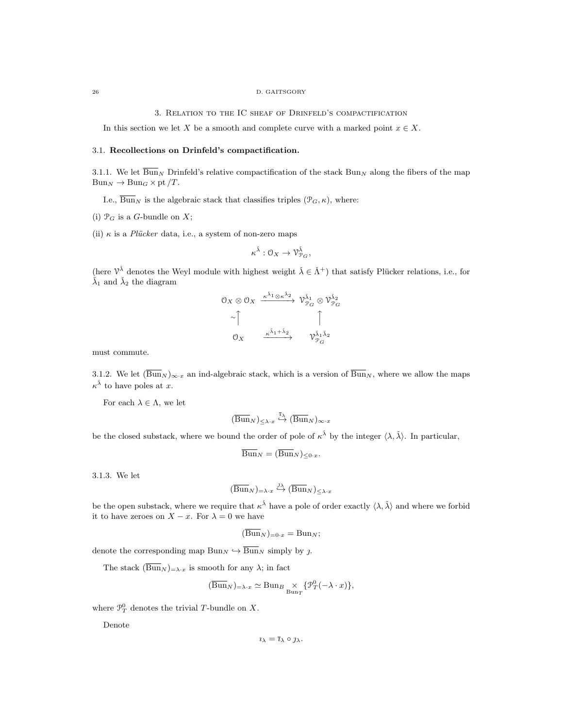#### 26 D. GAITSGORY

3. Relation to the IC sheaf of Drinfeld's compactification

In this section we let X be a smooth and complete curve with a marked point  $x \in X$ .

## 3.1. Recollections on Drinfeld's compactification.

3.1.1. We let  $\overline{Bun}_N$  Drinfeld's relative compactification of the stack  $Bun_N$  along the fibers of the map  $Bun_N \to Bun_G\times pt/T$ .

I.e.,  $\overline{\text{Bun}}_N$  is the algebraic stack that classifies triples  $(\mathcal{P}_G, \kappa)$ , where:

(i)  $\mathcal{P}_G$  is a G-bundle on X;

(ii)  $\kappa$  is a *Plücker* data, i.e., a system of non-zero maps

$$
\kappa^{\check\lambda}:{\mathcal O}_X\to{\mathcal V}_{{\mathcal P}_G}^{\check\lambda},\quad
$$

(here  $\mathcal{V}^{\check{\lambda}}$  denotes the Weyl module with highest weight  $\check{\lambda} \in \check{\Lambda}^+$ ) that satisfy Plücker relations, i.e., for  $\check{\lambda}_1$  and  $\check{\lambda}_2$  the diagram

$$
0_X \otimes 0_X \xrightarrow{\kappa^{\tilde{\lambda}_1} \otimes \kappa^{\tilde{\lambda}_2}} \mathcal{V}_{\mathcal{P}_G}^{\tilde{\lambda}_1} \otimes \mathcal{V}_{\mathcal{P}_G}^{\tilde{\lambda}_2}
$$
  

$$
\sim \uparrow \qquad \qquad \uparrow
$$
  

$$
0_X \xrightarrow{\kappa^{\tilde{\lambda}_1 + \tilde{\lambda}_2}} \mathcal{V}_{\mathcal{P}_G}^{\tilde{\lambda}_1 \tilde{\lambda}_2}
$$

must commute.

3.1.2. We let  $(\overline{\text{Bun}}_N)_{\infty \cdot x}$  an ind-algebraic stack, which is a version of  $\overline{\text{Bun}}_N$ , where we allow the maps  $\kappa^{\check{\lambda}}$  to have poles at x.

For each  $\lambda \in \Lambda$ , we let

$$
(\overline{\mathrm{Bun}}_N)_{\leq \lambda \cdot x} \overset{\overline{\iota}_{\lambda}}{\hookrightarrow} (\overline{\mathrm{Bun}}_N)_{\infty \cdot x}
$$

be the closed substack, where we bound the order of pole of  $\kappa^{\check{\lambda}}$  by the integer  $\langle \lambda, \check{\lambda} \rangle$ . In particular,

$$
\overline{\mathrm{Bun}}_N = (\overline{\mathrm{Bun}}_N)_{\leq 0 \cdot x}.
$$

3.1.3. We let

$$
(\overline{\mathrm{Bun}}_N)_{=\lambda \cdot x} \overset{\jmath_\lambda}{\hookrightarrow} (\overline{\mathrm{Bun}}_N)_{\leq \lambda \cdot x}
$$

be the open substack, where we require that  $\kappa^{\check{\lambda}}$  have a pole of order exactly  $\langle \lambda, \check{\lambda} \rangle$  and where we forbid it to have zeroes on  $X - x$ . For  $\lambda = 0$  we have

$$
(\overline{\mathrm{Bun}}_N)_{=0\cdot x} = \mathrm{Bun}_N;
$$

denote the corresponding map  $\text{Bun}_N \hookrightarrow \overline{\text{Bun}}_N$  simply by j.

The stack  $(\overline{Bun}_N)_{\equiv \lambda \cdot x}$  is smooth for any  $\lambda$ ; in fact

$$
(\overline{\mathrm{Bun}}_N)_{=\lambda \cdot x} \simeq \mathrm{Bun}_B \underset{\mathrm{Bun}_T}{\times} \{ \mathcal{P}_T^0(-\lambda \cdot x) \},
$$

where  $\mathcal{P}_T^0$  denotes the trivial T-bundle on X.

Denote

$$
\imath_{\lambda} = \bar{\imath}_{\lambda} \circ \jmath_{\lambda}.
$$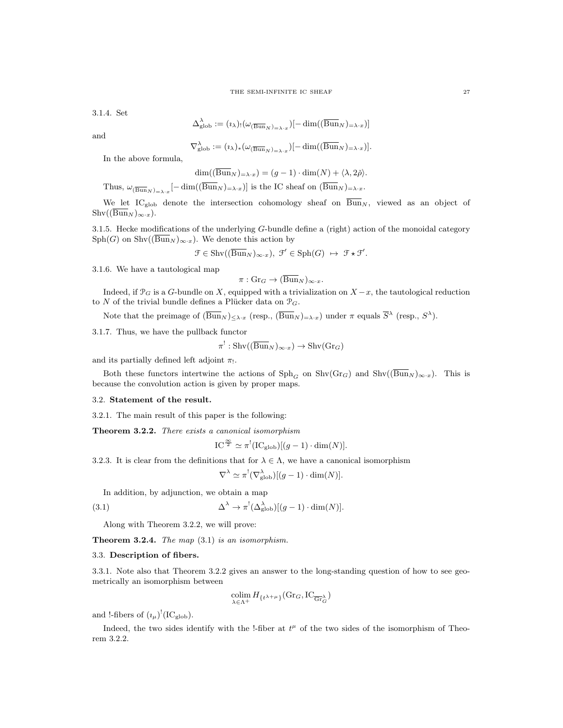#### THE SEMI-INFINITE IC SHEAF 27

3.1.4. Set

$$
\Delta_{\text{glob}}^{\lambda} := (\iota_{\lambda})_! (\omega_{(\overline{\text{Bun}}_N)_{\lambda x}}) [-\dim((\overline{\text{Bun}}_N)_{\lambda x})]
$$

and

$$
\nabla_{\mathrm{glob}}^{\lambda} := (\iota_{\lambda})_{*}(\omega_{(\overline{\mathrm{Bun}}_{N})_{=\lambda \cdot x}})[- \dim((\overline{\mathrm{Bun}}_{N})_{=\lambda \cdot x})].
$$

In the above formula,

$$
\dim((\overline{\mathrm{Bun}}_N)_{=\lambda \cdot x}) = (g-1) \cdot \dim(N) + \langle \lambda, 2\check{\rho} \rangle.
$$

Thus,  $\omega_{(\overline{\text{Bun}}_N)_{\alpha\lambda}x}[-\dim((\text{Bun}_N)_{\alpha\lambda}x)]$  is the IC sheaf on  $(\text{Bun}_N)_{\alpha\lambda}x$ .

We let IC<sub>glob</sub> denote the intersection cohomology sheaf on  $\overline{Bun}_{N}$ , viewed as an object of  $\text{Shv}((\overline{\text{Bun}}_N)_{\infty \cdot x}).$ 

3.1.5. Hecke modifications of the underlying G-bundle define a (right) action of the monoidal category  $Sph(G)$  on  $Shv((\overline{Bun}_N)_{\infty\cdot x})$ . We denote this action by

$$
\mathcal{F} \in \operatorname{Shv}((\overline{\operatorname{Bun}}_N)_{\infty \cdot x}), \ \mathcal{F}' \in \operatorname{Sph}(G) \ \mapsto \ \mathcal{F} \star \mathcal{F}'.
$$

3.1.6. We have a tautological map

$$
\pi: \mathrm{Gr}_G \to (\overline{\mathrm{Bun}}_N)_{\infty \cdot x}.
$$

Indeed, if  $\mathcal{P}_G$  is a G-bundle on X, equipped with a trivialization on  $X - x$ , the tautological reduction to N of the trivial bundle defines a Plücker data on  $\mathcal{P}_G$ .

Note that the preimage of  $(\overline{Bun}_N)_{\leq \lambda \cdot x}$  (resp.,  $(\overline{Bun}_N)_{\leq \lambda \cdot x}$ ) under  $\pi$  equals  $\overline{S}^{\lambda}$  (resp.,  $S^{\lambda}$ ).

3.1.7. Thus, we have the pullback functor

$$
f': \operatorname{Shv}((\overline{\operatorname{Bun}}_N)_{\infty \cdot x}) \to \operatorname{Shv}(\operatorname{Gr}_G)
$$

and its partially defined left adjoint  $\pi_!$ .

Both these functors intertwine the actions of  $\text{Sph}_G$  on  $\text{Shv}(Gr_G)$  and  $\text{Shv}((\overline{\text{Bun}}_N)_{\infty}x)$ . This is because the convolution action is given by proper maps.

#### 3.2. Statement of the result.

3.2.1. The main result of this paper is the following:

Theorem 3.2.2. There exists a canonical isomorphism

$$
IC^{\frac{\infty}{2}} \simeq \pi^! (IC_{glob})[(g-1) \cdot \dim(N)].
$$

3.2.3. It is clear from the definitions that for  $\lambda \in \Lambda$ , we have a canonical isomorphism

$$
\nabla^{\lambda} \simeq \pi^{!}(\nabla^{\lambda}_{\text{glob}})[(g-1) \cdot \dim(N)].
$$

In addition, by adjunction, we obtain a map

(3.1) 
$$
\Delta^{\lambda} \to \pi^{!}(\Delta^{\lambda}_{\text{glob}})[(g-1) \cdot \dim(N)].
$$

π

Along with Theorem 3.2.2, we will prove:

**Theorem 3.2.4.** The map  $(3.1)$  is an isomorphism.

### 3.3. Description of fibers.

3.3.1. Note also that Theorem 3.2.2 gives an answer to the long-standing question of how to see geometrically an isomorphism between

$$
\operatornamewithlimits{colim}_{\lambda \in \Lambda^+} H_{\{t^{\lambda+\mu}\}}(\mathrm{Gr}_G, \mathrm{IC}_{\overline{\mathrm{Gr}}_G^{\lambda}})
$$

and !-fibers of  $(\iota_\mu)^!(IC_{\text{glob}})$ .

Indeed, the two sides identify with the !-fiber at  $t^{\mu}$  of the two sides of the isomorphism of Theorem 3.2.2.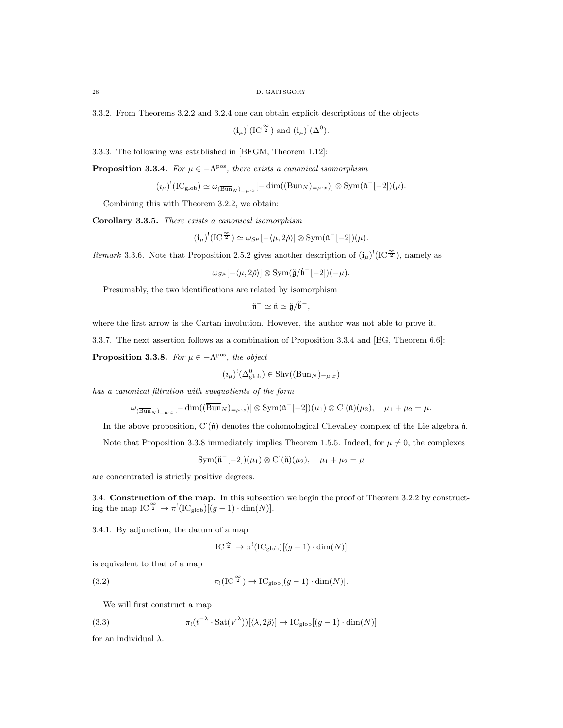3.3.2. From Theorems 3.2.2 and 3.2.4 one can obtain explicit descriptions of the objects

 $(i_{\mu})^!(IC^{\frac{\infty}{2}})$  and  $(i_{\mu})^!(\Delta^0)$ .

3.3.3. The following was established in [BFGM, Theorem 1.12]:

**Proposition 3.3.4.** For  $\mu \in -\Lambda^{pos}$ , there exists a canonical isomorphism

$$
(\iota_{\mu})^!(\mathrm{IC}_{\mathrm{glob}}) \simeq \omega_{(\overline{\mathrm{Bun}}_N)_{=\mu \cdot x}}[-\dim((\overline{\mathrm{Bun}}_N)_{=\mu \cdot x})] \otimes \mathrm{Sym}(\tilde{\mathfrak{n}}^-[-2])(\mu).
$$

Combining this with Theorem 3.2.2, we obtain:

Corollary 3.3.5. There exists a canonical isomorphism

$$
(\mathbf{i}_{\mu})^!(\mathrm{IC}^{\frac{\infty}{2}}) \simeq \omega_{S^{\mu}}[-\langle \mu, 2\check{\rho} \rangle] \otimes \mathrm{Sym}(\check{\mathfrak{n}}^-[-2]) (\mu).
$$

*Remark* 3.3.6. Note that Proposition 2.5.2 gives another description of  $(i_\mu)'(IC^{\frac{\infty}{2}})$ , namely as

$$
\omega_{S^{\mu}}[-\langle \mu, 2\check{\rho} \rangle] \otimes \mathrm{Sym}(\check{\mathfrak{g}}/\check{\mathfrak{b}}^-[-2])(-\mu).
$$

Presumably, the two identifications are related by isomorphism

$$
\check{\mathfrak{n}}^- \simeq \check{\mathfrak{n}} \simeq \check{\mathfrak{g}}/\check{\mathfrak{b}}^-,
$$

where the first arrow is the Cartan involution. However, the author was not able to prove it.

3.3.7. The next assertion follows as a combination of Proposition 3.3.4 and [BG, Theorem 6.6]:

**Proposition 3.3.8.** For  $\mu \in -\Lambda^{pos}$ , the object

$$
(\iota_{\mu})^! (\Delta^0_{\text{glob}}) \in \text{Shv}((\overline{\text{Bun}}_N)_{=\mu \cdot x})
$$

has a canonical filtration with subquotients of the form

$$
\omega_{(\overline{\mathrm{Bun}}_N)_{=\mu \cdot x}}[-\dim((\overline{\mathrm{Bun}}_N)_{=\mu \cdot x})] \otimes \mathrm{Sym}(\check{\mathfrak{n}}^-[-2])(\mu_1) \otimes \mathrm{C}^{\cdot}(\check{\mathfrak{n}})(\mu_2), \quad \mu_1 + \mu_2 = \mu.
$$

In the above proposition, C ( $\check{\mathfrak{n}}$ ) denotes the cohomological Chevalley complex of the Lie algebra  $\check{\mathfrak{n}}$ .

Note that Proposition 3.3.8 immediately implies Theorem 1.5.5. Indeed, for  $\mu \neq 0$ , the complexes

$$
\mathrm{Sym}(\tilde{\mathfrak{n}}^{-}[-2])(\mu_1)\otimes\mathrm{C}^{\cdot}(\tilde{\mathfrak{n}})(\mu_2), \quad \mu_1+\mu_2=\mu
$$

are concentrated is strictly positive degrees.

3.4. Construction of the map. In this subsection we begin the proof of Theorem 3.2.2 by constructing the map  $IC^{\frac{\infty}{2}} \to \pi^!(IC_{glob})[(g-1) \cdot \dim(N)].$ 

3.4.1. By adjunction, the datum of a map

$$
IC^{\frac{\infty}{2}} \to \pi^!(IC_{\text{glob}})[(g-1) \cdot \dim(N)]
$$

is equivalent to that of a map

(3.2) 
$$
\pi_!(\mathop{\mathrm{IC}}\nolimits^{\infty}_{\mathbb{Z}}) \to \mathop{\mathrm{IC}_{\mathrm{glob}}}[(g-1)\cdot \dim(N)].
$$

We will first construct a map

(3.3) 
$$
\pi_!(t^{-\lambda}\cdot \mathrm{Sat}(V^{\lambda}))[\langle \lambda, 2\check{\rho}\rangle] \to \mathrm{IC}_{\mathrm{glob}}[(g-1)\cdot \dim(N)]
$$

for an individual  $\lambda$ .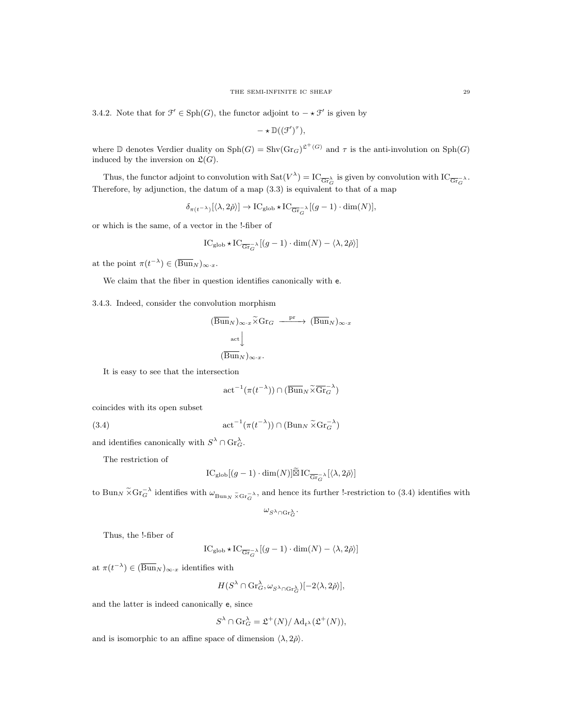3.4.2. Note that for  $\mathcal{F}' \in \text{Sph}(G)$ , the functor adjoint to  $-\star \mathcal{F}'$  is given by

$$
-\star\mathbb{D}((\mathfrak{F}')^{\tau}),
$$

where  $\mathbb D$  denotes Verdier duality on  $\text{Sph}(G) = \text{Shv}(\text{Gr}_G)^{\mathfrak{L}^+(G)}$  and  $\tau$  is the anti-involution on  $\text{Sph}(G)$ induced by the inversion on  $\mathfrak{L}(G)$ .

Thus, the functor adjoint to convolution with  $\text{Sat}(V^{\lambda}) = \text{IC}_{\overline{\text{Gr}}_{G}^{\lambda}}$  is given by convolution with  $\text{IC}_{\overline{\text{Gr}}_{G}^{-\lambda}}$ . Therefore, by adjunction, the datum of a map (3.3) is equivalent to that of a map

$$
\delta_{\pi(t^{-\lambda})}[\langle \lambda, 2\check{\rho} \rangle] \to \mathrm{IC}_{\mathrm{glob}} \star \mathrm{IC}_{\overline{\mathrm{Gr}}_{G}^{-\lambda}}[(g-1) \cdot \dim(N)],
$$

or which is the same, of a vector in the !-fiber of

$$
\mathop{\rm IC}\nolimits_{\mathop{\rm glob}\nolimits}\star \mathop{\rm IC}\nolimits_{\overline{\mathop{\rm Gr}\nolimits_G} \lambda} \left[ (g-1) \cdot \mathop{\rm dim}\nolimits(N) - \langle \lambda, 2\check{\rho} \rangle \right]
$$

at the point  $\pi(t^{-\lambda}) \in (\overline{\text{Bun}}_N)_{\infty \cdot x}$ .

We claim that the fiber in question identifies canonically with e.

3.4.3. Indeed, consider the convolution morphism

$$
(\overline{\mathrm{Bun}}_N)_{\infty \cdot x} \widetilde{\times} \mathrm{Gr}_G \xrightarrow{\mathrm{pr}} (\overline{\mathrm{Bun}}_N)_{\infty \cdot x}
$$
  

$$
\underset{(\overline{\mathrm{Bun}}_N)_{\infty \cdot x}}{\text{act}}
$$

It is easy to see that the intersection

$$
\mathrm{act}^{-1}(\pi(t^{-\lambda})) \cap (\overline{\mathrm{Bun}}_N \widetilde{\times} \overline{\mathrm{Gr}}_G^{-\lambda})
$$

coincides with its open subset

(3.4) 
$$
\operatorname{act}^{-1}(\pi(t^{-\lambda})) \cap (\operatorname{Bun}_N \widetilde{\times} \operatorname{Gr}_G^{-\lambda})
$$

and identifies canonically with  $S^{\lambda} \cap \mathrm{Gr}_G^{\lambda}$ .

The restriction of

$$
IC_{\rm glob}[(g-1)\cdot \dim(N)]\widetilde{\boxtimes} IC_{\overline{\rm Gr}_G^{-\lambda}}[\langle \lambda, 2\check{\rho}\rangle]
$$

to  $\text{Bun}_N \tilde{\times} \text{Gr}_{G}^{-\lambda}$  identifies with  $\omega_{\text{Bun}_N \tilde{\times} \text{Gr}_{G}^{-\lambda}}$ , and hence its further !-restriction to (3.4) identifies with

$$
\omega_{S^\lambda\cap \textnormal{Gr}_G^\lambda}.
$$

Thus, the !-fiber of

$$
IC_{\text{glob}} \star IC_{\overline{\text{Gr}}_{G}} \setminus [(g-1) \cdot \dim(N) - \langle \lambda, 2\check{\rho} \rangle]
$$

at  $\pi(t^{-\lambda}) \in (\overline{\mathrm{Bun}}_N)_{\infty \cdot x}$  identifies with

$$
H(S^{\lambda} \cap \text{Gr}_{G}^{\lambda}, \omega_{S^{\lambda} \cap \text{Gr}_{G}^{\lambda}})[-2\langle \lambda, 2\check{\rho} \rangle],
$$

and the latter is indeed canonically e, since

$$
S^{\lambda} \cap \text{Gr}_{G}^{\lambda} = \mathfrak{L}^{+}(N) / \operatorname{Ad}_{t^{\lambda}}(\mathfrak{L}^{+}(N)),
$$

and is isomorphic to an affine space of dimension  $\langle \lambda, 2\check{\rho} \rangle$ .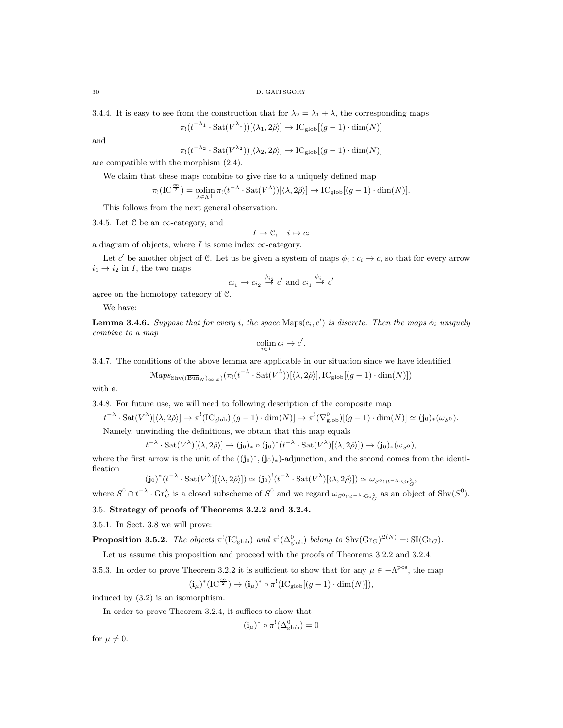3.4.4. It is easy to see from the construction that for  $\lambda_2 = \lambda_1 + \lambda$ , the corresponding maps

$$
\pi_!(t^{-\lambda_1}\cdot \mathrm{Sat}(V^{\lambda_1}))[\langle \lambda_1, 2\check{\rho} \rangle] \to \mathrm{IC}_{\mathrm{glob}}[(g-1)\cdot \dim(N)]
$$

and

$$
\pi_!(t^{-\lambda_2} \cdot \mathrm{Sat}(V^{\lambda_2}))[\langle \lambda_2, 2\check{\rho} \rangle] \to \mathrm{IC}_{\mathrm{glob}}[(g-1) \cdot \dim(N)]
$$

are compatible with the morphism (2.4).

We claim that these maps combine to give rise to a uniquely defined map

λ2

$$
\pi_!(\mathrm{IC}^{\frac{\infty}{2}})=\operatornamewithlimits{colim}_{\lambda\in\Lambda^+}\pi_!(t^{-\lambda}\cdot \mathrm{Sat}(V^\lambda))[\langle\lambda,2\check\rho\rangle]\to \mathrm{IC}_{\mathrm{glob}}[(g-1)\cdot \dim(N)].
$$

This follows from the next general observation.

3.4.5. Let  $C$  be an  $\infty$ -category, and

$$
I \to \mathcal{C}, \quad i \mapsto c_i
$$

a diagram of objects, where I is some index  $\infty$ -category.

Let c' be another object of C. Let us be given a system of maps  $\phi_i : c_i \to c$ , so that for every arrow  $i_1 \rightarrow i_2$  in I, the two maps

$$
c_{i_1} \to c_{i_2} \stackrel{\phi_{i_2}}{\to} c' \text{ and } c_{i_1} \stackrel{\phi_{i_1}}{\to} c'
$$

agree on the homotopy category of C.

We have:

**Lemma 3.4.6.** Suppose that for every i, the space  $\text{Maps}(c_i, c')$  is discrete. Then the maps  $\phi_i$  uniquely combine to a map

$$
\operatornamewithlimits{colim}_{i\in I} c_i \to c'.
$$

3.4.7. The conditions of the above lemma are applicable in our situation since we have identified

$$
\mathcal{M}aps_{\text{Shv}((\overline{\text{Bun}}_N)_{\infty,x})}(\pi_!(t^{-\lambda}\cdot \text{Sat}(V^{\lambda}))[\langle \lambda,2\check{\rho}\rangle],\text{IC}_{\text{glob}}[(g-1)\cdot \dim(N)])
$$

with e.

3.4.8. For future use, we will need to following description of the composite map

$$
t^{-\lambda} \cdot \mathrm{Sat}(V^{\lambda})[\langle \lambda, 2\check{\rho} \rangle] \to \pi^!(\mathrm{IC}_{\mathrm{glob}})[(g-1) \cdot \dim(N)] \to \pi^!(\nabla^0_{\mathrm{glob}})[(g-1) \cdot \dim(N)] \simeq (\mathbf{j}_0)_*(\omega_{S^0}).
$$

Namely, unwinding the definitions, we obtain that this map equals

$$
t^{-\lambda} \cdot \mathrm{Sat}(V^{\lambda})[\langle \lambda, 2\check{\rho} \rangle] \to (\mathbf{j}_0)_* \circ (\mathbf{j}_0)^*(t^{-\lambda} \cdot \mathrm{Sat}(V^{\lambda})[\langle \lambda, 2\check{\rho} \rangle]) \to (\mathbf{j}_0)_*(\omega_{S^0}),
$$

where the first arrow is the unit of the  $((j_0)^*, (j_0)_*)$ -adjunction, and the second comes from the identification

$$
(\mathbf{j}_0)^*(t^{-\lambda}\cdot \mathrm{Sat}(V^{\lambda})[\langle \lambda, 2\check{\rho} \rangle]) \simeq (\mathbf{j}_0)^!(t^{-\lambda}\cdot \mathrm{Sat}(V^{\lambda})[\langle \lambda, 2\check{\rho} \rangle]) \simeq \omega_{S^0 \cap t^{-\lambda} \cdot \mathrm{Gr}^{\lambda}_{\mathcal{G}}}
$$

,

where  $S^0 \cap t^{-\lambda} \cdot \text{Gr}_G^{\lambda}$  is a closed subscheme of  $S^0$  and we regard  $\omega_{S^0 \cap t^{-\lambda} \cdot \text{Gr}_G^{\lambda}}$  as an object of Shv $(S^0)$ .

3.5. Strategy of proofs of Theorems 3.2.2 and 3.2.4.

3.5.1. In Sect. 3.8 we will prove:

**Proposition 3.5.2.** The objects  $\pi^!(\text{IC}_{\text{glob}})$  and  $\pi^!(\Delta^0_{\text{glob}})$  belong to  $\text{Shv}(\text{Gr}_G)^{\mathfrak{L}(N)} =: \text{SI}(\text{Gr}_G)$ .

Let us assume this proposition and proceed with the proofs of Theorems 3.2.2 and 3.2.4.

3.5.3. In order to prove Theorem 3.2.2 it is sufficient to show that for any  $\mu \in -\Lambda^{pos}$ , the map ∗ !  $\begin{pmatrix} 1 & -1 \\ 0 & 1 \end{pmatrix}$ 

$$
\mathbf{(\mathbf{i}_\mu)}^*(\mathrm{IC}^{\frac{\infty}{2}}) \to \mathbf{(\mathbf{i}_\mu)}^* \circ \pi^! (\mathrm{IC}_{\mathrm{glob}}[(g-1)\cdot \mathrm{dim}(N)])
$$

induced by (3.2) is an isomorphism.

In order to prove Theorem 3.2.4, it suffices to show that

$$
(\mathbf{i}_{\mu})^* \circ \pi^! (\Delta^0_{\text{glob}}) = 0
$$

for  $\mu \neq 0$ .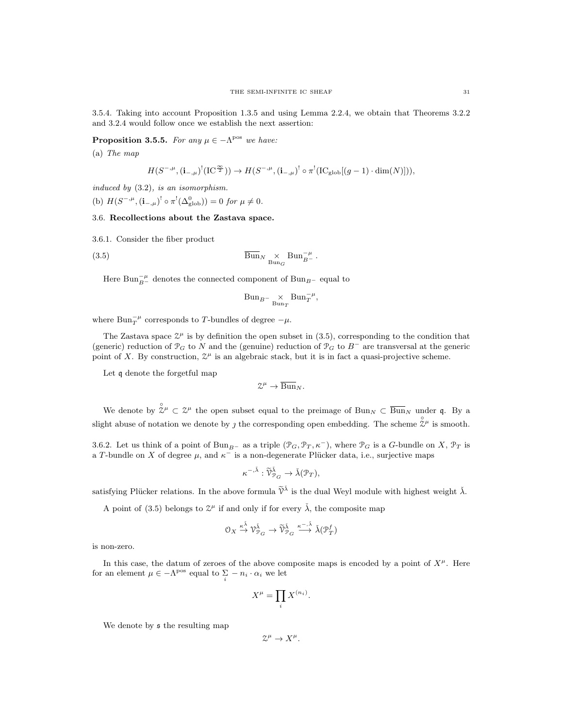3.5.4. Taking into account Proposition 1.3.5 and using Lemma 2.2.4, we obtain that Theorems 3.2.2 and 3.2.4 would follow once we establish the next assertion:

**Proposition 3.5.5.** For any  $\mu \in -\Lambda^{pos}$  we have:

(a) The map

$$
H(S^{-,\mu}, (\mathbf{i}_{-,\mu})^!(\mathrm{IC}^{\frac{\infty}{2}})) \to H(S^{-,\mu}, (\mathbf{i}_{-,\mu})^! \circ \pi^!(\mathrm{IC}_{\mathrm{glob}}[(g-1) \cdot \dim(N)])),
$$

induced by (3.2), is an isomorphism.

(b)  $H(S^{-,\mu}, (\mathbf{i}_{-,\mu})^! \circ \pi^! (\Delta_{\text{glob}}^0)) = 0$  for  $\mu \neq 0$ .

#### 3.6. Recollections about the Zastava space.

3.6.1. Consider the fiber product

(3.5) 
$$
\overline{\text{Bun}}_{N} \underset{\text{Bun}_G}{\times} \text{Bun}_{B}^{-\mu}.
$$

Here  $\operatorname{Bun}^{-\mu}_{B^-}$  denotes the connected component of  $\operatorname{Bun}_{B^-}$  equal to

$$
\text{Bun}_{B^{-}}\underset{\text{Bun}_{T}}{\times}\text{Bun}_{T}^{-\mu},
$$

where  $Bun_T^{-\mu}$  corresponds to T-bundles of degree  $-\mu$ .

The Zastava space  $\mathbb{Z}^{\mu}$  is by definition the open subset in (3.5), corresponding to the condition that (generic) reduction of  $\mathcal{P}_G$  to N and the (genuine) reduction of  $\mathcal{P}_G$  to  $B^-$  are transversal at the generic point of X. By construction,  $\mathcal{Z}^{\mu}$  is an algebraic stack, but it is in fact a quasi-projective scheme.

Let q denote the forgetful map

$$
\mathcal{Z}^\mu \to \overline{\operatorname{Bun}}_N.
$$

We denote by  $\hat{\mathbb{Z}}^{\mu} \subset \mathbb{Z}^{\mu}$  the open subset equal to the preimage of  $\text{Bun}_N \subset \overline{\text{Bun}}_N$  under q. By a slight abuse of notation we denote by *j* the corresponding open embedding. The scheme  $\hat{\tilde{\chi}}^{\mu}$  is smooth.

3.6.2. Let us think of a point of Bun<sub>B</sub>− as a triple  $(\mathcal{P}_G, \mathcal{P}_T, \kappa^-)$ , where  $\mathcal{P}_G$  is a G-bundle on X,  $\mathcal{P}_T$  is a T-bundle on X of degree  $\mu$ , and  $\kappa^-$  is a non-degenerate Plücker data, i.e., surjective maps

$$
\kappa^{-,\check{\lambda}}:\widetilde{\mathcal{V}}_{\mathcal{P}_G}^{\check{\lambda}}\to \check{\lambda}(\mathcal{P}_T),
$$

satisfying Plücker relations. In the above formula  $\tilde{\mathcal{V}}^{\tilde{\lambda}}$  is the dual Weyl module with highest weight  $\tilde{\lambda}$ .

A point of (3.5) belongs to  $\mathcal{Z}^{\mu}$  if and only if for every  $\check{\lambda}$ , the composite map

$$
0_X \xrightarrow{\kappa \check{\lambda}} \mathcal{V}_{\mathcal{P}_G}^{\check{\lambda}} \to \widetilde{\mathcal{V}}_{\mathcal{P}_G}^{\check{\lambda}} \xrightarrow{\kappa^{-,\check{\lambda}}}\check{\lambda}(\mathcal{P}_T^f)
$$

is non-zero.

In this case, the datum of zeroes of the above composite maps is encoded by a point of  $X^{\mu}$ . Here for an element  $\mu \in -\Lambda^{\text{pos}}$  equal to  $\sum_{i} -n_i \cdot \alpha_i$  we let

$$
X^{\mu} = \prod_i X^{(n_i)}.
$$

We denote by  $\mathfrak s$  the resulting map

 $\mathcal{Z}^{\mu} \to X^{\mu}.$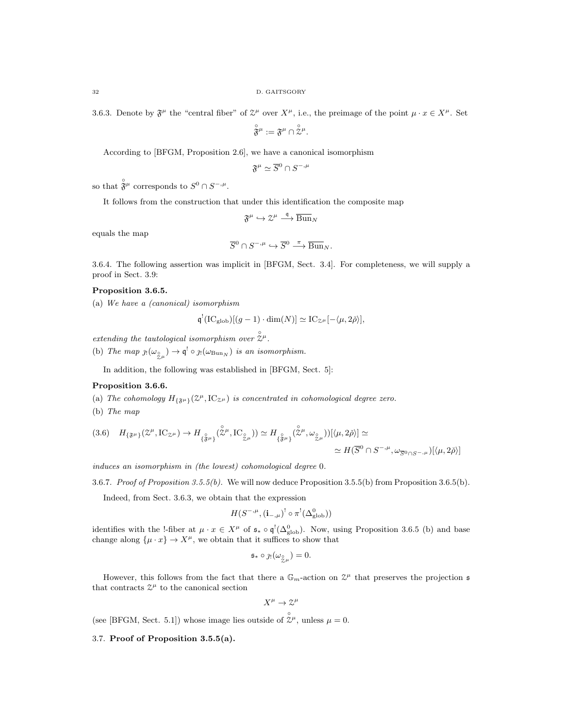32 D. GAITSGORY

3.6.3. Denote by  $\mathfrak{F}^{\mu}$  the "central fiber" of  $\mathfrak{L}^{\mu}$  over  $X^{\mu}$ , i.e., the preimage of the point  $\mu \cdot x \in X^{\mu}$ . Set

$$
\overset{\circ}{\mathfrak F}{}^\mu:=\mathfrak F^\mu\cap\overset{\circ}{\mathcal Z}{}^\mu.
$$

According to [BFGM, Proposition 2.6], we have a canonical isomorphism

$$
\mathfrak{F}^\mu\simeq \overline{S}{}^0\cap S^{-,\mu}
$$

so that  $\hat{\mathfrak{F}}^{\mu}$  corresponds to  $S^0 \cap S^{-,\mu}$ .

It follows from the construction that under this identification the composite map

$$
\mathfrak{F}^\mu\hookrightarrow \mathcal{Z}^\mu\stackrel{\mathfrak{q}}{\longrightarrow}\overline{\operatorname{Bun}}_N
$$

equals the map

$$
\overline{S}^0 \cap S^{-,\mu} \hookrightarrow \overline{S}^0 \stackrel{\pi}{\longrightarrow} \overline{\text{Bun}}_N.
$$

3.6.4. The following assertion was implicit in [BFGM, Sect. 3.4]. For completeness, we will supply a proof in Sect. 3.9:

### Proposition 3.6.5.

(a) We have a (canonical) isomorphism

$$
\mathfrak{q}^! (IC_{\text{glob}})[(g-1) \cdot \dim(N)] \simeq IC_{\mathcal{Z}^{\mu}}[-\langle \mu, 2\check{\rho} \rangle],
$$

extending the tautological isomorphism over  $\hat{\mathbb{Z}}^{\mu}$ .

(b) The map  $j_!(\omega_{\frac{\circ}{\chi}\mu}) \to \mathfrak{q}^! \circ j_!(\omega_{\text{Bun}_N})$  is an isomorphism.

In addition, the following was established in [BFGM, Sect. 5]:

#### Proposition 3.6.6.

- (a) The cohomology  $H_{\{\mathfrak{F}^{\mu}\}}(\mathcal{Z}^{\mu},\mathrm{IC}_{\mathcal{Z}^{\mu}})$  is concentrated in cohomological degree zero.
- (b) The map

$$
(3.6) \quad H_{\{\mathfrak{F}^{\mu}\}}(\mathcal{Z}^{\mu},\mathrm{IC}_{\mathcal{Z}^{\mu}}) \to H_{\{\mathfrak{F}^{\mu}\}}(\overset{\circ}{\mathcal{Z}}{}^{\mu},\mathrm{IC}_{\overset{\circ}{\mathcal{Z}}{}^{\mu}})) \simeq H_{\{\mathfrak{F}^{\mu}\}}(\overset{\circ}{\mathcal{Z}}{}^{\mu},\omega_{\overset{\circ}{\mathcal{Z}}{}^{\mu}}))[\langle\mu,2\check{\rho}\rangle] \simeq
$$

$$
\simeq H(\overline{S}^{0} \cap S^{-,\mu},\omega_{\overline{S}^{0} \cap S^{-,\mu}})[\langle\mu,2\check{\rho}\rangle]
$$

induces an isomorphism in (the lowest) cohomological degree 0.

3.6.7. Proof of Proposition 3.5.5(b). We will now deduce Proposition 3.5.5(b) from Proposition 3.6.5(b).

Indeed, from Sect. 3.6.3, we obtain that the expression

$$
H(S^{-,\mu}, (\mathbf{i}_{-,\mu})^! \circ \pi^! (\Delta^0_{\mathrm{glob}}))
$$

identifies with the !-fiber at  $\mu \cdot x \in X^{\mu}$  of  $\mathfrak{s}_* \circ \mathfrak{q}^!({\Delta_{\text{glob}}^0})$ . Now, using Proposition 3.6.5 (b) and base change along  $\{\mu \cdot x\} \to X^{\mu}$ , we obtain that it suffices to show that

$$
\mathfrak{s}_* \circ \jmath_! (\omega_{\overset{\circ}{\mathcal{Z}} \mu}) = 0.
$$

However, this follows from the fact that there a  $\mathbb{G}_m$ -action on  $\mathcal{Z}^{\mu}$  that preserves the projection  $\mathfrak s$ that contracts  $\mathcal{Z}^{\mu}$  to the canonical section

$$
X^\mu \to \mathcal{Z}^\mu
$$

(see [BFGM, Sect. 5.1]) whose image lies outside of  $\hat{\chi}^{\mu}$ , unless  $\mu = 0$ .

# 3.7. Proof of Proposition 3.5.5(a).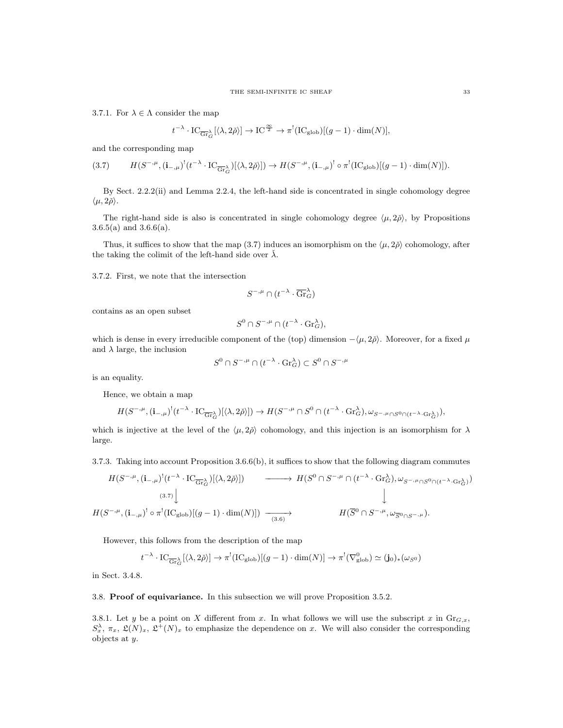3.7.1. For  $\lambda \in \Lambda$  consider the map

$$
t^{-\lambda} \cdot \text{IC}_{\overline{\text{Gr}}_G^{\lambda}}[\langle \lambda, 2\check{\rho} \rangle] \to \text{IC}^{\frac{\infty}{2}} \to \pi^!(\text{IC}_{\text{glob}})[(g-1) \cdot \dim(N)],
$$

and the corresponding map

$$
(3.7) \qquad H(S^{-,\mu}, (\mathbf{i}_{-,\mu})^!(t^{-\lambda} \cdot \mathrm{IC}_{\overline{\mathrm{Gr}}^{\lambda}_{G}})[\langle \lambda, 2\check{\rho} \rangle]) \to H(S^{-,\mu}, (\mathbf{i}_{-,\mu})^! \circ \pi^! (\mathrm{IC}_{\mathrm{glob}})[(g-1) \cdot \dim(N)]).
$$

By Sect. 2.2.2(ii) and Lemma 2.2.4, the left-hand side is concentrated in single cohomology degree  $\langle \mu, 2\rho \rangle$ .

The right-hand side is also is concentrated in single cohomology degree  $\langle \mu, 2\tilde{\rho} \rangle$ , by Propositions 3.6.5(a) and 3.6.6(a).

Thus, it suffices to show that the map (3.7) induces an isomorphism on the  $\langle \mu, 2\rho \rangle$  cohomology, after the taking the colimit of the left-hand side over  $\lambda$ .

3.7.2. First, we note that the intersection

$$
S^{-,\mu}\cap(t^{-\lambda}\cdot \overline{\mathrm{Gr}}_G^\lambda)
$$

contains as an open subset

$$
S^0 \cap S^{-,\mu} \cap (t^{-\lambda} \cdot \operatorname{Gr}_{G}^{\lambda}),
$$

which is dense in every irreducible component of the (top) dimension  $-\langle \mu, 2\rho \rangle$ . Moreover, for a fixed  $\mu$ and  $\lambda$  large, the inclusion

$$
S^0 \cap S^{-,\mu} \cap (t^{-\lambda} \cdot \mathrm{Gr}_G^{\lambda}) \subset S^0 \cap S^{-,\mu}
$$

is an equality.

Hence, we obtain a map

$$
H(S^{-,\mu}, (\mathbf{i}_{-,\mu})^!(t^{-\lambda} \cdot \mathrm{IC}_{\overline{\mathrm{Gr}}^{\lambda}_G})[\langle \lambda, 2\check{\rho} \rangle]) \to H(S^{-,\mu} \cap S^0 \cap (t^{-\lambda} \cdot \mathrm{Gr}^{\lambda}_G), \omega_{S^{-,\mu} \cap S^0 \cap (t^{-\lambda} \cdot \mathrm{Gr}^{\lambda}_G)},
$$

which is injective at the level of the  $\langle \mu, 2\rho \rangle$  cohomology, and this injection is an isomorphism for  $\lambda$ large.

3.7.3. Taking into account Proposition 3.6.6(b), it suffices to show that the following diagram commutes

$$
H(S^{-,\mu}, (\mathbf{i}_{-,\mu})^!(t^{-\lambda} \cdot \mathrm{IC}_{\overline{\mathrm{Gr}}^{\lambda}_{G}})[\langle \lambda, 2\check{\rho} \rangle]) \longrightarrow H(S^{0} \cap S^{-,\mu} \cap (t^{-\lambda} \cdot \mathrm{Gr}^{\lambda}_{G}), \omega_{S^{-,\mu} \cap S^{0} \cap (t^{-\lambda} \cdot \mathrm{Gr}^{\lambda}_{G})})
$$
\n
$$
(3.7) \downarrow \qquad \qquad \downarrow
$$
\n
$$
H(S^{-,\mu}, (\mathbf{i}_{-,\mu})^! \circ \pi^!(\mathrm{IC}_{\mathrm{glob}})[(g-1) \cdot \dim(N)]) \longrightarrow H(\overline{S}^{0} \cap S^{-,\mu}, \omega_{\overline{S}^{0} \cap S^{-,\mu}}).
$$

However, this follows from the description of the map

$$
t^{-\lambda} \cdot \mathrm{IC}_{\overline{\mathrm{Gr}}_G^{\lambda}}[(\lambda, 2\check{\rho})] \to \pi^!(\mathrm{IC}_{\mathrm{glob}})[(g-1) \cdot \dim(N)] \to \pi^!(\nabla_{\mathrm{glob}}^0) \simeq (\mathbf{j}_0)_*(\omega_{S^0})
$$

in Sect. 3.4.8.

### 3.8. Proof of equivariance. In this subsection we will prove Proposition 3.5.2.

3.8.1. Let y be a point on X different from x. In what follows we will use the subscript x in  $\mathrm{Gr}_{G,x}$ ,  $S_x^{\lambda}, \pi_x, \mathfrak{L}(N)_x, \mathfrak{L}^+(N)_x$  to emphasize the dependence on x. We will also consider the corresponding objects at y.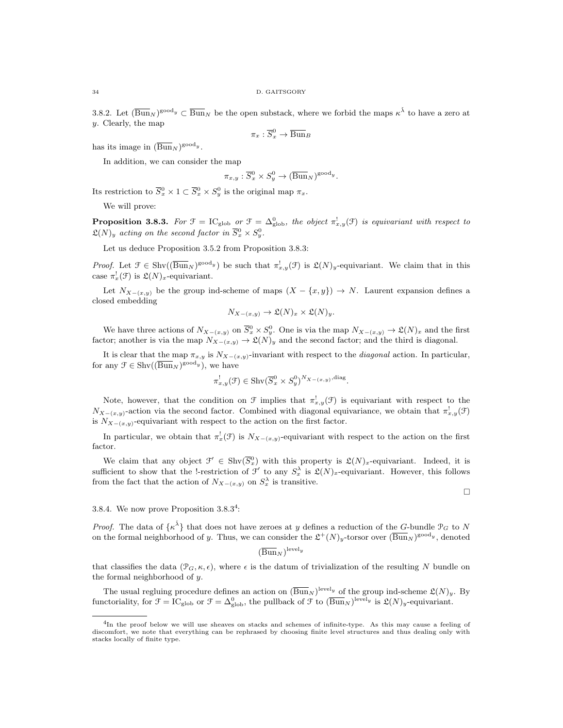3.8.2. Let  $(\overline{\text{Bun}}_N)^{\text{good}_y} \subset \overline{\text{Bun}}_N$  be the open substack, where we forbid the maps  $\kappa^{\check{\lambda}}$  to have a zero at y. Clearly, the map

$$
\pi_x : \overline{S}_x^0 \to \overline{\operatorname{Bun}}_B
$$

has its image in  $(\overline{\text{Bun}}_N)^{\text{good}}$ .

In addition, we can consider the map

$$
\pi_{x,y} : \overline{S}_x^0 \times S_y^0 \to (\overline{\text{Bun}}_N)^{\text{good}_y}.
$$

Its restriction to  $\overline{S}_x^0 \times 1 \subset \overline{S}_x^0 \times S_y^0$  is the original map  $\pi_x$ .

We will prove:

**Proposition 3.8.3.** For  $\mathcal{F} = \mathrm{IC}_{\mathrm{glob}}$  or  $\mathcal{F} = \Delta_{\mathrm{glob}}^0$ , the object  $\pi_{x,y}^{\mathrm{I}}(\mathcal{F})$  is equivariant with respect to  $\mathfrak{L}(N)_y$  acting on the second factor in  $\overline{S}^0_x \times S^0_y$ .

Let us deduce Proposition 3.5.2 from Proposition 3.8.3:

*Proof.* Let  $\mathcal{F} \in \text{Shv}((\overline{\text{Bun}}_N)^{\text{good}_y})$  be such that  $\pi_{x,y}^{\text{l}}(\mathcal{F})$  is  $\mathfrak{L}(N)_y$ -equivariant. We claim that in this case  $\pi_x^!(\mathcal{F})$  is  $\mathfrak{L}(N)_x$ -equivariant.

Let  $N_{X-(x,y)}$  be the group ind-scheme of maps  $(X - \{x,y\}) \to N$ . Laurent expansion defines a closed embedding

$$
N_{X-(x,y)} \to \mathfrak{L}(N)_x \times \mathfrak{L}(N)_y.
$$

We have three actions of  $N_{X-(x,y)}$  on  $\overline{S}_x^0 \times S_y^0$ . One is via the map  $N_{X-(x,y)} \to \mathfrak{L}(N)_x$  and the first factor; another is via the map  $N_{X-(x,y)} \to \mathfrak{L}(N)_y$  and the second factor; and the third is diagonal.

It is clear that the map  $\pi_{x,y}$  is  $N_{X-(x,y)}$ -invariant with respect to the *diagonal* action. In particular, for any  $\mathcal{F} \in \text{Shv}((\overline{\text{Bun}}_N)^{\text{good}_y}),$  we have

$$
\pi_{x,y}^!(\mathcal{F}) \in \text{Shv}(\overline{S}_x^0 \times S_y^0)^{N_{X-(x,y)}, \text{diag}}.
$$

Note, however, that the condition on  $\mathcal F$  implies that  $\pi_{x,y}^!(\mathcal F)$  is equivariant with respect to the  $N_{X-(x,y)}$ -action via the second factor. Combined with diagonal equivariance, we obtain that  $\pi_{x,y}^!(\mathcal{F})$ is  $N_{X-(x,y)}$ -equivariant with respect to the action on the first factor.

In particular, we obtain that  $\pi_x^!(\mathcal{F})$  is  $N_{X-(x,y)}$ -equivariant with respect to the action on the first factor.

We claim that any object  $\mathcal{F}' \in \text{Shv}(\overline{S_x^0})$  with this property is  $\mathfrak{L}(N)_x$ -equivariant. Indeed, it is sufficient to show that the !-restriction of  $\mathcal{F}'$  to any  $S_x^{\lambda}$  is  $\mathfrak{L}(N)_x$ -equivariant. However, this follows from the fact that the action of  $N_{X-(x,y)}$  on  $S_x^{\lambda}$  is transitive.

 $\Box$ 

## 3.8.4. We now prove Proposition 3.8.3<sup>4</sup>:

*Proof.* The data of  $\{\kappa^{\check{\lambda}}\}$  that does not have zeroes at y defines a reduction of the G-bundle  $\mathcal{P}_G$  to N on the formal neighborhood of y. Thus, we can consider the  $\mathfrak{L}^+(N)_y$ -torsor over  $(\overline{\text{Bun}}_N)^\text{good}_y$ , denoted

$$
(\overline{\mathrm{Bun}}_N)^{\mathrm{level}_y}
$$

that classifies the data  $(\mathcal{P}_G, \kappa, \epsilon)$ , where  $\epsilon$  is the datum of trivialization of the resulting N bundle on the formal neighborhood of y.

The usual regluing procedure defines an action on  $(\overline{\text{Bun}}_N)^{\text{level} y}$  of the group ind-scheme  $\mathfrak{L}(N)_y$ . By functoriality, for  $\mathcal{F} = \mathrm{IC}_{\mathrm{glob}}$  or  $\mathcal{F} = \Delta_{\mathrm{glob}}^0$ , the pullback of  $\mathcal{F}$  to  $(\overline{\mathrm{Bun}}_N)^{\mathrm{level}_y}$  is  $\mathfrak{L}(N)_y$ -equivariant.

<sup>4</sup>In the proof below we will use sheaves on stacks and schemes of infinite-type. As this may cause a feeling of discomfort, we note that everything can be rephrased by choosing finite level structures and thus dealing only with stacks locally of finite type.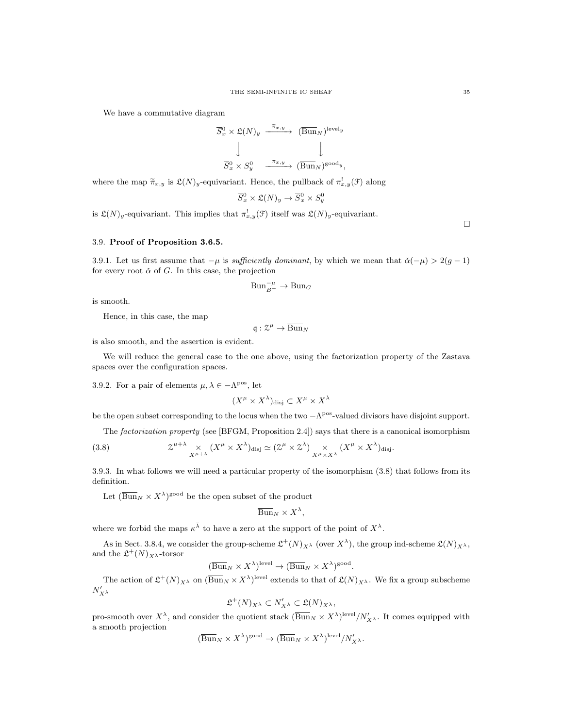We have a commutative diagram

$$
\overline{S}_x^0 \times \mathfrak{L}(N)_y \xrightarrow{\overline{\pi}_{x,y}} (\overline{\text{Bun}}_N)^{\text{level}_y}
$$
\n
$$
\downarrow \qquad \qquad \downarrow
$$
\n
$$
\overline{S}_x^0 \times S_y^0 \xrightarrow{\pi_{x,y}} (\overline{\text{Bun}}_N)^{\text{good}_y},
$$

where the map  $\tilde{\pi}_{x,y}$  is  $\mathfrak{L}(N)_y$ -equivariant. Hence, the pullback of  $\pi_{x,y}^!(\mathfrak{F})$  along

$$
\overline{S}^0_x \times \mathfrak{L}(N)_y \to \overline{S}^0_x \times S^0_y
$$

is  $\mathfrak{L}(N)_y$ -equivariant. This implies that  $\pi_{x,y}^!(\mathfrak{F})$  itself was  $\mathfrak{L}(N)_y$ -equivariant.

## 3.9. Proof of Proposition 3.6.5.

3.9.1. Let us first assume that  $-\mu$  is sufficiently dominant, by which we mean that  $\check{\alpha}(-\mu) > 2(g-1)$ for every root  $\check{\alpha}$  of G. In this case, the projection

$$
\mathrm{Bun}_{B^-}^{-\mu}\to\mathrm{Bun}_G
$$

is smooth.

Hence, in this case, the map

 $\mathfrak{q} : \mathcal{Z}^{\mu} \to \overline{\mathrm{Bun}}_N$ 

is also smooth, and the assertion is evident.

We will reduce the general case to the one above, using the factorization property of the Zastava spaces over the configuration spaces.

3.9.2. For a pair of elements  $\mu, \lambda \in -\Lambda^{pos}$ , let

$$
(X^{\mu} \times X^{\lambda})_{\text{disj}} \subset X^{\mu} \times X^{\lambda}
$$

be the open subset corresponding to the locus when the two  $-\Lambda^{pos}$ -valued divisors have disjoint support.

The factorization property (see [BFGM, Proposition 2.4]) says that there is a canonical isomorphism

(3.8) 
$$
\mathcal{Z}^{\mu+\lambda} \underset{X^{\mu+\lambda}}{\times} (X^{\mu} \times X^{\lambda})_{\text{disj}} \simeq (\mathcal{Z}^{\mu} \times \mathcal{Z}^{\lambda}) \underset{X^{\mu} \times X^{\lambda}}{\times} (X^{\mu} \times X^{\lambda})_{\text{disj}}.
$$

3.9.3. In what follows we will need a particular property of the isomorphism (3.8) that follows from its definition.

Let  $(\overline{\text{Bun}}_N \times X^{\lambda})^{\text{good}}$  be the open subset of the product

$$
\overline{\mathrm{Bun}}_N \times X^{\lambda},
$$

where we forbid the maps  $\kappa^{\check{\lambda}}$  to have a zero at the support of the point of  $X^{\lambda}$ .

As in Sect. 3.8.4, we consider the group-scheme  $\mathfrak{L}^+(N)_{X^{\lambda}}$  (over  $X^{\lambda}$ ), the group ind-scheme  $\mathfrak{L}(N)_{X^{\lambda}}$ , and the  $\mathfrak{L}^+(N)_{X^{\lambda}}$ -torsor

$$
(\overline{\mathrm{Bun}}_N \times X^{\lambda})^{\mathrm{level}} \to (\overline{\mathrm{Bun}}_N \times X^{\lambda})^{\mathrm{good}}.
$$

The action of  $\mathfrak{L}^+(N)_{X^{\lambda}}$  on  $(\overline{\text{Bun}}_N \times X^{\lambda})^{\text{level}}$  extends to that of  $\mathfrak{L}(N)_{X^{\lambda}}$ . We fix a group subscheme  $N'_{X^{\lambda}}$ 

$$
\mathfrak{L}^+(N)_{X^\lambda} \subset N'_{X^\lambda} \subset \mathfrak{L}(N)_{X^\lambda},
$$

pro-smooth over  $X^{\lambda}$ , and consider the quotient stack  $(\overline{\text{Bun}}_N \times X^{\lambda})^{\text{level}}/N'_{X^{\lambda}}$ . It comes equipped with a smooth projection

$$
(\overline{\mathrm{Bun}}_N \times X^{\lambda})^{\mathrm{good}} \to (\overline{\mathrm{Bun}}_N \times X^{\lambda})^{\mathrm{level}} / N'_{X^{\lambda}}.
$$

 $\Box$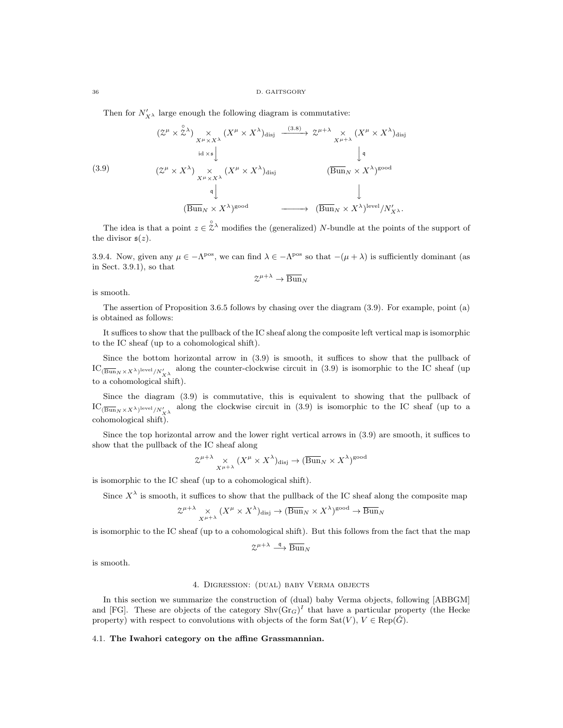Then for  $N'_{X^{\lambda}}$  large enough the following diagram is commutative:

(3.9)  
\n
$$
(\mathcal{Z}^{\mu} \times \mathring{\mathcal{Z}}^{\lambda}) \underset{X^{\mu} \times X^{\lambda}}{\times} (X^{\mu} \times X^{\lambda})_{\text{disj}} \xrightarrow{\quad (3.8)} \mathcal{Z}^{\mu+\lambda} \underset{X^{\mu+\lambda}}{\times} (X^{\mu} \times X^{\lambda})_{\text{disj}}
$$
\n
$$
(\mathcal{Z}^{\mu} \times X^{\lambda}) \underset{X^{\mu} \times X^{\lambda}}{\times} (X^{\mu} \times X^{\lambda})_{\text{disj}} \xrightarrow{\quad (\overline{\text{Bun}}_{N} \times X^{\lambda})^{\text{good}}
$$
\n
$$
\downarrow^{\text{q}}
$$
\n
$$
(\overline{\text{Bun}}_{N} \times X^{\lambda})^{\text{good}} \xrightarrow{\quad (\overline{\text{Bun}}_{N} \times X^{\lambda})^{\text{level}} / N'_{X^{\lambda}}.
$$

The idea is that a point  $z \in \hat{\mathbb{Z}}^{\lambda}$  modifies the (generalized) N-bundle at the points of the support of the divisor  $s(z)$ .

3.9.4. Now, given any  $\mu \in -\Lambda^{pos}$ , we can find  $\lambda \in -\Lambda^{pos}$  so that  $-(\mu + \lambda)$  is sufficiently dominant (as in Sect. 3.9.1), so that

$$
\mathcal{Z}^{\mu+\lambda}\to \overline{\operatorname{Bun}}_N
$$

is smooth.

The assertion of Proposition 3.6.5 follows by chasing over the diagram (3.9). For example, point (a) is obtained as follows:

It suffices to show that the pullback of the IC sheaf along the composite left vertical map is isomorphic to the IC sheaf (up to a cohomological shift).

Since the bottom horizontal arrow in (3.9) is smooth, it suffices to show that the pullback of  $\mathrm{IC}_{(\overline{\mathrm{Bun}}_N \times X^{\lambda})^{\mathrm{level}}/N'_{X^{\lambda}}}$  along the counter-clockwise circuit in (3.9) is isomorphic to the IC sheaf (up to a cohomological shift).

Since the diagram (3.9) is commutative, this is equivalent to showing that the pullback of  $\mathrm{IC}_{(\overline{\mathrm{Bun}}_N \times X^{\lambda})^{\mathrm{level}}/N'_{X^{\lambda}}}$  along the clockwise circuit in (3.9) is isomorphic to the IC sheaf (up to a cohomological shift).

Since the top horizontal arrow and the lower right vertical arrows in (3.9) are smooth, it suffices to show that the pullback of the IC sheaf along

$$
\mathcal{Z}^{\mu+\lambda} \underset{X^{\mu+\lambda}}{\times} (X^{\mu} \times X^{\lambda})_{\text{disj}} \to (\overline{\text{Bun}}_N \times X^{\lambda})^{\text{good}}
$$

is isomorphic to the IC sheaf (up to a cohomological shift).

Since  $X^{\lambda}$  is smooth, it suffices to show that the pullback of the IC sheaf along the composite map

$$
\mathcal{Z}^{\mu+\lambda} \underset{X^{\mu+\lambda}}{\times} (X^{\mu} \times X^{\lambda})_{\text{disj}} \to (\overline{\text{Bun}}_N \times X^{\lambda})^{\text{good}} \to \overline{\text{Bun}}_N
$$

is isomorphic to the IC sheaf (up to a cohomological shift). But this follows from the fact that the map

$$
\mathcal{Z}^{\mu+\lambda}\stackrel{\mathfrak{q}}{\longrightarrow}\overline{\mathrm{Bun}}_N
$$

is smooth.

#### 4. Digression: (dual) baby Verma objects

In this section we summarize the construction of (dual) baby Verma objects, following [ABBGM] and [FG]. These are objects of the category  $\text{Shv}(Gr_G)^I$  that have a particular property (the Hecke property) with respect to convolutions with objects of the form  $Sat(V)$ ,  $V \in Rep(\check{G})$ .

## 4.1. The Iwahori category on the affine Grassmannian.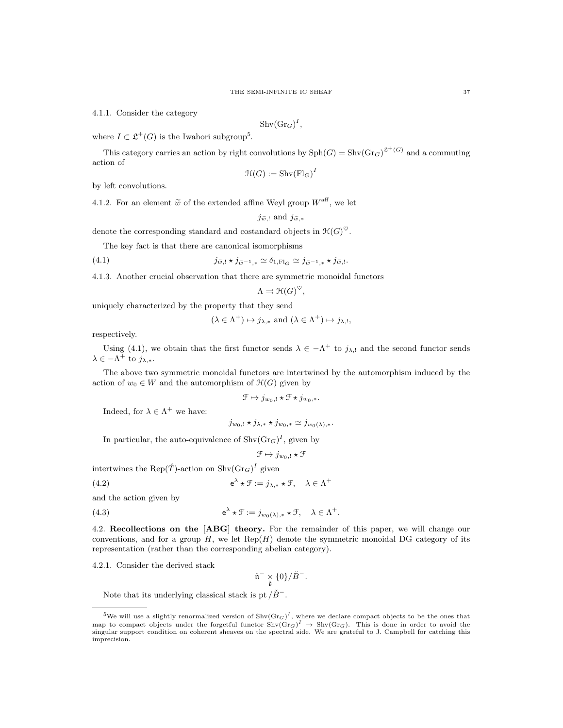4.1.1. Consider the category

$$
Shv(Gr_G)^I,
$$

where  $I \subset \mathfrak{L}^+(G)$  is the Iwahori subgroup<sup>5</sup>.

This category carries an action by right convolutions by  $\text{Sph}(G) = \text{Shv}(\text{Gr}_G)^{\mathfrak{L}^+(G)}$  and a commuting action of

$$
\mathfrak{H}(G) := \operatorname{Shv}(\operatorname{Fl}_G)^I
$$

by left convolutions.

4.1.2. For an element  $\tilde{w}$  of the extended affine Weyl group  $W^{\text{aff}}$ , we let

$$
j_{\widetilde{w},!}
$$
 and  $j_{\widetilde{w},*}$ 

denote the corresponding standard and costandard objects in  $\mathfrak{H}(G)^\heartsuit$ .

The key fact is that there are canonical isomorphisms

(4.1) 
$$
j_{\widetilde{w},!} \star j_{\widetilde{w}-1,*} \simeq \delta_{1,\mathrm{Fl}_G} \simeq j_{\widetilde{w}-1,*} \star j_{\widetilde{w},!}.
$$

4.1.3. Another crucial observation that there are symmetric monoidal functors

$$
\Lambda \rightrightarrows \mathcal{H}(G)^{\heartsuit},
$$

uniquely characterized by the property that they send

$$
(\lambda \in \Lambda^+) \mapsto j_{\lambda,*}
$$
 and  $(\lambda \in \Lambda^+) \mapsto j_{\lambda,!}$ ,

respectively.

Using (4.1), we obtain that the first functor sends  $\lambda \in -\Lambda^+$  to  $j_{\lambda, \cdot}$  and the second functor sends  $\lambda \in -\Lambda^+$  to  $j_{\lambda,*}.$ 

The above two symmetric monoidal functors are intertwined by the automorphism induced by the action of  $w_0 \in W$  and the automorphism of  $\mathcal{H}(G)$  given by

$$
\mathcal{F} \mapsto j_{w_0,!} \star \mathcal{F} \star j_{w_0,*}.
$$

Indeed, for  $\lambda \in \Lambda^+$  we have:

$$
j_{w_0,!} \star j_{\lambda,*} \star j_{w_0,*} \simeq j_{w_0(\lambda),*}.
$$

In particular, the auto-equivalence of  $\text{Shv}(\text{Gr}_G)^I$ , given by

$$
\mathfrak{F}\mapsto j_{w_0,!}\star \mathfrak{F}
$$

intertwines the  $\text{Rep}(\check{T})$ -action on  $\text{Shv}(\text{Gr}_G)^I$  given

$$
e^{\lambda} \star \mathcal{F} := j_{\lambda,*} \star \mathcal{F}, \quad \lambda \in \Lambda^+
$$

and the action given by

 $(4.2)$ 

 $(4.3)$ 

 $\lambda^{\lambda} \star \mathcal{F} := j_{w_0(\lambda), *} \star \mathcal{F}, \quad \lambda \in \Lambda^+.$ 

4.2. Recollections on the [ABG] theory. For the remainder of this paper, we will change our conventions, and for a group  $H$ , we let  $\text{Rep}(H)$  denote the symmetric monoidal DG category of its representation (rather than the corresponding abelian category).

4.2.1. Consider the derived stack

$$
\check{\mathfrak{n}}^- \underset{\check{\mathfrak{g}}} {\times} \{0\} / \check{B}^-.
$$

Note that its underlying classical stack is pt  $/\check{B}^-$ .

<sup>&</sup>lt;sup>5</sup>We will use a slightly renormalized version of  $\text{Shv}(\text{Gr}_G)^I$ , where we declare compact objects to be the ones that map to compact objects under the forgetful functor  $\text{Shv}(Gr_G)^I \to \text{Shv}(Gr_G)$ . This is done in order to avoid the singular support condition on coherent sheaves on the spectral side. We are grateful to J. Campbell for catchi imprecision.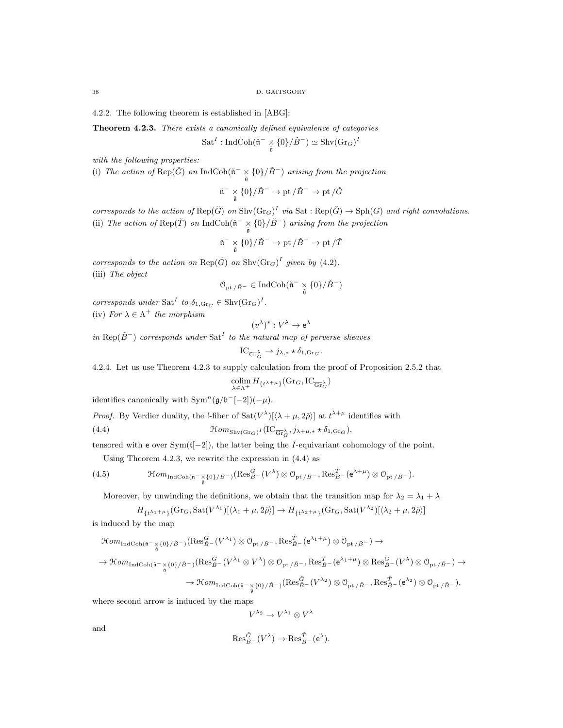4.2.2. The following theorem is established in [ABG]:

Theorem 4.2.3. There exists a canonically defined equivalence of categories

 $\operatorname{Sat}^I: \operatorname{IndCoh}({\tilde{\frak{n}}}^- \underset{{\tilde{\frak{g}}}}{\times} \{0\} / {\check{B}}^-) \simeq \operatorname{Shv}(\operatorname{Gr}_G)^I$ 

with the following properties:

(i) The action of  $\text{Rep}(\check{G})$  on  $\text{IndCoh}(\check{\mathfrak{n}}^- \times \{0\}/\check{B}^-)$  arising from the projection

$$
\check{\mathfrak{n}}^- \underset{\check{\mathfrak{g}}} {\times} \{0\} / \check{B}^- \to \operatorname{pt} / \check{B}^- \to \operatorname{pt} / \check{G}
$$

corresponds to the action of  $\text{Rep}(\check{G})$  on  $\text{Shv}(\text{Gr}_G)^I$  via  $\text{Sat}: \text{Rep}(\check{G}) \to \text{Sph}(G)$  and right convolutions. (ii) The action of  $\text{Rep}(\check{T})$  on  $\text{IndCoh}(\check{\mathfrak{n}}^- \times \{0\}/\check{B}^-)$  arising from the projection

$$
\check{\mathfrak{n}}^- \underset{\check{\mathfrak{g}}} {\times} \{0\} / \check{B}^- \to \operatorname{pt} / \check{B}^- \to \operatorname{pt} / \check{T}
$$

corresponds to the action on  $\text{Rep}(\check{G})$  on  $\text{Shv}(\text{Gr}_G)^I$  given by (4.2). (iii) The object

$$
\mathcal{O}_{\mathrm{pt}\,/\check{B}^-}\in \mathrm{IndCoh}(\check{\mathfrak{n}}^- \underset{\check{\mathfrak{g}}}{\times} \{0\}/\check{B}^-)
$$

corresponds under Sat<sup>I</sup> to  $\delta_{1,\text{Gr}_G} \in \text{Shv}(\text{Gr}_G)^I$ .

(iv) For  $\lambda \in \Lambda^+$  the morphism

$$
(v^{\lambda})^*:V^{\lambda}\to\mathsf{e}^{\lambda}
$$

in Rep( $\check{B}^-$ ) corresponds under Sat<sup>I</sup> to the natural map of perverse sheaves

$$
IC_{\overline{\mathrm{Gr}}_G^{\lambda}} \to j_{\lambda,*} \star \delta_{1,\mathrm{Gr}_G}.
$$

4.2.4. Let us use Theorem 4.2.3 to supply calculation from the proof of Proposition 2.5.2 that

$$
\operatornamewithlimits{colim}_{\lambda \in \Lambda^+} H_{\{t^{\lambda+\mu}\}}(\mathrm{Gr}_G, \mathrm{IC}_{\overline{\mathrm{Gr}}_G^{\lambda}})
$$

identifies canonically with  $\text{Sym}^n(\mathfrak{g}/\mathfrak{b}^-[-2])(-\mu)$ .

*Proof.* By Verdier duality, the !-fiber of  $Sat(V^{\lambda})[\langle \lambda + \mu, 2\check{\rho} \rangle]$  at  $t^{\lambda+\mu}$  identifies with

(4.4) 
$$
\mathcal{H}om_{\text{Shv}(Gr_G)^I}(\text{IC}_{\overline{Gr}_G^{\lambda}}, j_{\lambda+\mu,*}\star \delta_{1,\text{Gr}_G}),
$$

tensored with e over  $Sym(t[-2])$ , the latter being the *I*-equivariant cohomology of the point.

Using Theorem 4.2.3, we rewrite the expression in (4.4) as

(4.5) 
$$
\mathcal{H}om_{\mathrm{IndCoh}(\tilde{\mathfrak{n}}^{-}\times\{0\}/\tilde{B}^{-})}(\mathrm{Res}^{\tilde{G}}_{\tilde{B}^{-}}(V^{\lambda})\otimes \mathcal{O}_{\mathrm{pt}/\tilde{B}^{-}},\mathrm{Res}^{\tilde{T}}_{\tilde{B}^{-}}(\mathrm{e}^{\lambda+\mu})\otimes \mathcal{O}_{\mathrm{pt}/\tilde{B}^{-}}).
$$

Moreover, by unwinding the definitions, we obtain that the transition map for  $\lambda_2 = \lambda_1 + \lambda$ 

$$
H_{\{t^{\lambda_1+\mu}\}}(\text{Gr}_G,\text{Sat}(V^{\lambda_1})[\langle \lambda_1+\mu,2\check{\rho}\rangle]\to H_{\{t^{\lambda_2+\mu}\}}(\text{Gr}_G,\text{Sat}(V^{\lambda_2})[\langle \lambda_2+\mu,2\check{\rho}\rangle]
$$

is induced by the map

$$
\begin{aligned} \mathcal{H}om_{\mathrm{IndCoh}(\tilde{\mathfrak{n}}^{-}\underset{\tilde{\mathfrak{g}}} {\times} \{0\}/\check{\mathfrak{B}}^{-})}( \mathrm{Res}^{\tilde{G}}_{\tilde{B}^{-}}(V^{\lambda_1})\otimes\mathcal{O}_{\mathrm{pt}/\check{\mathfrak{B}}^{-}}, \mathrm{Res}^{\tilde{T}}_{\tilde{B}^{-}}(\mathrm{e}^{\lambda_1+\mu})\otimes\mathcal{O}_{\mathrm{pt}/\check{\mathfrak{B}}^{-}}) \rightarrow \\ \rightarrow \mathcal{H}om_{\mathrm{IndCoh}(\tilde{\mathfrak{n}}^{-}\underset{\tilde{\mathfrak{g}}} {\times} \{0\}/\check{\mathfrak{B}}^{-})}( \mathrm{Res}^{\tilde{G}}_{\tilde{B}^{-}}(V^{\lambda_1}\otimes V^{\lambda})\otimes\mathcal{O}_{\mathrm{pt}/\check{\mathfrak{B}}^{-}}, \mathrm{Res}^{\tilde{T}}_{\tilde{B}^{-}}(\mathrm{e}^{\lambda_1+\mu})\otimes\mathrm{Res}^{\tilde{G}}_{\tilde{B}^{-}}(V^{\lambda})\otimes\mathcal{O}_{\mathrm{pt}/\check{B}^{-}}) \rightarrow \\ \rightarrow \mathcal{H}om_{\mathrm{IndCoh}(\tilde{\mathfrak{n}}^{-}\underset{\tilde{\mathfrak{g}}} {\times} \{0\}/\check{\mathfrak{B}}^{-})}( \mathrm{Res}^{\tilde{G}}_{\tilde{B}^{-}}(V^{\lambda_2})\otimes\mathcal{O}_{\mathrm{pt}/\check{\mathfrak{B}}^{-}}, \mathrm{Res}^{\tilde{T}}_{\tilde{B}^{-}}(\mathrm{e}^{\lambda_2})\otimes\mathcal{O}_{\mathrm{pt}/\check{\mathfrak{B}}^{-}}), \end{aligned}
$$

where second arrow is induced by the maps

$$
V^{\lambda_2} \to V^{\lambda_1} \otimes V^{\lambda}
$$

and

$$
\operatorname{Res}_{\check{B}^-}^{\check{G}}(V^\lambda) \to \operatorname{Res}_{\check{B}^-}^{\check{T}}(e^\lambda).
$$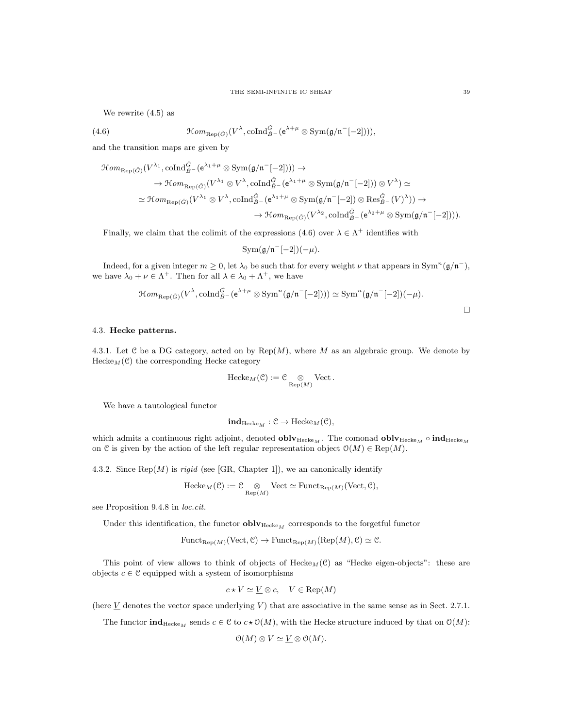We rewrite (4.5) as

(4.6) 
$$
\mathcal{H}om_{\text{Rep}(\check{G})}(V^{\lambda}, \text{coInd}_{\check{B}^{-}}^{\check{G}}(e^{\lambda+\mu}\otimes \text{Sym}(\mathfrak{g}/\mathfrak{n}^{-}[-2])))
$$

and the transition maps are given by

$$
\mathcal{H}om_{\text{Rep}(\check{G})}(V^{\lambda_1}, \text{coInd}_{\check{B}^{-}}^{\check{G}}(\mathsf{e}^{\lambda_1+\mu}\otimes \text{Sym}(\mathfrak{g}/\mathfrak{n}^{-}[-2]))) \rightarrow \rightarrow \mathcal{H}om_{\text{Rep}(\check{G})}(V^{\lambda_1}\otimes V^{\lambda}, \text{coInd}_{\check{B}^{-}}^{\check{G}}(\mathsf{e}^{\lambda_1+\mu}\otimes \text{Sym}(\mathfrak{g}/\mathfrak{n}^{-}[-2]))\otimes V^{\lambda}) \simeq \rightarrow \mathcal{H}om_{\text{Rep}(\check{G})}(V^{\lambda_1}\otimes V^{\lambda}, \text{coInd}_{\check{B}^{-}}^{\check{G}}(\mathsf{e}^{\lambda_1+\mu}\otimes \text{Sym}(\mathfrak{g}/\mathfrak{n}^{-}[-2]))\otimes \text{Res}_{\check{B}^{-}}^{\check{G}}(V)^{\lambda})) \rightarrow \rightarrow \mathcal{H}om_{\text{Rep}(\check{G})}(V^{\lambda_2}, \text{coInd}_{\check{B}^{-}}^{\check{G}}(\mathsf{e}^{\lambda_2+\mu}\otimes \text{Sym}(\mathfrak{g}/\mathfrak{n}^{-}[-2])))
$$

Finally, we claim that the colimit of the expressions (4.6) over  $\lambda \in \Lambda^+$  identifies with

$$
Sym(\mathfrak{g}/\mathfrak{n}^{-}[-2])(-\mu).
$$

Indeed, for a given integer  $m \geq 0$ , let  $\lambda_0$  be such that for every weight  $\nu$  that appears in Sym<sup>n</sup>( $\mathfrak{g}/\mathfrak{n}^-$ ), we have  $\lambda_0 + \nu \in \Lambda^+$ . Then for all  $\lambda \in \lambda_0 + \Lambda^+$ , we have

$$
\mathcal{H}om_{\text{Rep}(\tilde{G})}(V^{\lambda}, \text{coInd}_{\tilde{B}^-}^{\tilde{G}}(e^{\lambda+\mu} \otimes \text{Sym}^n(\mathfrak{g}/\mathfrak{n}^-[-2]))) \simeq \text{Sym}^n(\mathfrak{g}/\mathfrak{n}^-[-2])(-\mu).
$$

## 4.3. Hecke patterns.

4.3.1. Let C be a DG category, acted on by  $\text{Rep}(M)$ , where M as an algebraic group. We denote by  $Hecke_M(\mathcal{C})$  the corresponding Hecke category

$$
\mathrm{Hecke}_M(\mathcal{C}):=\mathcal{C}\underset{\mathrm{Rep}(M)}{\otimes}\mathrm{Vect}\,.
$$

We have a tautological functor

$$
\mathbf{ind}_{\mathrm{Hecke}_M}: \mathcal{C} \to \mathrm{Hecke}_M(\mathcal{C}),
$$

which admits a continuous right adjoint, denoted **obly**Hecke<sub>M</sub>. The comonad **obly**Hecke<sub>M</sub>  $\circ$  indHecke<sub>M</sub> on C is given by the action of the left regular representation object  $O(M) \in \text{Rep}(M)$ .

4.3.2. Since  $\text{Rep}(M)$  is *rigid* (see [GR, Chapter 1]), we an canonically identify

$$
\text{Hecke}_M(\mathcal{C}) := \mathcal{C} \underset{\text{Rep}(M)}{\otimes} \text{Vect} \simeq \text{Funct}_{\text{Rep}(M)}(\text{Vect}, \mathcal{C}),
$$

see Proposition 9.4.8 in loc.cit.

Under this identification, the functor  $\textbf{oblv}_{\text{Hecke}_M}$  corresponds to the forgetful functor

 $\text{Funct}_{\text{Rep}(M)}(\text{Vect}, \mathcal{C}) \to \text{Funct}_{\text{Rep}(M)}(\text{Rep}(M), \mathcal{C}) \simeq \mathcal{C}.$ 

This point of view allows to think of objects of  $Hecke_M(\mathcal{C})$  as "Hecke eigen-objects": these are objects  $c \in \mathcal{C}$  equipped with a system of isomorphisms

$$
c \star V \simeq \underline{V} \otimes c, \quad V \in \text{Rep}(M)
$$

(here  $\underline{V}$  denotes the vector space underlying V) that are associative in the same sense as in Sect. 2.7.1.

The functor  $\text{ind}_{\text{Hecke}_M}$  sends  $c \in \mathcal{C}$  to  $c \star \mathcal{O}(M)$ , with the Hecke structure induced by that on  $\mathcal{O}(M)$ :

 $\mathcal{O}(M) \otimes V \simeq V \otimes \mathcal{O}(M).$ 

 $\Box$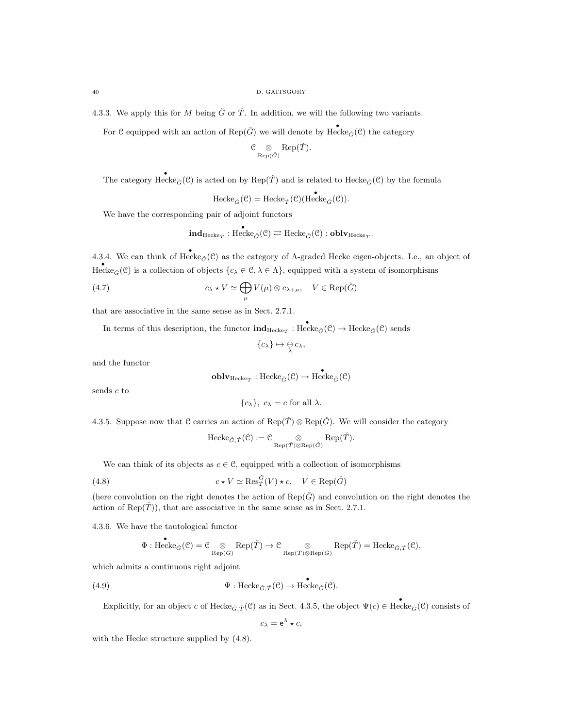4.3.3. We apply this for M being  $\check{G}$  or  $\check{T}$ . In addition, we will the following two variants.

For  $\mathcal C$  equipped with an action of  $\text{Rep}(\check G)$  we will denote by  $\text{Hecke}_{\check G}(\mathcal C)$  the category

$$
\mathcal{C}\underset{\mathrm{Rep}(\check{G})}{\otimes} \mathrm{Rep}(\check{T}).
$$

The category  $\text{Hecke}_{\tilde{G}}(\mathcal{C})$  is acted on by  $\text{Rep}(\tilde{T})$  and is related to  $\text{Hecke}_{\tilde{G}}(\mathcal{C})$  by the formula

 $\text{Hecke}_{\check{G}}(\mathcal{C}) = \text{Hecke}_{\check{T}}(\mathcal{C})(\text{Hecke}_{\check{G}}(\mathcal{C})).$ 

We have the corresponding pair of adjoint functors

$$
{\rm ind}_{\rm Hecke}_{T}: {\rm Hecke}_{\check{G}}(\mathcal{C}) \rightleftarrows {\rm Hecke}_{\check{G}}(\mathcal{C}): {\rm \bf oblv}_{\rm Hecke}_T.
$$

4.3.4. We can think of  $\text{Hecke}_{\check{G}}(\mathcal{C})$  as the category of  $\Lambda$ -graded Hecke eigen-objects. I.e., an object of Hecke<sub> $\tilde{G}(\mathcal{C})$  is a collection of objects  $\{c_{\lambda} \in \mathcal{C}, \lambda \in \Lambda\}$ , equipped with a system of isomorphisms</sub>

(4.7) 
$$
c_{\lambda} \star V \simeq \bigoplus_{\mu} V(\mu) \otimes c_{\lambda + \mu}, \quad V \in \text{Rep}(\check{G})
$$

that are associative in the same sense as in Sect. 2.7.1.

In terms of this description, the functor  $\text{ind}_{\text{Hecke}_T}$ : Hecke<sub> $\check{G}(\mathcal{C}) \to \text{Hecke}_{\check{G}}(\mathcal{C})$  sends</sub>

$$
\{c_{\lambda}\}\mapsto \underset{\lambda}{\oplus}c_{\lambda},
$$

and the functor

$$
\operatorname{\textbf{oblv}}_{\operatorname{Hecke}_T}:\operatorname{Hecke}_{\check{G}}(\mathcal{C})\rightarrow \operatorname{\textbf{Hecke}}_{\check{G}}(\mathcal{C})
$$

sends  $c$  to

$$
\{c_{\lambda}\}, c_{\lambda} = c \text{ for all } \lambda.
$$

4.3.5. Suppose now that C carries an action of  $\text{Rep}(\tilde{T}) \otimes \text{Rep}(\tilde{G})$ . We will consider the category

$$
\mathrm{Hecke}_{\check{G},\check{T}}(\mathcal{C}):=\mathcal{C}\underset{\mathrm{Rep}(\check{T})\otimes\mathrm{Rep}(\check{G})}{\otimes}\mathrm{Rep}(\check{T}).
$$

We can think of its objects as  $c \in \mathcal{C}$ , equipped with a collection of isomorphisms

(4.8) 
$$
c \star V \simeq \operatorname{Res}_{\tilde{T}}^{\tilde{G}}(V) \star c, \quad V \in \operatorname{Rep}(\tilde{G})
$$

(here convolution on the right denotes the action of  $\text{Rep}(\check{G})$  and convolution on the right denotes the action of  $\text{Rep}(\check{T})$ , that are associative in the same sense as in Sect. 2.7.1.

4.3.6. We have the tautological functor

$$
\Phi: \mathrm{Hecke}_{\check{G}}(\mathcal{C})=\mathcal{C}\underset{\mathrm{Rep}(\check{G})}{\otimes} \mathrm{Rep}(\check{T})\rightarrow \mathcal{C}\underset{\mathrm{Rep}(\check{T})\otimes \mathrm{Rep}(\check{G})}{\otimes} \mathrm{Rep}(\check{T})=\mathrm{Hecke}_{\check{G},\check{T}}(\mathcal{C}),
$$

which admits a continuous right adjoint

(4.9) 
$$
\Psi: \text{Hecke}_{\check{G},\check{T}}(\mathcal{C}) \to \text{Hecke}_{\check{G}}(\mathcal{C}).
$$

Explicitly, for an object c of Hecke $_{\check{G},\check{T}}(\mathcal{C})$  as in Sect. 4.3.5, the object  $\Psi(c) \in \text{Hecke}_{\check{G}}(\mathcal{C})$  consists of

$$
c_{\lambda} = e^{\lambda} \star c,
$$

with the Hecke structure supplied by  $(4.8)$ .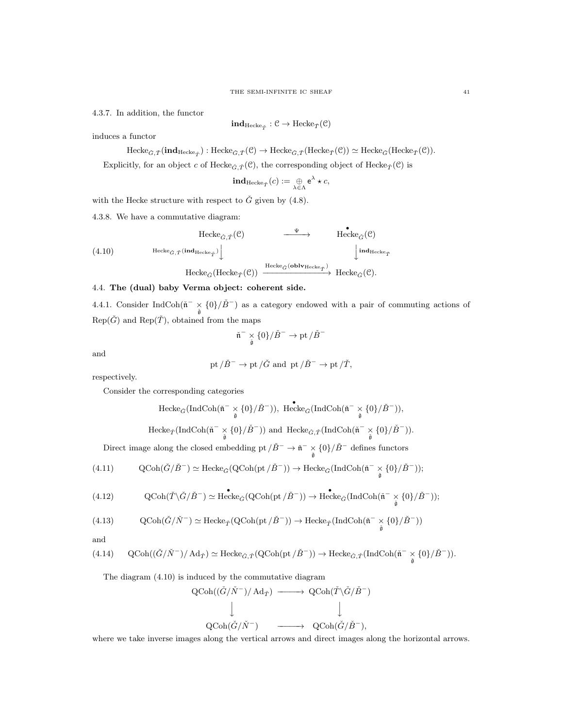4.3.7. In addition, the functor

$$
\mathbf{ind}_{\mathrm{Hecke}_{\check T}}:\mathcal C\to \mathrm{Hecke}_{\check T}(\mathcal C)
$$

induces a functor

 $\text{Hecke}_{\check{G},\check{T}}(\textbf{ind}_{\text{Hecke}_{\check{T}}}) : \text{Hecke}_{\check{G},\check{T}}(\mathcal{C}) \to \text{Hecke}_{\check{G},\check{T}}(\text{Hecke}_{\check{T}}(\mathcal{C})) \simeq \text{Hecke}_{\check{G}}(\text{Hecke}_{\check{T}}(\mathcal{C})).$ 

Explicitly, for an object c of Hecke<sub> $\check{G}, \check{T}(\mathcal{C})$ </sub>, the corresponding object of Hecke<sub> $\check{T}(\mathcal{C})$ </sub> is

$$
\mathbf{ind}_{\mathrm{Hecke}_{\check T}}(c) := \mathop{\oplus}_{\lambda \in \Lambda} \mathsf{e}^\lambda \star c,
$$

with the Hecke structure with respect to  $\check{G}$  given by (4.8).

4.3.8. We have a commutative diagram:

(4.10) Hecke<sub>$$
\tilde{G}
$$
,  $\tilde{T}$</sub>  $\left(\mathcal{C}\right)$   
\n $\left(\frac{\Psi}{\Phi_{\tilde{G}}(C)}\right)$   
\nHecke <sub>$\tilde{G}$</sub> ,  $\tilde{T}$  $\left(\frac{\text{ind}_{\text{Hecke}_{\tilde{T}}}}{\Phi_{\tilde{G}}(C)}\right)$   
\nHecke <sub>$\tilde{G}$</sub>  $\left(\text{Hecke}_{\tilde{T}}(C)\right)$   
\nHecke <sub>$\tilde{G}$</sub>  $\left(\text{Hecke}_{\tilde{T}}(C)\right)$   
\nHecke <sub>$\tilde{G}$</sub>  $\left(\text{oblv}_{\text{Hecke}_{\tilde{T}}}\right)$   
\nHecke <sub>$\tilde{G}$</sub>  $\left(\mathcal{C}\right)$   
\nHecke <sub>$\tilde{G}$</sub>  $\left(\mathcal{C}\right)$   
\nHecke <sub>$\tilde{G}$</sub>  $\left(\mathcal{C}\right)$   
\nHecke <sub>$\tilde{G}$</sub>  $\left(\mathcal{C}\right)$   
\nHecke <sub>$\tilde{G}$</sub>  $\left(\mathcal{C}\right)$   
\nHecke <sub>$\tilde{G}$</sub>  $\left(\mathcal{C}\right)$   
\nHecke <sub>$\tilde{G}$</sub>  $\left(\mathcal{C}\right)$   
\nHecke <sub>$\tilde{G}$</sub>  $\left(\mathcal{C}\right)$   
\nHecke <sub>$\tilde{G}$</sub>  $\left(\mathcal{C}\right)$   
\nHecke <sub>$\tilde{G}$</sub>  $\left(\mathcal{C}\right)$   
\nHecke <sub>$\tilde{G}$</sub>  $\left(\mathcal{C}\right)$   
\nHecke <sub>$\tilde{G}$</sub>  $\left(\mathcal{C}\right)$   
\nHecke <sub>$\tilde{G}$</sub>  $\left(\mathcal{C}\right)$   
\nHecke <sub>$\tilde{G}$</sub>  $\left(\mathcal{C}\right)$   
\nHecke <sub>$\tilde{G}$</sub>  $\left(\mathcal{C}\right)$   
\nHecke <sub>$\tilde{G}$</sub> 

# 4.4. The (dual) baby Verma object: coherent side.

4.4.1. Consider IndCoh( $\tilde{n}$ <sup>-</sup>  $\times \{0\}$ ) as a category endowed with a pair of commuting actions of  $Rep(\check{G})$  and  $Rep(\check{T})$ , obtained from the maps

$$
\check{\mathfrak{n}}^- \underset{\check{\mathfrak{g}}} {\times} \{0\} / \check{B}^- \to \operatorname{pt} / \check{B}^-
$$

and

$$
\operatorname{pt}/\check{B}^-\to \operatorname{pt}/\check{G} \text{ and } \operatorname{pt}/\check{B}^-\to \operatorname{pt}/\check{T},
$$

respectively.

Consider the corresponding categories

$$
\begin{array}{c}\n\text{Hecke}_{\check{G}}(\text{IndCoh}(\check{\mathfrak{n}}^- \underset{\check{\mathfrak{g}}}{\times} \{0\}/\check{B}^-)), \text{ Hecke}_{\check{G}}(\text{IndCoh}(\check{\mathfrak{n}}^- \underset{\check{\mathfrak{g}}}{\times} \{0\}/\check{B}^-)), \\
\text{Hecke}_{\check{T}}(\text{IndCoh}(\check{\mathfrak{n}}^- \underset{\check{\mathfrak{g}}}{\times} \{0\}/\check{B}^-)) \text{ and } \text{Hecke}_{\check{G},\check{T}}(\text{IndCoh}(\check{\mathfrak{n}}^- \underset{\check{\mathfrak{g}}}{\times} \{0\}/\check{B}^-)).\n\end{array}
$$

Direct image along the closed embedding pt  $/\check{B}^- \to \tilde{\mathfrak{n}}^- \times \{0\} / \check{B}^-$  defines functors

(4.11) 
$$
\mathrm{QCoh}(\check{G}/\check{B}^-) \simeq \mathrm{Hecke}_{\check{G}}(\mathrm{QCoh}(\mathrm{pt}/\check{B}^-)) \to \mathrm{Hecke}_{\check{G}}(\mathrm{IndCoh}(\check{\mathfrak{n}}^- \times \{0\}/\check{B}^-));
$$

$$
(4.12)\qquad \qquad \mathrm{QCoh}(\check{T}\backslash\check{G}/\check{B}^-)\simeq\mathrm{Hecke}_{\check{G}}(\mathrm{QCoh}(\mathrm{pt}\,/\check{B}^-))\rightarrow\mathrm{Hecke}_{\check{G}}(\mathrm{IndCoh}(\check{\mathfrak{n}}^- \times\{0\}/\check{B}^-));
$$

$$
(4.13) \qquad \quad \mathrm{QCoh}(\check{G}/\check{N}^-) \simeq \mathrm{Hecke}_{\check{T}}(\mathrm{QCoh}(\mathrm{pt}\,/\check{B}^-)) \to \mathrm{Hecke}_{\check{T}}(\mathrm{IndCoh}(\tilde{\mathfrak{n}}^- \times \{0\}/\check{B}^-))
$$

and

$$
(4.14) \qquad \operatorname{QCoh}((\check{G}/\check{N}^-)/\operatorname{Ad}_{\check{T}}) \simeq \mathrm{Hecke}_{\check{G},\check{T}}(\operatorname{QCoh}(\mathrm{pt}/\check{B}^-)) \to \mathrm{Hecke}_{\check{G},\check{T}}(\mathrm{IndCoh}(\tilde{\mathfrak{n}}^- \times \{0\}/\check{B}^-)).
$$

The diagram (4.10) is induced by the commutative diagram

$$
\begin{array}{ccc}\text{QCoh}((\check{G}/\check{N}^-)/\, \text{Ad}_{{\check{T}}})&\!\!\!-\!\!\!-\!\!\!\longrightarrow &\!\!\text{QCoh}({\check{T}}\backslash\check{G}/\check{B}^-)\\ &&\Big\downarrow&&\Big\downarrow\\ &&\text{QCoh}(\check{G}/\check{N}^-)&\!\!\!-\!\!\!\longrightarrow &\!\!\text{QCoh}(\check{G}/\check{B}^-),\end{array}
$$

where we take inverse images along the vertical arrows and direct images along the horizontal arrows.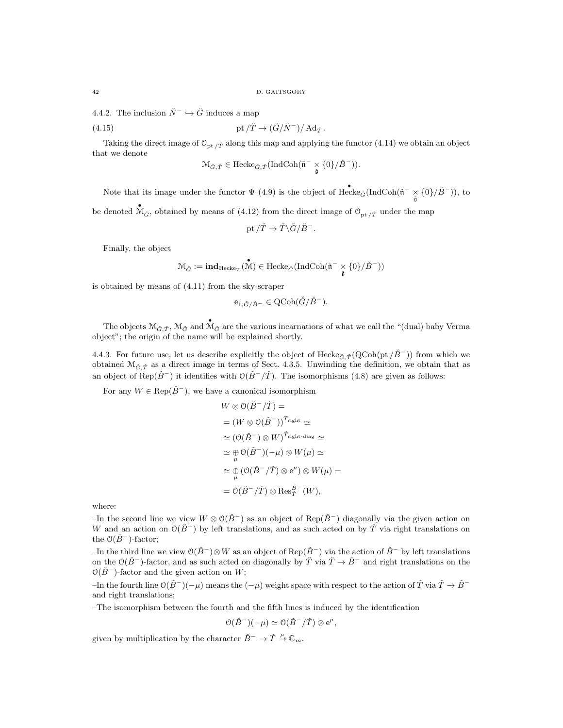4.4.2. The inclusion  $\check{N}^- \hookrightarrow \check{G}$  induces a map

(4.15) 
$$
pt/\check{T}\to(\check{G}/\check{N}^-)/\operatorname{Ad}_{\check{T}}.
$$

Taking the direct image of  $\mathcal{O}_{\text{nt}}$  /  $\bar{\gamma}$  along this map and applying the functor (4.14) we obtain an object that we denote

$$
\mathcal{M}_{\check{G},\check{T}}\in\mathrm{Hecke}_{\check{G},\check{T}}(\mathrm{IndCoh}(\check{\mathfrak{n}}^{-}\times\mathfrak{c}\{0\}/\check{B}^{-})).
$$

Note that its image under the functor  $\Psi$  (4.9) is the object of  $\text{Hecke}_{\tilde{G}}(\text{IndCoh}(\tilde{n}^{-} \times {\{0\}}/\tilde{B}^{-}))$ , to

be denoted  $\mathcal{M}_{\check{G}}$ , obtained by means of (4.12) from the direct image of  $\mathcal{O}_{pt/\check{T}}$  under the map

pt 
$$
/\check{T} \to \check{T} \backslash \check{G} / \check{B}^-
$$
.

Finally, the object

$$
\mathcal{M}_{\check{G}}:=\mathbf{ind}_{\mathrm{Hecke}_T}(\overset{\bullet}{\mathcal{M}})\in \mathrm{Hecke}_{\check{G}}(\mathrm{IndCoh}(\check{\mathfrak{n}}^- \underset{\check{\mathfrak{g}}}{\times} \{0\}/\check{B}^-))
$$

is obtained by means of (4.11) from the sky-scraper

$$
e_{1,\check{G}/\check{B}^-} \in \mathrm{QCoh}(\check{G}/\check{B}^-).
$$

The objects  $\mathcal{M}_{\check{G},\check{T}}$ ,  $\mathcal{M}_{\check{G}}$  and  $\mathcal{M}_{\check{G}}$  are the various incarnations of what we call the "(dual) baby Verma object"; the origin of the name will be explained shortly.

4.4.3. For future use, let us describe explicitly the object of Hecke $_{\tilde{G}, \tilde{T}}(QCoh(pt / \tilde{B}^{-}))$  from which we obtained  $\mathcal{M}_{\tilde{G},\tilde{T}}$  as a direct image in terms of Sect. 4.3.5. Unwinding the definition, we obtain that as an object of Rep( $\check{B}^-$ ) it identifies with  $\mathcal{O}(\check{B}^-/\check{T})$ . The isomorphisms (4.8) are given as follows:

For any  $W \in \text{Rep}(\check{B}^{-})$ , we have a canonical isomorphism

$$
W \otimes \mathcal{O}(\check{B}^{-}/\check{T}) =
$$
  
=  $(W \otimes \mathcal{O}(\check{B}^{-}))^{\check{T}_{\text{right}}} \simeq$   
 $\simeq (\mathcal{O}(\check{B}^{-}) \otimes W)^{\check{T}_{\text{right-diag}}} \simeq$   
 $\simeq \bigoplus_{\mu} \mathcal{O}(\check{B}^{-}) (-\mu) \otimes W(\mu) \simeq$   
 $\simeq \bigoplus_{\mu} (\mathcal{O}(\check{B}^{-}/\check{T}) \otimes e^{\mu}) \otimes W(\mu) =$   
=  $\mathcal{O}(\check{B}^{-}/\check{T}) \otimes \text{Res}_{\check{T}}^{\check{B}^{-}}(W),$ 

where:

–In the second line we view  $W \otimes \mathcal{O}(\check{B}^-)$  as an object of Rep( $\check{B}^-$ ) diagonally via the given action on W and an action on  $\mathcal{O}(\check{B}^-)$  by left translations, and as such acted on by T via right translations on the  $O(\dot{B}^-)$ -factor;

–In the third line we view  $O(\check{B}^-)\otimes W$  as an object of Rep( $\check{B}^-$ ) via the action of  $\check{B}^-$  by left translations on the  $\mathcal{O}(\check{B}^-)$ -factor, and as such acted on diagonally by  $\check{T}$  via  $\check{T} \to \check{B}^-$  and right translations on the  $O(\dot{B}^-)$ -factor and the given action on W;

–In the fourth line  $O(\check{B}^-)(-\mu)$  means the  $(-\mu)$  weight space with respect to the action of  $\check{T}$  via  $\check{T} \to \check{B}^$ and right translations;

–The isomorphism between the fourth and the fifth lines is induced by the identification

$$
\mathcal{O}(\check{B}^-)(-\mu) \simeq \mathcal{O}(\check{B}^-/\check{T}) \otimes e^{\mu},
$$

given by multiplication by the character  $\check{B}^- \to \check{T} \stackrel{\mu}{\to} \mathbb{G}_m$ .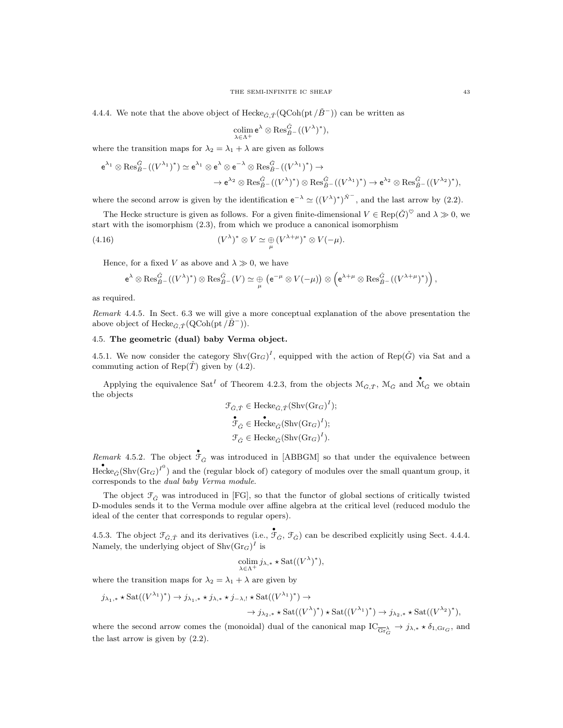4.4.4. We note that the above object of Hecke $_{\check{G}, \check{T}}(Q\text{Coh}(\text{pt}/\check{B}^-))$  can be written as

$$
\underset{\lambda\in\Lambda^+}{\operatorname{colim}}\,\mathsf{e}^\lambda\otimes\operatorname{Res}_{\check{B}^-}^{\check{G}}((V^\lambda)^*),
$$

where the transition maps for  $\lambda_2 = \lambda_1 + \lambda$  are given as follows

$$
e^{\lambda_1} \otimes \operatorname{Res}_{B^-}^{\check{G}}((V^{\lambda_1})^*) \simeq e^{\lambda_1} \otimes e^{\lambda} \otimes e^{-\lambda} \otimes \operatorname{Res}_{B^-}^{\check{G}}((V^{\lambda_1})^*) \to \n\to e^{\lambda_2} \otimes \operatorname{Res}_{B^-}^{\check{G}}((V^{\lambda_1})^*) \otimes \operatorname{Res}_{B^-}^{\check{G}}((V^{\lambda_1})^*) \to e^{\lambda_2} \otimes \operatorname{Res}_{B^-}^{\check{G}}((V^{\lambda_2})^*),
$$

where the second arrow is given by the identification  $e^{-\lambda} \simeq ((V^{\lambda})^*)^{\tilde{N}^-}$ , and the last arrow by (2.2).

The Hecke structure is given as follows. For a given finite-dimensional  $V \in \text{Rep}(\check{G})^{\heartsuit}$  and  $\lambda \gg 0$ , we start with the isomorphism (2.3), from which we produce a canonical isomorphism

(4.16) 
$$
(V^{\lambda})^* \otimes V \simeq \bigoplus_{\mu} (V^{\lambda+\mu})^* \otimes V(-\mu).
$$

Hence, for a fixed V as above and  $\lambda \gg 0$ , we have

$$
e^{\lambda} \otimes \operatorname{Res}_{B-}^{\tilde{G}}((V^{\lambda})^{*}) \otimes \operatorname{Res}_{B-}^{\tilde{G}}(V) \simeq \bigoplus_{\mu} (e^{-\mu} \otimes V(-\mu)) \otimes (e^{\lambda+\mu} \otimes \operatorname{Res}_{B-}^{\tilde{G}}((V^{\lambda+\mu})^{*})) \big),
$$

as required.

Remark 4.4.5. In Sect. 6.3 we will give a more conceptual explanation of the above presentation the above object of Hecke<sub> $\check{G}, \check{T}(\text{QCoh}(\text{pt}/\check{B}^-)).$ </sub>

## 4.5. The geometric (dual) baby Verma object.

4.5.1. We now consider the category  $\text{Shv}(Gr_G)^I$ , equipped with the action of  $\text{Rep}(\check{G})$  via Sat and a commuting action of Rep( $\check{T}$ ) given by (4.2).

Applying the equivalence Sat<sup>I</sup> of Theorem 4.2.3, from the objects  $\mathcal{M}_{\check{G},\check{T}}$ ,  $\mathcal{M}_{\check{G}}$  and  $\mathcal{M}_{\check{G}}$  we obtain the objects

$$
\mathcal{F}_{\check{G},\check{T}} \in \operatorname{Hecke}_{\check{G},\check{T}}(\operatorname{Shv}(\operatorname{Gr}_G)^I);
$$
  

$$
\mathcal{F}_{\check{G}} \in \operatorname{Hecke}_{\check{G}}(\operatorname{Shv}(\operatorname{Gr}_G)^I);
$$
  

$$
\mathcal{F}_{\check{G}} \in \operatorname{Hecke}_{\check{G}}(\operatorname{Shv}(\operatorname{Gr}_G)^I).
$$

Remark 4.5.2. The object  $\mathring{\mathcal{F}}_{\check{G}}$  was introduced in [ABBGM] so that under the equivalence between  $Hecke_{\tilde{G}}(\text{Shv}(Gr_G)^{I^0})$  and the (regular block of) category of modules over the small quantum group, it corresponds to the dual baby Verma module.

The object  $\mathcal{F}_{\tilde{G}}$  was introduced in [FG], so that the functor of global sections of critically twisted D-modules sends it to the Verma module over affine algebra at the critical level (reduced modulo the ideal of the center that corresponds to regular opers).

4.5.3. The object  $\mathcal{F}_{\tilde{G},\tilde{T}}$  and its derivatives (i.e.,  $\tilde{\mathcal{F}}_{\tilde{G}},\tilde{\mathcal{F}}_{\tilde{G}}$ ) can be described explicitly using Sect. 4.4.4. Namely, the underlying object of  $\text{Shv}(\text{Gr}_G)^I$  is

$$
\operatornamewithlimits{colim}_{\lambda \in \Lambda^+} j_{\lambda,*} \star \operatorname{Sat}((V^{\lambda})^*),
$$

where the transition maps for  $\lambda_2 = \lambda_1 + \lambda$  are given by

$$
j_{\lambda_1,*} \star \text{Sat}((V^{\lambda_1})^*) \to j_{\lambda_1,*} \star j_{\lambda,*} \star j_{-\lambda,!} \star \text{Sat}((V^{\lambda_1})^*) \to \to j_{\lambda_2,*} \star \text{Sat}((V^{\lambda_1})^*) \star \text{Sat}((V^{\lambda_1})^*) \to j_{\lambda_2,*} \star \text{Sat}((V^{\lambda_2})^*),
$$

where the second arrow comes the (monoidal) dual of the canonical map  $IC_{\overline{\text{Gr}}_G^{\lambda}} \to j_{\lambda,*} \star \delta_{1,\text{Gr}_G}$ , and the last arrow is given by (2.2).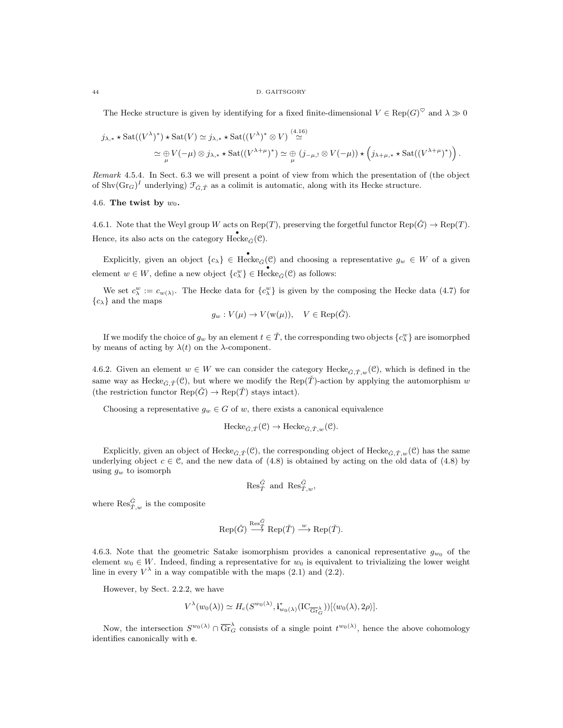The Hecke structure is given by identifying for a fixed finite-dimensional  $V \in \text{Rep}(G)^{\heartsuit}$  and  $\lambda \gg 0$ 

$$
j_{\lambda,*} \star \operatorname{Sat}((V^{\lambda})^*) \star \operatorname{Sat}(V) \simeq j_{\lambda,*} \star \operatorname{Sat}((V^{\lambda})^* \otimes V) \stackrel{(4.16)}{\simeq} \\ \simeq \bigoplus_{\mu} V(-\mu) \otimes j_{\lambda,*} \star \operatorname{Sat}((V^{\lambda+\mu})^*) \simeq \bigoplus_{\mu} (j_{-\mu,!} \otimes V(-\mu)) \star \left(j_{\lambda+\mu,*} \star \operatorname{Sat}((V^{\lambda+\mu})^*)\right).
$$

Remark 4.5.4. In Sect. 6.3 we will present a point of view from which the presentation of (the object of Shv $(\text{Gr}_G)^I$  underlying)  $\mathcal{F}_{\check{G},\check{T}}$  as a colimit is automatic, along with its Hecke structure.

#### 4.6. The twist by  $w_0$ .

4.6.1. Note that the Weyl group W acts on Rep(T), preserving the forgetful functor Rep( $\ddot{G}$ )  $\rightarrow$  Rep(T). Hence, its also acts on the category  $\text{Hecke}_{\tilde{G}}(\mathcal{C})$ .

Explicitly, given an object  $\{c_{\lambda}\}\in \text{Hecke}_{\tilde{G}}(\mathcal{C})$  and choosing a representative  $g_w \in W$  of a given element  $w \in W$ , define a new object  ${c^w_\lambda} \in Hecke_{\tilde{G}}(\mathcal{C})$  as follows:

We set  $c^w_\lambda := c_{w(\lambda)}$ . The Hecke data for  $\{c^w_\lambda\}$  is given by the composing the Hecke data (4.7) for  ${c_{\lambda}}$  and the maps

$$
g_w: V(\mu) \to V(\mathbf{w}(\mu)), \quad V \in \text{Rep}(\check{G}).
$$

If we modify the choice of  $g_w$  by an element  $t \in \check{T}$ , the corresponding two objects  $\{c^w_\lambda\}$  are isomorphed by means of acting by  $\lambda(t)$  on the  $\lambda$ -component.

4.6.2. Given an element  $w \in W$  we can consider the category Hecke $_{\check{G},\check{T},w}(\mathcal{C})$ , which is defined in the same way as Hecke<sub>G,  $\tilde{T}(\mathcal{C})$ , but where we modify the Rep( $\tilde{T}$ )-action by applying the automorphism w</sub> (the restriction functor  $\text{Rep}(\check{G}) \to \text{Rep}(\check{T})$  stays intact).

Choosing a representative  $g_w \in G$  of w, there exists a canonical equivalence

$$
\text{Hecke}_{\check{G},\check{T}}(\mathcal{C}) \to \text{Hecke}_{\check{G},\check{T},w}(\mathcal{C}).
$$

Explicitly, given an object of Hecke $_{\tilde{G}, \tilde{T}}(\mathcal{C})$ , the corresponding object of Hecke $_{\tilde{G}, \tilde{T}, w}(\mathcal{C})$  has the same underlying object  $c \in \mathcal{C}$ , and the new data of (4.8) is obtained by acting on the old data of (4.8) by using  $g_w$  to isomorph

$$
\operatorname{Res}_{\check T}^{\check G} \text{ and } \operatorname{Res}_{\check T,w}^{\check G},
$$

where  $\operatorname{Res}_{\check{T},w}^{\check{G}}$  is the composite

$$
\text{Rep}(\check{G}) \stackrel{\text{Res}_{\check{T}}^{\check{G}}}{\longrightarrow} \text{Rep}(\check{T}) \stackrel{w}{\longrightarrow} \text{Rep}(\check{T}).
$$

4.6.3. Note that the geometric Satake isomorphism provides a canonical representative  $g_{w_0}$  of the element  $w_0 \in W$ . Indeed, finding a representative for  $w_0$  is equivalent to trivializing the lower weight line in every  $V^{\lambda}$  in a way compatible with the maps (2.1) and (2.2).

However, by Sect. 2.2.2, we have

$$
V^{\lambda}(w_0(\lambda)) \simeq H_c(S^{w_0(\lambda)}, \mathbf{i}_{w_0(\lambda)}^*(\mathrm{IC}_{\overline{\mathrm{Gr}}_{G}^{\lambda}}))[\langle w_0(\lambda), 2\rho \rangle].
$$

Now, the intersection  $S^{w_0(\lambda)} \cap \overline{\text{Gr}}_G^{\lambda}$  consists of a single point  $t^{w_0(\lambda)}$ , hence the above cohomology identifies canonically with e.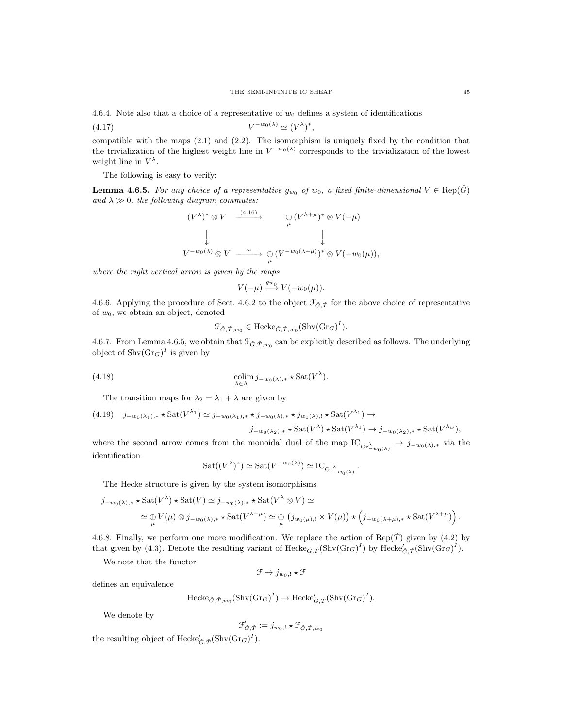4.6.4. Note also that a choice of a representative of  $w_0$  defines a system of identifications

$$
(4.17) \t\t V^{-w_0(\lambda)} \simeq (V^{\lambda})^*,
$$

compatible with the maps (2.1) and (2.2). The isomorphism is uniquely fixed by the condition that the trivialization of the highest weight line in  $V^{-w_0(\lambda)}$  corresponds to the trivialization of the lowest weight line in  $V^{\lambda}$ .

The following is easy to verify:

**Lemma 4.6.5.** For any choice of a representative  $g_{w_0}$  of  $w_0$ , a fixed finite-dimensional  $V \in \text{Rep}(\check{G})$ and  $\lambda \gg 0$ , the following diagram commutes:

$$
(V^{\lambda})^* \otimes V \xrightarrow{\quad (4.16)} \qquad \bigoplus_{\mu} (V^{\lambda+\mu})^* \otimes V(-\mu)
$$
  
  

$$
\downarrow \qquad \qquad \downarrow
$$
  

$$
V^{-w_0(\lambda)} \otimes V \xrightarrow{\sim} \bigoplus_{\mu} (V^{-w_0(\lambda+\mu)})^* \otimes V(-w_0(\mu)),
$$

where the right vertical arrow is given by the maps

$$
V(-\mu) \stackrel{g_{w_0}}{\longrightarrow} V(-w_0(\mu)).
$$

4.6.6. Applying the procedure of Sect. 4.6.2 to the object  $\mathcal{F}_{\check{G},\check{T}}$  for the above choice of representative of  $w_0$ , we obtain an object, denoted

$$
\mathcal{F}_{\check{G},\check{T},w_0} \in \text{Hecke}_{\check{G},\check{T},w_0}(\text{Shv}(\text{Gr}_G)^I).
$$

4.6.7. From Lemma 4.6.5, we obtain that  $\mathcal{F}_{\check{G},\check{T},w_0}$  can be explicitly described as follows. The underlying object of  $\text{Shv}(\text{Gr}_G)^I$  is given by

(4.18) 
$$
\underset{\lambda \in \Lambda^{+}}{\text{colim}} j_{-w_{0}(\lambda),*} \star \text{Sat}(V^{\lambda}).
$$

The transition maps for  $\lambda_2 = \lambda_1 + \lambda$  are given by

$$
(4.19) \quad j_{-w_0(\lambda_1), *} \star \text{Sat}(V^{\lambda_1}) \simeq j_{-w_0(\lambda_1), *} \star j_{-w_0(\lambda), *} \star j_{w_0(\lambda),!} \star \text{Sat}(V^{\lambda_1}) \to
$$

$$
j_{-w_0(\lambda_2), *} \star \text{Sat}(V^{\lambda}) \star \text{Sat}(V^{\lambda_1}) \to j_{-w_0(\lambda_2), *} \star \text{Sat}(V^{\lambda_w}),
$$

where the second arrow comes from the monoidal dual of the map  $IC_{\overline{Gr}^{\lambda}_{-w_0(\lambda)}} \to j_{-w_0(\lambda),*}$  via the identification

$$
Sat((V^{\lambda})^*) \simeq Sat(V^{-w_0(\lambda)}) \simeq IC_{\overline{Gr}_{-w_0(\lambda)}}.
$$

The Hecke structure is given by the system isomorphisms

$$
j_{-w_0(\lambda),*} \star \text{Sat}(V^{\lambda}) \star \text{Sat}(V) \simeq j_{-w_0(\lambda),*} \star \text{Sat}(V^{\lambda} \otimes V) \simeq
$$
  

$$
\simeq \bigoplus_{\mu} V(\mu) \otimes j_{-w_0(\lambda),*} \star \text{Sat}(V^{\lambda+\mu}) \simeq \bigoplus_{\mu} (j_{w_0(\mu),!} \times V(\mu)) \star (j_{-w_0(\lambda+\mu),*} \star \text{Sat}(V^{\lambda+\mu})) .
$$

4.6.8. Finally, we perform one more modification. We replace the action of  $\text{Rep}(\check{T})$  given by (4.2) by that given by (4.3). Denote the resulting variant of  $\text{Hecke}_{\check{G}, \check{T}}(\text{Shv}(\text{Gr}_G)^I)$  by  $\text{Hecke}_{\check{G}, \check{T}}^{\prime}(\text{Shv}(\text{Gr}_G)^I)$ .

We note that the functor

$$
\mathcal{F} \mapsto j_{w_0,!} \star \mathcal{F}
$$

defines an equivalence

$$
\text{Hecke}_{\tilde{G}, \tilde{T}, w_0}(\text{Shv}(Gr_G)^I) \to \text{Hecke}'_{\tilde{G}, \tilde{T}}(\text{Shv}(Gr_G)^I).
$$

We denote by

$$
\mathcal{F}_{\check{G},\check{T}}':=j_{w_0,!}\star\mathcal{F}_{\check{G},\check{T},w_0}
$$

the resulting object of  $\text{Hecke}_{\check{G}, \check{T}}^{\prime}(\text{Shv}(\text{Gr}_G)^{I}).$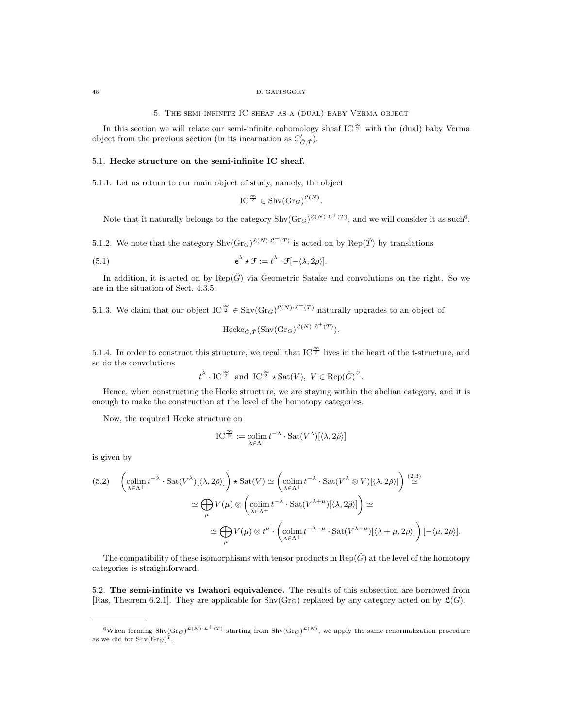#### 46 D. GAITSGORY

5. The semi-infinite IC sheaf as a (dual) baby Verma object

In this section we will relate our semi-infinite cohomology sheaf IC<sup> $\frac{\infty}{2}$ </sup> with the (dual) baby Verma object from the previous section (in its incarnation as  $\mathcal{F}'_{\check{G},\check{T}}$ ).

## 5.1. Hecke structure on the semi-infinite IC sheaf.

5.1.1. Let us return to our main object of study, namely, the object

$$
IC^{\frac{\infty}{2}} \in \operatorname{Shv}(\operatorname{Gr}_G)^{\mathfrak{L}(N)}.
$$

Note that it naturally belongs to the category  $\text{Shv}(\text{Gr}_G)^{\mathfrak{L}(N)\cdot \mathfrak{L}^+(T)}$ , and we will consider it as such<sup>6</sup>.

5.1.2. We note that the category  $\text{Shv}(\text{Gr}_G)^{\mathfrak{L}(N)\cdot \mathfrak{L}^+(T)}$  is acted on by  $\text{Rep}(\check{T})$  by translations

(5.1) 
$$
e^{\lambda} \star \mathcal{F} := t^{\lambda} \cdot \mathcal{F}[-\langle \lambda, 2\rho \rangle].
$$

In addition, it is acted on by  $\text{Rep}(\check{G})$  via Geometric Satake and convolutions on the right. So we are in the situation of Sect. 4.3.5.

5.1.3. We claim that our object  $IC^{\frac{\infty}{2}} \in Shv(Gr_G)^{\mathfrak{L}(N)\cdot \mathfrak{L}^+(T)}$  naturally upgrades to an object of

$$
\text{Hecke}_{\check{G}, \check{T}}(\text{Shv}(\text{Gr}_G)^{\mathfrak{L}(N)\cdot \mathfrak{L}^+(T)}).
$$

5.1.4. In order to construct this structure, we recall that IC  $\frac{\infty}{2}$  lives in the heart of the t-structure, and so do the convolutions

$$
t^{\lambda} \cdot \text{IC}^{\frac{\infty}{2}}
$$
 and  $\text{IC}^{\frac{\infty}{2}} \star \text{Sat}(V), V \in \text{Rep}(\check{G})^{\heartsuit}$ .

Hence, when constructing the Hecke structure, we are staying within the abelian category, and it is enough to make the construction at the level of the homotopy categories.

Now, the required Hecke structure on

$$
\mathrm{IC}^{\frac{\infty}{2}}:=\operatornamewithlimits{colim}_{\lambda\in\Lambda^+}t^{-\lambda}\cdot\mathrm{Sat}(V^\lambda)[\langle\lambda,2\check{\rho}\rangle]
$$

is given by

$$
(5.2) \quad \left(\underset{\lambda \in \Lambda^{+}}{\text{colim}} \ t^{-\lambda} \cdot \text{Sat}(V^{\lambda})[\langle \lambda, 2\check{\rho} \rangle] \right) \star \text{Sat}(V) \simeq \left(\underset{\lambda \in \Lambda^{+}}{\text{colim}} \ t^{-\lambda} \cdot \text{Sat}(V^{\lambda} \otimes V)[\langle \lambda, 2\check{\rho} \rangle] \right) \stackrel{(2.3)}{\simeq} \\ \simeq \bigoplus_{\mu} V(\mu) \otimes \left(\underset{\lambda \in \Lambda^{+}}{\text{colim}} \ t^{-\lambda} \cdot \text{Sat}(V^{\lambda+\mu})[\langle \lambda, 2\check{\rho} \rangle] \right) \simeq \\ \simeq \bigoplus_{\mu} V(\mu) \otimes t^{\mu} \cdot \left(\underset{\lambda \in \Lambda^{+}}{\text{colim}} \ t^{-\lambda-\mu} \cdot \text{Sat}(V^{\lambda+\mu})[\langle \lambda + \mu, 2\check{\rho} \rangle] \right) [-\langle \mu, 2\check{\rho} \rangle].
$$

The compatibility of these isomorphisms with tensor products in Rep( $\check{G}$ ) at the level of the homotopy categories is straightforward.

5.2. The semi-infinite vs Iwahori equivalence. The results of this subsection are borrowed from [Ras, Theorem 6.2.1]. They are applicable for  $\text{Shv}(Gr_G)$  replaced by any category acted on by  $\mathfrak{L}(G)$ .

<sup>&</sup>lt;sup>6</sup>When forming Shv $(\text{Gr}_G)^{\mathfrak{L}(N)} \cdot \mathfrak{L}^+(T)$  starting from Shv $(\text{Gr}_G)^{\mathfrak{L}(N)}$ , we apply the same renormalization procedure as we did for  $\text{Shv}(\text{Gr}_G)^I$ .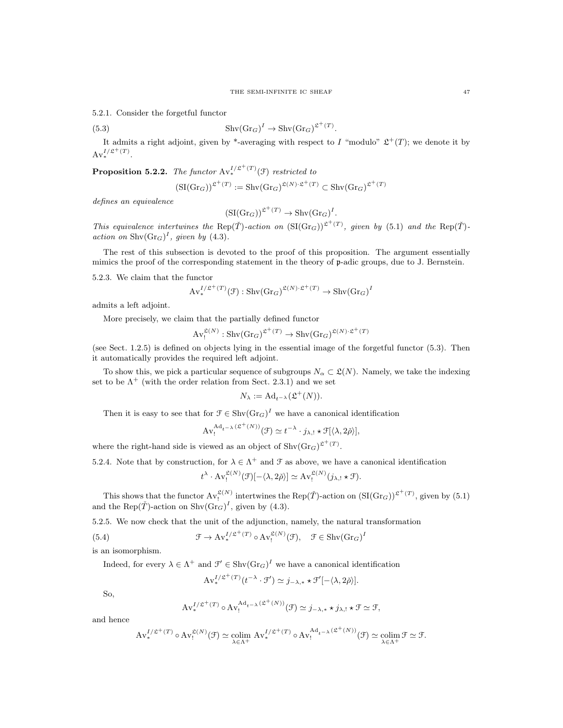5.2.1. Consider the forgetful functor

(5.3) 
$$
Shv(\text{Gr}_G)^I \to Shv(\text{Gr}_G)^{\mathfrak{L}^+(T)}
$$

It admits a right adjoint, given by \*-averaging with respect to I "modulo"  $\mathfrak{L}^+(T)$ ; we denote it by  $Av_*^{I/\mathfrak{L}^+(T)}.$ 

.

**Proposition 5.2.2.** The functor  $Av^{I/\mathfrak{L}^+(\mathcal{T})}_{*}(\mathfrak{F})$  restricted to

$$
(\operatorname{SI}(\operatorname{Gr}_G))^{\mathfrak{L}^+(T)} := \operatorname{Shv}(\operatorname{Gr}_G)^{\mathfrak{L}(N)\cdot\mathfrak{L}^+(T)} \subset \operatorname{Shv}(\operatorname{Gr}_G)^{\mathfrak{L}^+(T)}
$$

defines an equivalence

$$
(\mathrm{SI}(\mathrm{Gr}_G))^{\mathfrak{L}^+(T)} \to \mathrm{Shv}(\mathrm{Gr}_G)^I.
$$

This equivalence intertwines the Rep(T)-action on  $(SI(Gr_G))^{2^+(T)}$ , given by (5.1) and the Rep(T)action on  $\text{Shv}(\text{Gr}_G)^I$ , given by (4.3).

The rest of this subsection is devoted to the proof of this proposition. The argument essentially mimics the proof of the corresponding statement in the theory of p-adic groups, due to J. Bernstein.

5.2.3. We claim that the functor

$$
\mathrm{Av}^{I/\mathfrak{L}^+(T)}_*(\mathfrak{F}):\mathrm{Shv}(\mathrm{Gr}_G)^{\mathfrak{L}(N)\cdot\mathfrak{L}^+(T)}\to \mathrm{Shv}(\mathrm{Gr}_G)^I
$$

admits a left adjoint.

More precisely, we claim that the partially defined functor

$$
\operatorname{Av}^{\mathfrak{L}(N)}_{!} : \operatorname{Shv}(\operatorname{Gr}_G)^{\mathfrak{L}^+(T)} \to \operatorname{Shv}(\operatorname{Gr}_G)^{\mathfrak{L}(N)\cdot \mathfrak{L}^+(T)}
$$

(see Sect. 1.2.5) is defined on objects lying in the essential image of the forgetful functor (5.3). Then it automatically provides the required left adjoint.

To show this, we pick a particular sequence of subgroups  $N_\alpha \subset \mathfrak{L}(N)$ . Namely, we take the indexing set to be  $\Lambda^+$  (with the order relation from Sect. 2.3.1) and we set

$$
N_{\lambda} := \mathrm{Ad}_{t^{-\lambda}}(\mathfrak{L}^{+}(N)).
$$

Then it is easy to see that for  $\mathcal{F} \in \text{Shv}(\text{Gr}_G)^I$  we have a canonical identification

AvAdt−<sup>λ</sup> (L+(N))

$$
\mathrm{Av}_{!}^{\mathrm{Ad}_{t-\lambda}(\mathfrak{L}^{+}(N))}(\mathfrak{F})\simeq t^{-\lambda}\cdot j_{\lambda,!}\star\mathfrak{F}[\langle\lambda,2\check{\rho}\rangle],
$$

where the right-hand side is viewed as an object of  $\text{Shv}(\text{Gr}_G)^{\mathfrak{L}^+(T)}$ .

5.2.4. Note that by construction, for  $\lambda \in \Lambda^+$  and  $\mathcal F$  as above, we have a canonical identification

$$
t^{\lambda} \cdot \operatorname{Av}_!^{\mathfrak{L}(N)}(\mathfrak{F})[-\langle \lambda, 2\check{\rho} \rangle] \simeq \operatorname{Av}_!^{\mathfrak{L}(N)}(j_{\lambda,!} \star \mathfrak{F}).
$$

This shows that the functor  $Av_t^{\mathfrak{L}(N)}$  intertwines the  $Rep(\check{T})$ -action on  $(SI(Gr_G))^{2^+(T)}$ , given by  $(5.1)$ and the Rep( $\check{T}$ )-action on Shv( $\text{Gr}_G$ )<sup>I</sup>, given by (4.3).

5.2.5. We now check that the unit of the adjunction, namely, the natural transformation

(5.4) 
$$
\mathcal{F} \to \operatorname{Av}_{*}^{I/\mathfrak{L}^{+}(T)} \circ \operatorname{Av}_{!}^{\mathfrak{L}(N)}(\mathfrak{F}), \quad \mathfrak{F} \in \operatorname{Shv}(\operatorname{Gr}_{G})^{I}
$$

is an isomorphism.

Indeed, for every  $\lambda \in \Lambda^+$  and  $\mathcal{F}' \in \text{Shv}(\text{Gr}_G)^I$  we have a canonical identification

$$
\mathrm{Av}_{*}^{I/\mathfrak{L}^{+}(T)}(t^{-\lambda} \cdot \mathfrak{F}') \simeq j_{-\lambda,*} \star \mathfrak{F}'[-\langle \lambda, 2\check{\rho} \rangle].
$$

So,

$$
\mathrm{Av}^{I/\mathfrak{L}^+(T)}_* \circ \mathrm{Av}^{\mathrm{Ad}_{t-\lambda}(\mathfrak{L}^+(N))}_{!}(\mathfrak{F}) \simeq j_{-\lambda,*} \star j_{\lambda,!} \star \mathfrak{F} \simeq \mathfrak{F},
$$

and hence

$$
\mathrm{Av}^{I/\mathfrak{L}^+(T)}_*\circ \mathrm{Av}^{\mathfrak{L}(N)}_!(\mathfrak{F})\simeq \underset{\lambda\in \Lambda^+}{\mathrm{colim}}\,\mathrm{Av}^{I/\mathfrak{L}^+(T)}_*\circ \mathrm{Av}^{A\mathrm{d}_{t-\lambda}(\mathfrak{L}^+(N))}_!(\mathfrak{F})\simeq \underset{\lambda\in \Lambda^+}{\mathrm{colim}}\mathfrak{F}\simeq \mathfrak{F}.
$$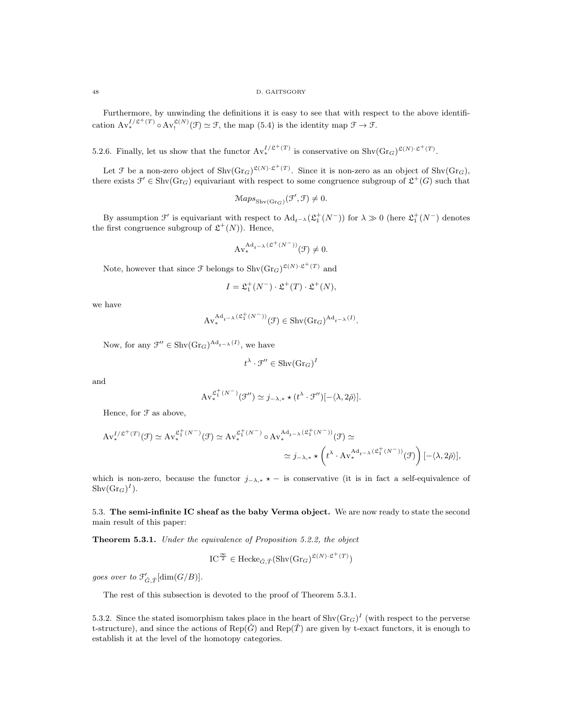#### 48 D. GAITSGORY

Furthermore, by unwinding the definitions it is easy to see that with respect to the above identification  $Av_*^{I/\mathfrak{L}^+(T)} \circ Av_!^{\mathfrak{L}(N)}(\mathfrak{F}) \simeq \mathfrak{F}$ , the map  $(5.4)$  is the identity map  $\mathfrak{F} \to \mathfrak{F}$ .

5.2.6. Finally, let us show that the functor  $\text{Av}_*^{I/\mathfrak{L}^+(T)}$  is conservative on  $\text{Shv}(\text{Gr}_G)^{\mathfrak{L}(N)\cdot \mathfrak{L}^+(T)}$ .

Let  $\mathcal F$  be a non-zero object of  $\text{Shv}(Gr_G)^{\mathfrak{L}(N)\cdot \mathfrak{L}^+(T)}$ . Since it is non-zero as an object of  $\text{Shv}(Gr_G)$ , there exists  $\mathcal{F}' \in \text{Shv}(Gr_G)$  equivariant with respect to some congruence subgroup of  $\mathfrak{L}^+(G)$  such that

$$
\mathrm{Maps}_{\mathrm{Shv}(\mathrm{Gr}_G)}(\mathcal{F}',\mathcal{F}) \neq 0.
$$

By assumption  $\mathcal{F}'$  is equivariant with respect to  $\text{Ad}_{t^{-\lambda}}(\mathfrak{L}_1^+(N^-))$  for  $\lambda \gg 0$  (here  $\mathfrak{L}_1^+(N^-)$  denotes the first congruence subgroup of  $\mathfrak{L}^+(N)$ ). Hence,

$$
\operatorname{Av}^{\operatorname{Ad}_{t^{-\lambda}}(\mathfrak{L}^{+}(N^{-}))}_{*}(\mathfrak{F})\neq 0.
$$

Note, however that since  $\mathcal F$  belongs to  $\text{Shv}(\text{Gr}_G)^{\mathfrak{L}(N)\cdot \mathfrak{L}^+(T)}$  and

$$
I = \mathfrak{L}_1^+(N^-) \cdot \mathfrak{L}^+(T) \cdot \mathfrak{L}^+(N),
$$

we have

$$
\mathbf{Av}^{\mathbf{Ad}_{t-\lambda}(\mathfrak{L}^+_1(N^-))}_{*}(\mathcal{F}) \in \mathbf{Shv}(\mathbf{Gr}_G)^{\mathbf{Ad}_{t-\lambda}(I)}.
$$

Now, for any  $\mathcal{F}'' \in \text{Shv}(\text{Gr}_G)^{\text{Ad}_{t^{-\lambda}}(I)},$  we have

$$
t^{\lambda} \cdot \mathfrak{F}'' \in \mathrm{Shv}(\mathrm{Gr}_G)^{I}
$$

and

$$
\mathrm{Av}^{\mathfrak{L}_1^+(N^-)}_*(\mathfrak{F}'')\simeq j_{-\lambda,*}\star (t^{\lambda}\cdot \mathfrak{F}'')[-\langle \lambda,2\check{\rho}\rangle].
$$

Hence, for F as above,

$$
\begin{split} \mathbf{A}\mathbf{v}_{*}^{I/\mathfrak{L}^{+}(T)}(\mathcal{F})&\simeq \mathbf{A}\mathbf{v}_{*}^{\mathfrak{L}_{1}^{+}(N^{-})}(\mathcal{F})\simeq \mathbf{A}\mathbf{v}_{*}^{\mathfrak{L}_{1}^{+}(N^{-})}\circ \mathbf{A}\mathbf{v}_{*}^{\mathbf{A}\mathbf{d}_{t-\lambda}(\mathfrak{L}_{1}^{+}(N^{-}))}(\mathcal{F})&\simeq\\ &\simeq j_{-\lambda,*}\star\left(t^{\lambda}\cdot \mathbf{A}\mathbf{v}_{*}^{\mathbf{A}\mathbf{d}_{t-\lambda}(\mathfrak{L}_{1}^{+}(N^{-}))}(\mathcal{F})\right)[- \langle\lambda,2\check{\rho}\rangle], \end{split}
$$

which is non-zero, because the functor  $j_{-\lambda,*} \star -$  is conservative (it is in fact a self-equivalence of  $\text{Shv}(\text{Gr}_G)^I$ ).

5.3. The semi-infinite IC sheaf as the baby Verma object. We are now ready to state the second main result of this paper:

Theorem 5.3.1. Under the equivalence of Proposition 5.2.2, the object

$$
\mathrm{IC}^{\frac{\infty}{2}} \in \mathrm{Hecke}_{\check{G},\check{T}}(\mathrm{Shv}(\mathrm{Gr}_G)^{\mathfrak{L}(N)\cdot\mathfrak{L}^+(T)})
$$

goes over to  $\mathcal{F}'_{\check{G},\check{T}}[\dim(G/B)].$ 

The rest of this subsection is devoted to the proof of Theorem 5.3.1.

5.3.2. Since the stated isomorphism takes place in the heart of  $\text{Shv}(\text{Gr}_G)^I$  (with respect to the perverse t-structure), and since the actions of  $\text{Rep}(\check{G})$  and  $\text{Rep}(\check{T})$  are given by t-exact functors, it is enough to establish it at the level of the homotopy categories.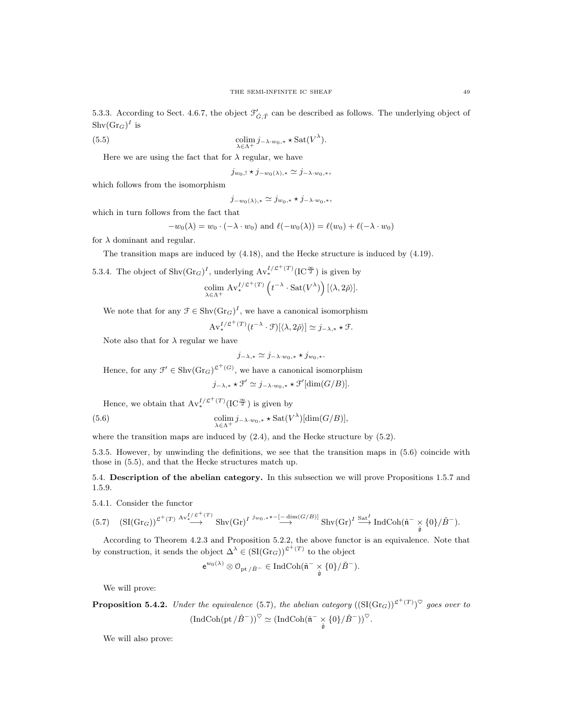5.3.3. According to Sect. 4.6.7, the object  $\mathcal{F}'_{\check{G},\check{T}}$  can be described as follows. The underlying object of  $\text{Shv}(\text{Gr}_G)^I$  is

(5.5) 
$$
\underset{\lambda \in \Lambda^{+}}{\text{colim}} j_{-\lambda \cdot w_{0},*} \star \text{Sat}(V^{\lambda}).
$$

Here we are using the fact that for  $\lambda$  regular, we have

$$
j_{w_0, !} \star j_{-w_0(\lambda), *} \simeq j_{-\lambda \cdot w_0, *},
$$

which follows from the isomorphism

$$
j_{-w_0(\lambda),*} \simeq j_{w_0,*} \star j_{-\lambda \cdot w_0,*},
$$

which in turn follows from the fact that

$$
-w_0(\lambda) = w_0 \cdot (-\lambda \cdot w_0) \text{ and } \ell(-w_0(\lambda)) = \ell(w_0) + \ell(-\lambda \cdot w_0)
$$

for  $\lambda$  dominant and regular.

The transition maps are induced by (4.18), and the Hecke structure is induced by (4.19).

5.3.4. The object of  $\text{Shv}(Gr_G)^I$ , underlying  $\text{Av}_*^{I/\mathfrak{L}^+(T)}(IC^{\mathfrak{S}})$  is given by

$$
\operatornamewithlimits{colim}_{\lambda \in \Lambda^+} \, \mathrm{Av}^{I/\mathfrak{L}^+(T)}_* \left( t^{-\lambda} \cdot \mathrm{Sat}(V^\lambda) \right) [ \langle \lambda, 2\check{\rho} \rangle ].
$$

We note that for any  $\mathcal{F} \in \text{Shv}(\text{Gr}_G)^I$ , we have a canonical isomorphism

$$
\mathrm{Av}^{I/\mathfrak{L}^+(T)}_* (t^{-\lambda} \cdot \mathfrak{F})[\langle \lambda, 2\check{\rho} \rangle] \simeq j_{-\lambda,*} \star \mathfrak{F}.
$$

Note also that for  $\lambda$  regular we have

$$
j_{-\lambda,*}\simeq j_{-\lambda\cdot w_0,*}\star j_{w_0,*}.
$$

Hence, for any  $\mathcal{F}' \in \text{Shv}(\text{Gr}_G)^{\mathfrak{L}^+(G)}$ , we have a canonical isomorphism

 $j_{-\lambda,*}\star \mathcal{F}' \simeq j_{-\lambda \cdot w_0,*}\star \mathcal{F}'[\dim(G/B)].$ 

Hence, we obtain that  $Av^{I/\mathfrak{L}^+(T)}_*(IC^{\frac{\infty}{2}})$  is given by

(5.6) 
$$
\underset{\lambda \in \Lambda^{+}}{\text{colim}} j_{-\lambda \cdot w_{0},*} \star \text{Sat}(V^{\lambda})[\text{dim}(G/B)],
$$

where the transition maps are induced by  $(2.4)$ , and the Hecke structure by  $(5.2)$ .

5.3.5. However, by unwinding the definitions, we see that the transition maps in (5.6) coincide with those in (5.5), and that the Hecke structures match up.

5.4. Description of the abelian category. In this subsection we will prove Propositions 1.5.7 and 1.5.9.

5.4.1. Consider the functor

$$
(5.7) \quad (\mathrm{SI}(\mathrm{Gr}_G))^{ \mathfrak{L}^+(T) } \stackrel{\mathrm{Av}_*^{I/\mathfrak{L}^+(T)}}{\longrightarrow} \mathrm{Shv}(\mathrm{Gr})^{I} \stackrel{j_{w_0,*} \star -[-\dim(G/B)]}{\longrightarrow} \mathrm{Shv}(\mathrm{Gr})^{I} \stackrel{\mathrm{Sat}^I}{\longrightarrow} \mathrm{IndCoh}(\check{\mathfrak{n}}^- \underset{\check{\mathfrak{g}}}{\times} \{0\}/\check{B}^-).
$$

According to Theorem 4.2.3 and Proposition 5.2.2, the above functor is an equivalence. Note that by construction, it sends the object  $\Delta^{\lambda} \in (\mathrm{SI}(\mathrm{Gr}_{G}))^{\mathfrak{L}^{+}(T)}$  to the object

$$
{\rm e}^{w_0(\lambda)}\otimes\mathbb{O}_{\mathrm{pt}\,/\check B^-}\in\mathrm{IndCoh}(\tilde {\mathfrak{n}}^-\underset{\tilde {\mathfrak{g}}}{\times}\{0\}/\check B^-).
$$

We will prove:

**Proposition 5.4.2.** Under the equivalence (5.7), the abelian category  $((\text{SI}(Gr_G))^{\mathfrak{L}^+(T)})^{\heartsuit}$  goes over to  $(\text{IndCoh}(\text{pt}/\check{B}^-))^{\heartsuit} \simeq (\text{IndCoh}(\tilde{\mathfrak{n}}^- \underset{\tilde{\mathfrak{g}}}{\times} \{0\}/\check{B}^-))^{\heartsuit}.$ 

We will also prove: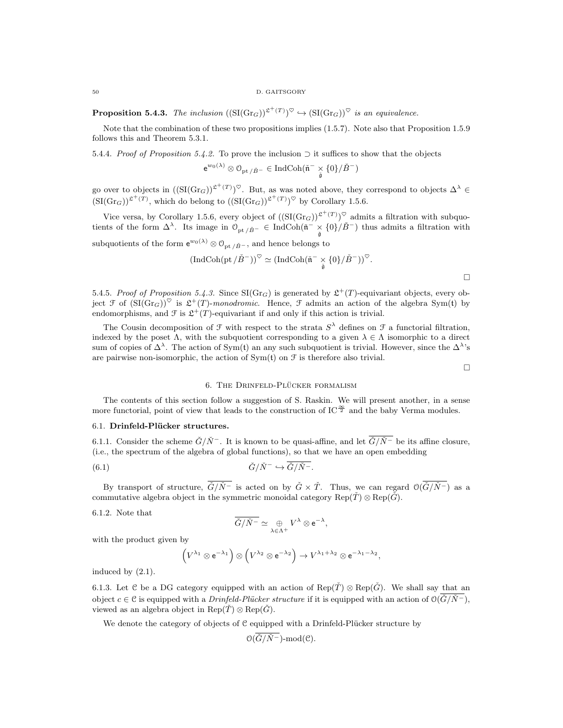**Proposition 5.4.3.** The inclusion  $((\text{SI}(Gr_G))^{2^+(T)})^{\heartsuit} \hookrightarrow (\text{SI}(Gr_G))^{\heartsuit}$  is an equivalence.

Note that the combination of these two propositions implies (1.5.7). Note also that Proposition 1.5.9 follows this and Theorem 5.3.1.

5.4.4. Proof of Proposition 5.4.2. To prove the inclusion  $\supset$  it suffices to show that the objects

$$
e^{w_0(\lambda)}\otimes \mathbb{O}_{\mathrm{pt}\,/\check{B}^-}\in \mathrm{IndCoh}(\tilde{\mathfrak{n}}^-\underset{\tilde{\mathfrak{g}}}{\times}\{0\}/\check{B}^-)
$$

go over to objects in  $((\text{SI}(Gr_G))^{2^+(T)})^{\heartsuit}$ . But, as was noted above, they correspond to objects  $\Delta^{\lambda} \in$  $(SI(\text{Gr}_G))^{\mathfrak{L}^+(T)}$ , which do belong to  $((SI(\text{Gr}_G))^{\mathfrak{L}^+(T)})^{\heartsuit}$  by Corollary 1.5.6.

Vice versa, by Corollary 1.5.6, every object of  $((\text{SI}(Gr_G))^{2^+(T)})^{\heartsuit}$  admits a filtration with subquotients of the form  $\Delta^{\lambda}$ . Its image in  $\mathcal{O}_{pt/\check{B}^-} \in \text{IndCoh}(\tilde{\mathfrak{n}}^- \times \{0\}/\check{B}^-)$  thus admits a filtration with subquotients of the form  $e^{w_0(\lambda)} \otimes \mathcal{O}_{\mathrm{pt}/\check{B}^-}$ , and hence belongs to

$$
\left(\operatorname{IndCoh}(\mathrm{pt}/\check{B}^-)\right)^\heartsuit\simeq \left(\operatorname{IndCoh}(\check{\mathfrak{n}}^- \underset{\check{\mathfrak{g}}}{\times} \{0\}/\check{B}^-)\right)^\heartsuit.
$$

5.4.5. Proof of Proposition 5.4.3. Since  $SI(Gr_G)$  is generated by  $\mathcal{L}^+(T)$ -equivariant objects, every object  $\mathfrak F$  of  $(SI(Gr_G))^\heartsuit$  is  $\mathfrak L^+(T)$ -monodromic. Hence,  $\mathfrak F$  admits an action of the algebra Sym(t) by endomorphisms, and  $\mathcal F$  is  $\mathfrak{L}^+(T)$ -equivariant if and only if this action is trivial.

The Cousin decomposition of  $\mathcal F$  with respect to the strata  $S^{\lambda}$  defines on  $\mathcal F$  a functorial filtration, indexed by the poset  $\Lambda$ , with the subquotient corresponding to a given  $\lambda \in \Lambda$  isomorphic to a direct sum of copies of  $\Delta^{\lambda}$ . The action of Sym(t) an any such subquotient is trivial. However, since the  $\Delta^{\lambda}$ 's are pairwise non-isomorphic, the action of  $Sym(t)$  on  $\mathcal F$  is therefore also trivial.

 $\Box$ 

 $\Box$ 

# 6. THE DRINFELD-PLÜCKER FORMALISM

The contents of this section follow a suggestion of S. Raskin. We will present another, in a sense more functorial, point of view that leads to the construction of IC  $^{\infty}_{2}$  and the baby Verma modules.

# 6.1. Drinfeld-Plücker structures.

6.1.1. Consider the scheme  $\check{G}/\check{N}^-$ . It is known to be quasi-affine, and let  $\check{G}/\check{N}^-$  be its affine closure, (i.e., the spectrum of the algebra of global functions), so that we have an open embedding

(6.1) 
$$
\check{G}/\check{N}^{-} \hookrightarrow \overline{\check{G}/\check{N}^{-}}.
$$

By transport of structure,  $\overline{\check{G}/\check{N}^-}$  is acted on by  $\check{G}\times\check{T}$ . Thus, we can regard  $\mathcal{O}(\overline{\check{G}/\check{N}^-})$  as a commutative algebra object in the symmetric monoidal category  $\text{Rep}(\check{T}) \otimes \text{Rep}(\check{G})$ .

## 6.1.2. Note that

$$
\overline{\check{G}/\check{N}^-}\simeq\mathop{\oplus}_{\lambda\in\Lambda^+}V^\lambda\otimes\mathop{\mathrm{e}}\nolimits^{-\lambda},
$$

with the product given by

$$
\left(V^{\lambda_1}\otimes e^{-\lambda_1}\right)\otimes\left(V^{\lambda_2}\otimes e^{-\lambda_2}\right)\to V^{\lambda_1+\lambda_2}\otimes e^{-\lambda_1-\lambda_2},
$$

induced by (2.1).

6.1.3. Let C be a DG category equipped with an action of  $\text{Rep}(\tilde{T}) \otimes \text{Rep}(\tilde{G})$ . We shall say that an object  $c \in \mathcal{C}$  is equipped with a Drinfeld-Plücker structure if it is equipped with an action of  $\mathcal{O}(\check{G}/\check{N}^-)$ , viewed as an algebra object in  $\text{Rep}(\check{T}) \otimes \text{Rep}(\check{G})$ .

We denote the category of objects of  $C$  equipped with a Drinfeld-Plücker structure by

$$
\mathcal{O}(\overline{\check{G}/\check{N}^-})
$$
-mod $(\mathcal{C})$ .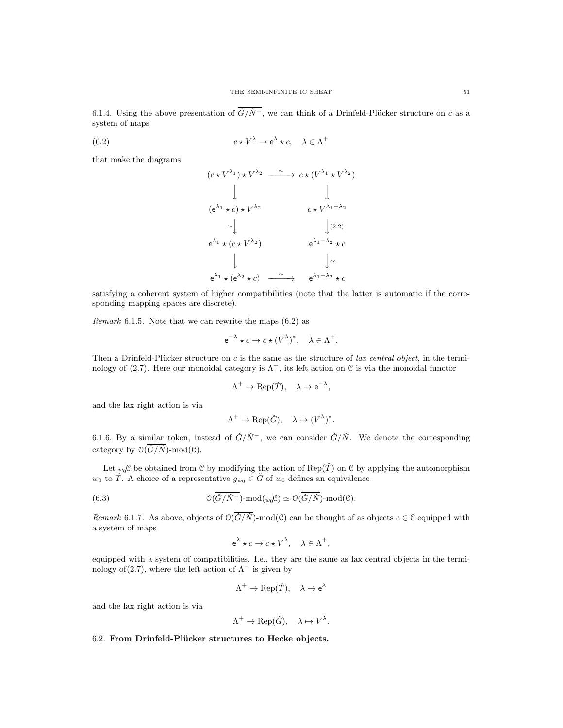6.1.4. Using the above presentation of  $\overline{\check{G}/\check{N}^-}$ , we can think of a Drinfeld-Plücker structure on c as a system of maps

(6.2) 
$$
c \star V^{\lambda} \to e^{\lambda} \star c, \quad \lambda \in \Lambda^{+}
$$

that make the diagrams

$$
(c * V^{\lambda_1}) * V^{\lambda_2} \xrightarrow{\sim} c * (V^{\lambda_1} * V^{\lambda_2})
$$
\n
$$
\downarrow \qquad \qquad \downarrow
$$
\n
$$
(e^{\lambda_1} * c) * V^{\lambda_2} \xrightarrow{\sim} c * V^{\lambda_1 + \lambda_2}
$$
\n
$$
\sim \downarrow \qquad \qquad \downarrow (2.2)
$$
\n
$$
e^{\lambda_1} * (c * V^{\lambda_2}) \xrightarrow{\sim} e^{\lambda_1 + \lambda_2} * c
$$
\n
$$
\downarrow \qquad \qquad \downarrow \sim
$$
\n
$$
e^{\lambda_1} * (e^{\lambda_2} * c) \xrightarrow{\sim} e^{\lambda_1 + \lambda_2} * c
$$

satisfying a coherent system of higher compatibilities (note that the latter is automatic if the corresponding mapping spaces are discrete).

Remark 6.1.5. Note that we can rewrite the maps (6.2) as

$$
e^{-\lambda} \star c \to c \star (V^{\lambda})^*, \quad \lambda \in \Lambda^+.
$$

Then a Drinfeld-Plücker structure on c is the same as the structure of lax central object, in the terminology of (2.7). Here our monoidal category is  $\Lambda^+$ , its left action on C is via the monoidal functor

$$
\Lambda^+ \to \text{Rep}(\check{T}), \quad \lambda \mapsto e^{-\lambda},
$$

and the lax right action is via

$$
\Lambda^+ \to \text{Rep}(\check{G}), \quad \lambda \mapsto (V^{\lambda})^*.
$$

6.1.6. By a similar token, instead of  $\check{G}/\check{N}^-$ , we can consider  $\check{G}/\check{N}$ . We denote the corresponding category by  $\mathcal{O}(\overline{\check{G}/\check{N}})$ -mod $(\mathcal{C})$ .

Let  $w_0$ C be obtained from C by modifying the action of Rep( $\check{T}$ ) on C by applying the automorphism  $w_0$  to  $\check{T}$ . A choice of a representative  $g_{w_0} \in \check{G}$  of  $w_0$  defines an equivalence

(6.3) 
$$
\mathcal{O}(\overline{\check{G}/\check{N}^-})\text{-mod}(w_0\mathcal{C})\simeq \mathcal{O}(\overline{\check{G}/\check{N}})\text{-mod}(\mathcal{C}).
$$

Remark 6.1.7. As above, objects of  $\mathcal{O}(\overline{\check{G}/\check{N}})$ -mod $(\mathcal{C})$  can be thought of as objects  $c \in \mathcal{C}$  equipped with a system of maps

$$
e^{\lambda} \star c \to c \star V^{\lambda}, \quad \lambda \in \Lambda^{+},
$$

equipped with a system of compatibilities. I.e., they are the same as lax central objects in the terminology of  $(2.7)$ , where the left action of  $\Lambda^+$  is given by

$$
\Lambda^+ \to \text{Rep}(\check{T}), \quad \lambda \mapsto e^{\lambda}
$$

and the lax right action is via

$$
\Lambda^+ \to \text{Rep}(\check{G}), \quad \lambda \mapsto V^{\lambda}.
$$

## 6.2. From Drinfeld-Plücker structures to Hecke objects.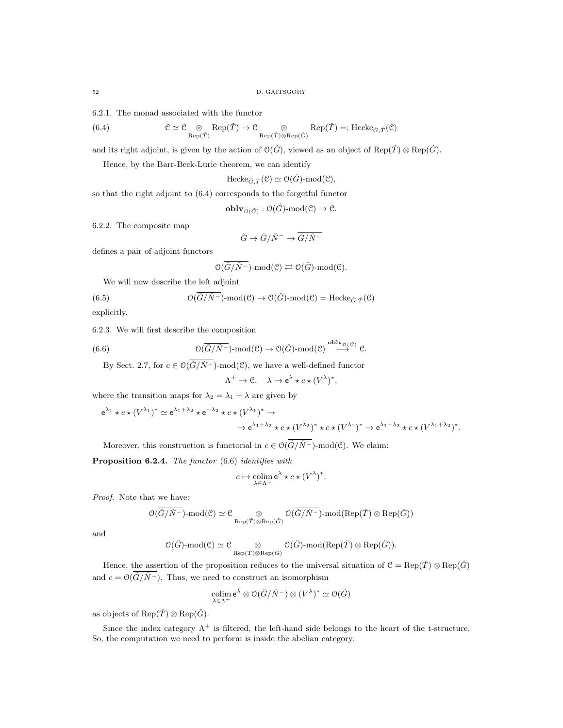6.2.1. The monad associated with the functor

(6.4) 
$$
\mathcal{C} \simeq \mathcal{C} \underset{\mathrm{Rep}(\tilde{T})}{\otimes} \mathrm{Rep}(\tilde{T}) \to \mathcal{C} \underset{\mathrm{Rep}(\tilde{T}) \otimes \mathrm{Rep}(\tilde{G})}{\otimes} \mathrm{Rep}(\tilde{T}) =: \mathrm{Hecke}_{\tilde{G},\tilde{T}}(\mathcal{C})
$$

and its right adjoint, is given by the action of  $\mathcal{O}(\check{G})$ , viewed as an object of Rep( $\check{T}$ ) ⊗ Rep( $\check{G}$ ).

Hence, by the Barr-Beck-Lurie theorem, we can identify

$$
\mathrm{Hecke}_{\check{G},\check{T}}(\mathcal{C})\simeq \mathcal{O}(\check{G})\text{-}\mathrm{mod}(\mathcal{C}),
$$

so that the right adjoint to (6.4) corresponds to the forgetful functor

 $\mathbf{oblv}_{\mathcal{O}(\check{G})}:\mathcal{O}(\check{G})\text{-mod}(\mathcal{C})\to\mathcal{C}.$ 

6.2.2. The composite map

$$
\check G\to \check G/\check N^-\to \overline{\check G/\check N^-}
$$

defines a pair of adjoint functors

$$
\mathcal{O}(\overline{\check{G}/\check{N}^-})\text{-}\mathrm{mod}(\mathcal{C})\rightleftarrows \mathcal{O}(\check{G})\text{-}\mathrm{mod}(\mathcal{C}).
$$

We will now describe the left adjoint

(6.5) 
$$
\mathcal{O}(\overline{\check{G}}/\check{N}^-)\text{-mod}(\mathcal{C}) \to \mathcal{O}(\check{G})\text{-mod}(\mathcal{C}) = \text{Hecke}_{\check{G},\check{T}}(\mathcal{C})
$$

explicitly.

6.2.3. We will first describe the composition

(6.6) 
$$
\mathcal{O}(\overline{\check{G}/\check{N}^-})\text{-mod}(\mathcal{C}) \to \mathcal{O}(\check{G})\text{-mod}(\mathcal{C}) \overset{\text{oblv}_{\mathcal{O}(\check{G})}}{\longrightarrow} \mathcal{C}.
$$

By Sect. 2.7, for  $c \in \mathcal{O}(\overline{\check{G}/\check{N}^{-}})$ -mod $(\mathcal{C})$ , we have a well-defined functor

$$
\Lambda^+ \to \mathcal{C}, \quad \lambda \mapsto e^{\lambda} \star c \star (V^{\lambda})^*,
$$

where the transition maps for  $\lambda_2 = \lambda_1 + \lambda$  are given by

$$
e^{\lambda_1} \star c \star (V^{\lambda_1})^* \simeq e^{\lambda_1 + \lambda_2} \star e^{-\lambda_2} \star c \star (V^{\lambda_1})^* \to
$$
  

$$
\to e^{\lambda_1 + \lambda_2} \star c \star (V^{\lambda_2})^* \star c \star (V^{\lambda_1})^* \to e^{\lambda_1 + \lambda_2} \star c \star (V^{\lambda_1 + \lambda_2})^*.
$$

Moreover, this construction is functorial in  $c \in \mathcal{O}(\overline{\check{G}/\check{N}^-})$ -mod $(\mathcal{C})$ . We claim:

Proposition 6.2.4. The functor (6.6) identifies with

$$
c \mapsto \operatornamewithlimits{colim}_{\lambda \in \Lambda^+} \mathsf{e}^\lambda \star c \star (V^\lambda)^*.
$$

Proof. Note that we have:

$$
\mathcal{O}(\overline{\check{G}/\check{N}^-})\text{-}\mathrm{mod}(\mathcal{C})\simeq \mathcal{C}\bigotimes\limits_{\mathrm{Rep}(\check{T})\otimes \mathrm{Rep}(\check{G})}\mathcal{O}(\overline{\check{G}/\check{N}^-})\text{-}\mathrm{mod}(\mathrm{Rep}(\check{T})\otimes \mathrm{Rep}(\check{G}))
$$

and

$$
\mathbb{O}(\check{G})\text{-}\mathrm{mod}(\mathcal{C})\simeq \mathcal{C}\underset{\mathrm{Rep}(\check{T})\otimes \mathrm{Rep}(\check{G})}{\otimes} \mathbb{O}(\check{G})\text{-}\mathrm{mod}(\mathrm{Rep}(\check{T})\otimes \mathrm{Rep}(\check{G})).
$$

Hence, the assertion of the proposition reduces to the universal situation of  $C = \text{Rep}(\check{T}) \otimes \text{Rep}(\check{G})$ and  $c = \mathcal{O}(\overline{\check{G}/\check{N}^{-}})$ . Thus, we need to construct an isomorphism

$$
\underset{\lambda \in \Lambda^+}{\text{colim}} \mathsf{e}^{\lambda} \otimes \mathcal{O}(\overline{\check{G}/\check{N}^-}) \otimes (V^{\lambda})^* \simeq \mathcal{O}(\check{G})
$$

as objects of  $\text{Rep}(\check{T}) \otimes \text{Rep}(\check{G})$ .

Since the index category  $\Lambda^+$  is filtered, the left-hand side belongs to the heart of the t-structure. So, the computation we need to perform is inside the abelian category.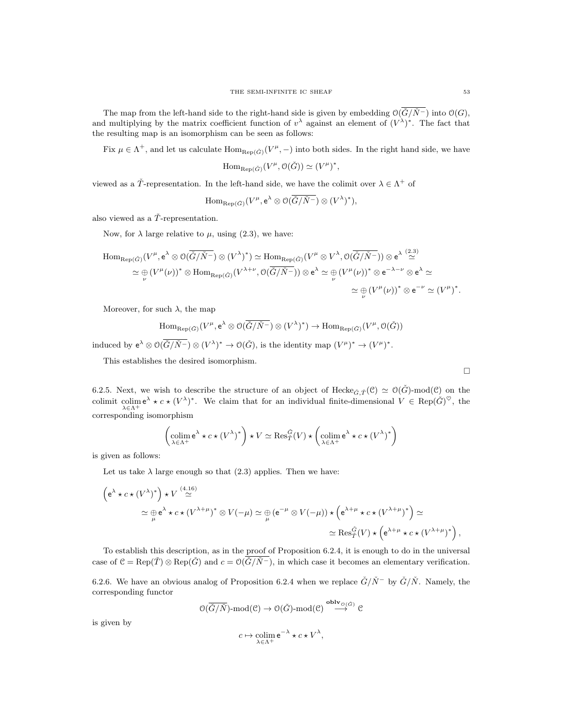The map from the left-hand side to the right-hand side is given by embedding  $O(\check{G}/\check{N}^-)$  into  $O(G)$ , and multiplying by the matrix coefficient function of  $v^{\lambda}$  against an element of  $(V^{\lambda})^*$ . The fact that the resulting map is an isomorphism can be seen as follows:

Fix  $\mu \in \Lambda^+$ , and let us calculate  $\text{Hom}_{\text{Rep}(\check{G})}(V^{\mu},-)$  into both sides. In the right hand side, we have

$$
\mathrm{Hom}_{\mathrm{Rep}(\check{G})}(V^{\mu}, \mathcal{O}(\check{G})) \simeq (V^{\mu})^*,
$$

viewed as a  $\check{T}$ -representation. In the left-hand side, we have the colimit over  $\lambda \in \Lambda^+$  of

$$
\mathrm{Hom}_{\mathrm{Rep}(\check{G})}(V^{\mu},\mathrm{e}^{\lambda}\otimes \mathcal{O}(\overline{\check{G}/\check{N}^-})\otimes (V^{\lambda})^*),
$$

also viewed as a  $\check{T}$ -representation.

Now, for  $\lambda$  large relative to  $\mu$ , using (2.3), we have:

$$
\text{Hom}_{\text{Rep}(\check{G})}(V^{\mu}, \mathbf{e}^{\lambda} \otimes \mathcal{O}(\overline{\check{G}/\check{N}^{-}}) \otimes (V^{\lambda})^{*}) \simeq \text{Hom}_{\text{Rep}(\check{G})}(V^{\mu} \otimes V^{\lambda}, \mathcal{O}(\overline{\check{G}/\check{N}^{-}})) \otimes \mathbf{e}^{\lambda} \stackrel{(2,3)}{\simeq} \\ \simeq \bigoplus_{\nu} (V^{\mu}(\nu))^{*} \otimes \text{Hom}_{\text{Rep}(\check{G})}(V^{\lambda+\nu}, \mathcal{O}(\overline{\check{G}/\check{N}^{-}})) \otimes \mathbf{e}^{\lambda} \simeq \bigoplus_{\nu} (V^{\mu}(\nu))^{*} \otimes \mathbf{e}^{-\lambda-\nu} \otimes \mathbf{e}^{\lambda} \simeq \\ \simeq \bigoplus_{\nu} (V^{\mu}(\nu))^{*} \otimes \mathbf{e}^{-\nu} \simeq (V^{\mu})^{*}.
$$

ν

Moreover, for such  $\lambda$ , the map

$$
\mathrm{Hom}_{\mathrm{Rep}(\check{G})}(V^{\mu},e^{\lambda}\otimes \mathcal{O}(\overline{\check{G}/\check{N}^-})\otimes (V^{\lambda})^*)\to \mathrm{Hom}_{\mathrm{Rep}(\check{G})}(V^{\mu},\mathcal{O}(\check{G}))
$$

induced by  $e^{\lambda} \otimes \mathcal{O}(\check{G}/\check{N}^{-}) \otimes (V^{\lambda})^{*} \to \mathcal{O}(\check{G}),$  is the identity map  $(V^{\mu})^{*} \to (V^{\mu})^{*}$ .

This establishes the desired isomorphism.

6.2.5. Next, we wish to describe the structure of an object of Hecke $_{\tilde{G}, \tilde{T}}(\mathcal{C}) \simeq \mathcal{O}(\tilde{G})$ -mod $(\mathcal{C})$  on the colimit colime<sup> $\lambda$ </sup>  $\star$   $c$   $\star$   $(V^{\lambda})^*$ . We claim that for an individual finite-dimensional  $V \in \text{Rep}(\check{G})^{\heartsuit}$ , the  $\lambda \in \Lambda^+$ corresponding isomorphism

$$
\left(\underset{\lambda \in \Lambda^{+}}{\operatorname{colim}} \mathsf{e}^{\lambda} \star c \star (V^{\lambda})^{*}\right) \star V \simeq \operatorname{Res}_{T}^{\tilde{G}}(V) \star \left(\underset{\lambda \in \Lambda^{+}}{\operatorname{colim}} \mathsf{e}^{\lambda} \star c \star (V^{\lambda})^{*}\right)
$$

is given as follows:

Let us take  $\lambda$  large enough so that (2.3) applies. Then we have:

$$
\begin{aligned}\n\left(e^{\lambda} \star c \star (V^{\lambda})^*\right) \star V & \stackrel{(4.16)}{\simeq} \\
&\simeq \bigoplus_{\mu} e^{\lambda} \star c \star (V^{\lambda+\mu})^* \otimes V(-\mu) \simeq \bigoplus_{\mu} \left(e^{-\mu} \otimes V(-\mu)\right) \star \left(e^{\lambda+\mu} \star c \star (V^{\lambda+\mu})^*\right) \simeq \\
&\simeq \text{Res}_{T}^{\tilde{G}}(V) \star \left(e^{\lambda+\mu} \star c \star (V^{\lambda+\mu})^*\right),\n\end{aligned}
$$

To establish this description, as in the proof of Proposition 6.2.4, it is enough to do in the universal case of  $C = \text{Rep}(\check{T}) \otimes \text{Rep}(\check{G})$  and  $c = \mathcal{O}(\check{G}/\check{N}^{-})$ , in which case it becomes an elementary verification.

6.2.6. We have an obvious analog of Proposition 6.2.4 when we replace  $\check{G}/\check{N}^-$  by  $\check{G}/\check{N}$ . Namely, the corresponding functor

$$
\mathcal{O}(\overline{\check{G}/\check{N}}) \text{-mod}(\mathcal{C}) \to \mathcal{O}(\check{G}) \text{-mod}(\mathcal{C}) \stackrel{\text{oblv}_{\mathcal{O}}(\check{G})}{\longrightarrow} \mathcal{C}
$$

is given by

$$
c \mapsto \operatorname*{colim}_{\lambda \in \Lambda^+} e^{-\lambda} \star c \star V^{\lambda},
$$

 $\Box$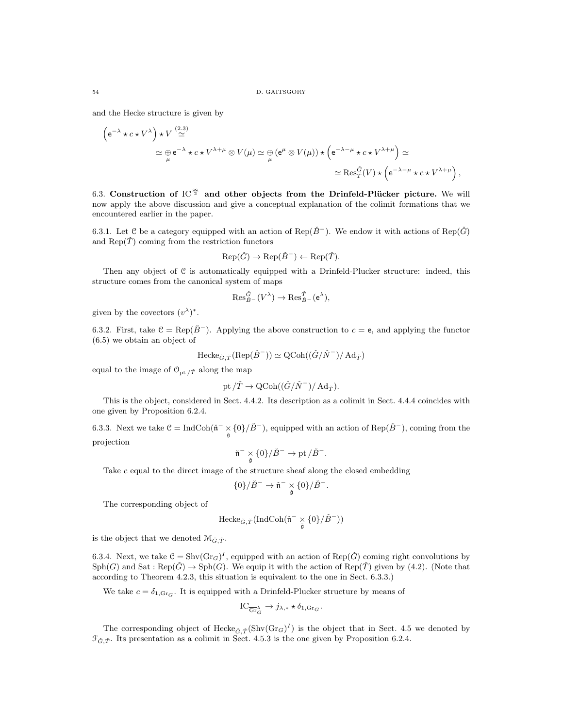and the Hecke structure is given by

$$
\begin{aligned}\n\left(e^{-\lambda} \star c \star V^{\lambda}\right) \star V & \stackrel{(2.3)}{\simeq} \\
& \simeq \bigoplus_{\mu} e^{-\lambda} \star c \star V^{\lambda+\mu} \otimes V(\mu) \simeq \bigoplus_{\mu} \left(e^{\mu} \otimes V(\mu)\right) \star \left(e^{-\lambda-\mu} \star c \star V^{\lambda+\mu}\right) \simeq \\
& \simeq \text{Res}_{T}^{\tilde{G}}(V) \star \left(e^{-\lambda-\mu} \star c \star V^{\lambda+\mu}\right),\n\end{aligned}
$$

6.3. Construction of  $IC^{\frac{\infty}{2}}$  and other objects from the Drinfeld-Plücker picture. We will now apply the above discussion and give a conceptual explanation of the colimit formations that we encountered earlier in the paper.

6.3.1. Let C be a category equipped with an action of Rep( $\check{B}^-$ ). We endow it with actions of Rep( $\check{G}$ ) and  $\text{Rep}(\check{\mathcal{T}})$  coming from the restriction functors

$$
Rep(\check{G}) \to Rep(\check{B}^-) \leftarrow Rep(\check{T}).
$$

Then any object of  $C$  is automatically equipped with a Drinfeld-Plucker structure: indeed, this structure comes from the canonical system of maps

$$
\mathrm{Res}_{\check{B}^-}^{\check{G}}(V^\lambda)\to \mathrm{Res}_{\check{B}^-}^{\check{T}}(\mathsf{e}^\lambda),
$$

given by the covectors  $(v^{\lambda})^*$ .

6.3.2. First, take  $C = \text{Rep}(\check{B}^-)$ . Applying the above construction to  $c = e$ , and applying the functor (6.5) we obtain an object of

$$
\text{Hecke}_{\check{G},\check{T}}(\text{Rep}(\check{B}^-)) \simeq \text{QCoh}((\check{G}/\check{N}^-)/\text{Ad}_{\check{T}})
$$

equal to the image of  $\mathcal{O}_{\mathrm{pt}/\check{T}}$  along the map

$$
{\rm pt}\,/\check T\to {\rm QCoh}((\check G/\check N^-)/\mathop{\rm Ad}\nolimits_{\check T}).
$$

This is the object, considered in Sect. 4.4.2. Its description as a colimit in Sect. 4.4.4 coincides with one given by Proposition 6.2.4.

6.3.3. Next we take  $\mathcal{C} = \text{IndCoh}(\tilde{\mathfrak{n}}^- \times {\{0\}}/\tilde{B}^-)$ , equipped with an action of  $\text{Rep}(\tilde{B}^-)$ , coming from the projection

$$
\check{\mathfrak{n}}^- \underset{\check{\mathfrak{g}}} {\times} \{0\} / \check{B}^- \to \mathrm{pt} / \check{B}^-.
$$

Take c equal to the direct image of the structure sheaf along the closed embedding

$$
\{0\}/\check{B}^- \to \check{\mathfrak{n}}^- \underset{\check{\mathfrak{g}}}{\times} \{0\}/\check{B}^-.
$$

The corresponding object of

$$
\mathrm{Hecke}_{\check{G},\check{T}}(\mathrm{IndCoh}(\check{\mathfrak{n}}^- \times_{\check{\mathfrak{g}}} \{0\}/\check{B}^-))
$$

is the object that we denoted  $\mathcal{M}_{\check{G},\check{T}}$ .

6.3.4. Next, we take  $C = Shv(\text{Gr}_G)^I$ , equipped with an action of Rep( $\check{G}$ ) coming right convolutions by  $Sph(G)$  and  $Sat:Rep(\check{G}) \to Sph(G)$ . We equip it with the action of  $Rep(\check{T})$  given by (4.2). (Note that according to Theorem 4.2.3, this situation is equivalent to the one in Sect. 6.3.3.)

We take  $c = \delta_{1,\text{Gr}_G}$ . It is equipped with a Drinfeld-Plucker structure by means of

$$
IC_{\overline{\text{Gr}}_G^{\lambda}} \to j_{\lambda,*} \star \delta_{1,\text{Gr}_G}.
$$

The corresponding object of  $\text{Hecke}_{\tilde{G}, \tilde{T}}(\text{Shv}(Gr_G)^I)$  is the object that in Sect. 4.5 we denoted by  $\mathcal{F}_{\check{G},\check{T}}$ . Its presentation as a colimit in Sect. 4.5.3 is the one given by Proposition 6.2.4.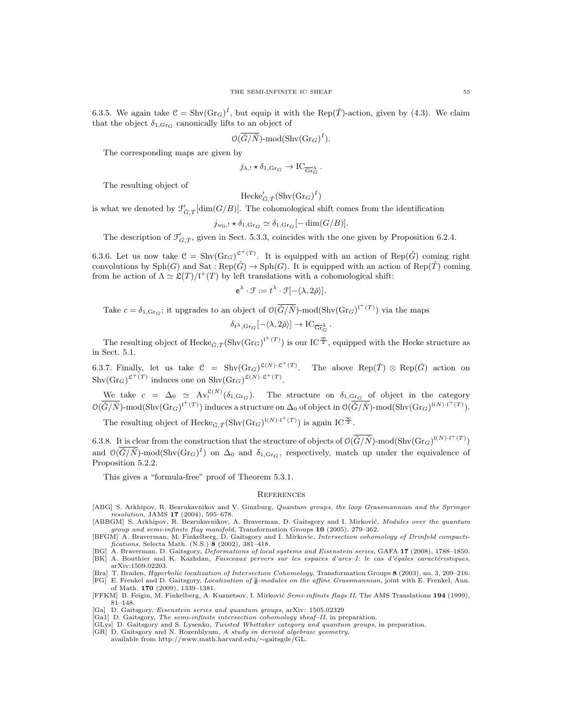6.3.5. We again take  $C = Shv(Gr_G)^I$ , but equip it with the Rep( $\check{T}$ )-action, given by (4.3). We claim that the object  $\delta_{1,\text{Gr}_G}$  canonically lifts to an object of

$$
\mathfrak{O}(\overline{\check{G}/\check{N}})\text{-}\mathrm{mod}(\mathrm{Shv}(\mathrm{Gr}_G)^I).
$$

The corresponding maps are given by

$$
j_{\lambda,!}\times \delta_{1,\text{Gr}_G} \to \text{IC}_{\overline{\text{Gr}}_G^{\lambda}}.
$$

The resulting object of

$$
\textup{Hecke}'_{\check{G}, \check{T}}(\textup{Shv}(\textup{Gr}_G)^I)
$$

is what we denoted by  $\mathcal{F}'_{\check{G},\check{T}}[\dim(G/B)]$ . The cohomological shift comes from the identification

$$
j_{w_0,!} \star \delta_{1,\text{Gr}_G} \simeq \delta_{1,\text{Gr}_G}[-\dim(G/B)].
$$

The description of  $\mathcal{F}'_{\check{G},\check{T}}$ , given in Sect. 5.3.3, coincides with the one given by Proposition 6.2.4.

6.3.6. Let us now take  $C = Shv(Gr_G)^{2^+(T)}$ . It is equipped with an action of Rep( $\check{G}$ ) coming right convolutions by  $\text{Sph}(G)$  and  $\text{Sat}: \text{Rep}(\check{G}) \to \text{Sph}(G)$ . It is equipped with an action of  $\text{Rep}(\check{T})$  coming from he action of  $\Lambda \simeq \mathfrak{L}(T)/\mathfrak{l}^+(T)$  by left translations with a cohomological shift:

$$
e^{\lambda} \cdot \mathcal{F} := t^{\lambda} \cdot \mathcal{F}[-\langle \lambda, 2\check{\rho} \rangle].
$$

Take  $c = \delta_{1, \text{Gr}_G}$ ; it upgrades to an object of  $\mathcal{O}(\ddot{G}/\ddot{N})$ -mod $(\text{Shv}(\text{Gr}_G)^{\dagger^{+}(T)})$  via the maps

$$
\delta_{t^{\lambda}, \text{Gr}_G}[-\langle \lambda, 2\check{\rho} \rangle] \to \text{IC}_{\overline{\text{Gr}}_G^{\lambda}}.
$$

The resulting object of  $\text{Hecke}_{\tilde{G}, \tilde{T}}(\text{Shv}(Gr_G)^{\Gamma^+(T)})$  is our IC<sup> $\frac{\infty}{2}$ </sup>, equipped with the Hecke structure as in Sect. 5.1.

6.3.7. Finally, let us take  $C = Shv(\text{Gr}_G)^{\mathfrak{L}(N)\cdot \mathfrak{L}^+(T)}$ . The above  $Rep(\check{T}) \otimes Rep(\check{G})$  action on  $\text{Shv}(\text{Gr}_G)^{\mathfrak{L}^+(T)}$  induces one on  $\text{Shv}(\text{Gr}_G)^{\mathfrak{L}(N)\cdot\mathfrak{L}^+(T)}$ .

We take  $c = \Delta_0 \simeq \text{Av}_1^{\mathfrak{L}(N)}(\delta_{1,\text{Gr}_G})$ . The structure on  $\delta_{1,\text{Gr}_G}$  of object in the category  $\mathcal{O}(\overline{\check{G}/\check{N}})$ -mod(Shv $(\text{Gr}_G)^{\mathfrak{l}^+(T)}$ ) induces a structure on  $\Delta_0$  of object in  $\mathcal{O}(\overline{\check{G}/\check{N}})$ -mod(Shv $(\text{Gr}_G)^{\mathfrak{l}(N)\cdot\mathfrak{l}^+(T)}$ ).

The resulting object of  $\text{Hecke}_{\tilde{G}, \tilde{T}}(\text{Shv}(\text{Gr}_G)^{\mathfrak{l}(N)\cdot \mathfrak{l}^+(T)})$  is again IC<sup> $\frac{\infty}{2}$ </sup>.

6.3.8. It is clear from the construction that the structure of objects of  $\mathcal{O}(\overline{\check{G}}/\check{N})$ -mod $(\text{Shv}(\text{Gr}_G)^{\mathfrak{l}(N)\cdot\mathfrak{l}^+}(T))$ and  $\mathcal{O}(\overline{\check{G}}/\check{N})$ -mod(Shv $(\text{Gr}_G)^I$ ) on  $\Delta_0$  and  $\delta_{1,\text{Gr}_G}$ , respectively, match up under the equivalence of Proposition 5.2.2.

This gives a "formula-free" proof of Theorem 5.3.1.

#### **REFERENCES**

- [ABG] S. Arkhipov, R. Bezrukavnikov and V. Ginzburg, Quantum groups, the loop Grassmannian and the Springer  $resolution, JAMS 17 (2004), 595-678.$
- [ABBGM] S. Arkhipov, R. Bezrukavnikov, A. Braverman, D. Gaitsgory and I. Mirković, Modules over the quantum group and semi-infinite flag manifold, Transformation Groups  $10$  (2005), 279–362.
- [BFGM] A. Braverman, M. Finkelberg, D. Gaitsgory and I. Mirkovic, Intersection cohomology of Drinfeld compactifications, Selecta Math. (N.S.) 8 (2002), 381–418.
- [BG] A. Braverman, D. Gaitsgory, Deformations of local systems and Eisenstein series, GAFA 17 (2008), 1788–1850.
- [BK] A. Bouthier and K. Kazhdan, Faisceaux pervers sur les espaces d'arcs–I: le cas d'égales caractéristiques, arXiv:1509.02203.
- [Bra] T. Braden, Hyperbolic localization of Intersection Cohomology, Transformation Groups 8 (2003), no. 3, 209–216.  $[FG]$  E. Frenkel and D. Gaitsgory, Localization of  $\widehat{\mathfrak{g}}$ -modules on the affine Grassmannian, joint with E. Frenkel, Ann. of Math. 170 (2009), 1339–1381.
- [FFKM] B. Feigin, M. Finkelberg, A. Kuznetsov, I. Mirković Semi-infinite flags II, The AMS Translations 194 (1999), 81–148.
- [Ga] D. Gaitsgory, Eisenstein series and quantum groups, arXiv: 1505.02329
- [Ga1] D. Gaitsgory, *The semi-infinite intersection cohomology sheaf–II*, in preparation.<br>[GLys] D. Gaitsgory and S. Lysenko, *Twisted Whittaker category and quantum groups*, in preparation.
- 
- [GR] D. Gaitsgory and N. Rozenblyum, A study in derived algebraic geometry, available from http://www.math.harvard.edu/∼gaitsgde/GL.